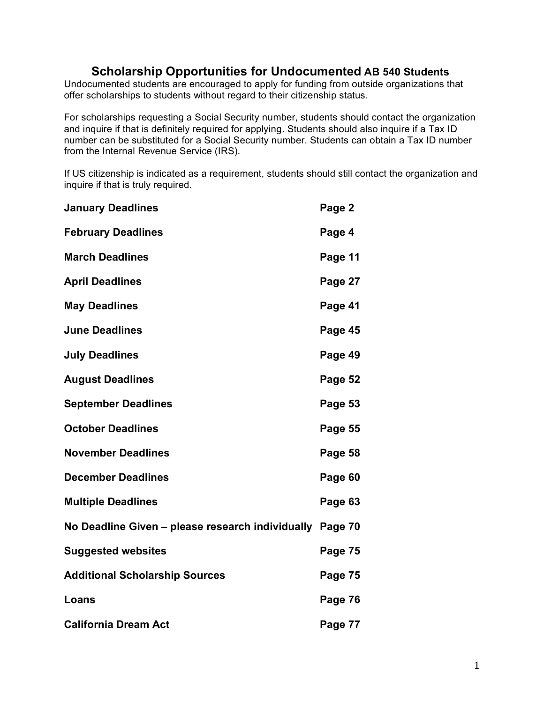#### **Scholarship Opportunities for Undocumented AB 540 Students**

Undocumented students are encouraged to apply for funding from outside organizations that offer scholarships to students without regard to their citizenship status.

For scholarships requesting a Social Security number, students should contact the organization and inquire if that is definitely required for applying. Students should also inquire if a Tax ID number can be substituted for a Social Security number. Students can obtain a Tax ID number from the Internal Revenue Service (IRS).

If US citizenship is indicated as a requirement, students should still contact the organization and inquire if that is truly required.

| <b>January Deadlines</b>                                 | Page 2  |
|----------------------------------------------------------|---------|
| <b>February Deadlines</b>                                | Page 4  |
| <b>March Deadlines</b>                                   | Page 11 |
| <b>April Deadlines</b>                                   | Page 27 |
| <b>May Deadlines</b>                                     | Page 41 |
| <b>June Deadlines</b>                                    | Page 45 |
| <b>July Deadlines</b>                                    | Page 49 |
| <b>August Deadlines</b>                                  | Page 52 |
| <b>September Deadlines</b>                               | Page 53 |
| <b>October Deadlines</b>                                 | Page 55 |
| <b>November Deadlines</b>                                | Page 58 |
| <b>December Deadlines</b>                                | Page 60 |
| <b>Multiple Deadlines</b>                                | Page 63 |
| No Deadline Given - please research individually Page 70 |         |
| <b>Suggested websites</b>                                | Page 75 |
| <b>Additional Scholarship Sources</b>                    | Page 75 |
| Loans                                                    | Page 76 |
| <b>California Dream Act</b>                              | Page 77 |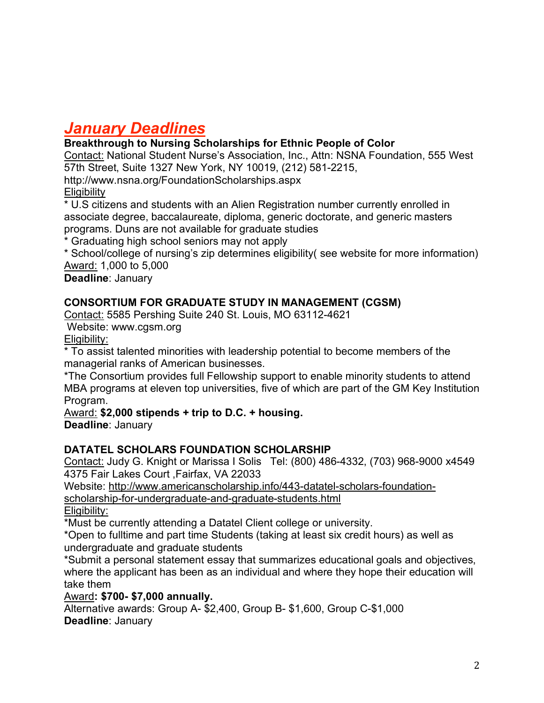# *January Deadlines*

**Breakthrough to Nursing Scholarships for Ethnic People of Color**

Contact: National Student Nurse's Association, Inc., Attn: NSNA Foundation, 555 West 57th Street, Suite 1327 New York, NY 10019, (212) 581-2215,

http://www.nsna.org/FoundationScholarships.aspx **Eligibility** 

\* U.S citizens and students with an Alien Registration number currently enrolled in associate degree, baccalaureate, diploma, generic doctorate, and generic masters programs. Duns are not available for graduate studies

\* Graduating high school seniors may not apply

\* School/college of nursing's zip determines eligibility( see website for more information) Award: 1,000 to 5,000

**Deadline**: January

## **CONSORTIUM FOR GRADUATE STUDY IN MANAGEMENT (CGSM)**

Contact: 5585 Pershing Suite 240 St. Louis, MO 63112-4621

Website: www.cgsm.org

Eligibility:

\* To assist talented minorities with leadership potential to become members of the managerial ranks of American businesses.

\*The Consortium provides full Fellowship support to enable minority students to attend MBA programs at eleven top universities, five of which are part of the GM Key Institution Program.

#### Award: **\$2,000 stipends + trip to D.C. + housing.**

**Deadline**: January

#### **DATATEL SCHOLARS FOUNDATION SCHOLARSHIP**

Contact: Judy G. Knight or Marissa I Solis Tel: (800) 486-4332, (703) 968-9000 x4549 4375 Fair Lakes Court ,Fairfax, VA 22033

Website: http://www.americanscholarship.info/443-datatel-scholars-foundationscholarship-for-undergraduate-and-graduate-students.html

Eligibility:

\*Must be currently attending a Datatel Client college or university.

\*Open to fulltime and part time Students (taking at least six credit hours) as well as undergraduate and graduate students

\*Submit a personal statement essay that summarizes educational goals and objectives, where the applicant has been as an individual and where they hope their education will take them

#### Award**: \$700- \$7,000 annually.**

Alternative awards: Group A- \$2,400, Group B- \$1,600, Group C-\$1,000 **Deadline**: January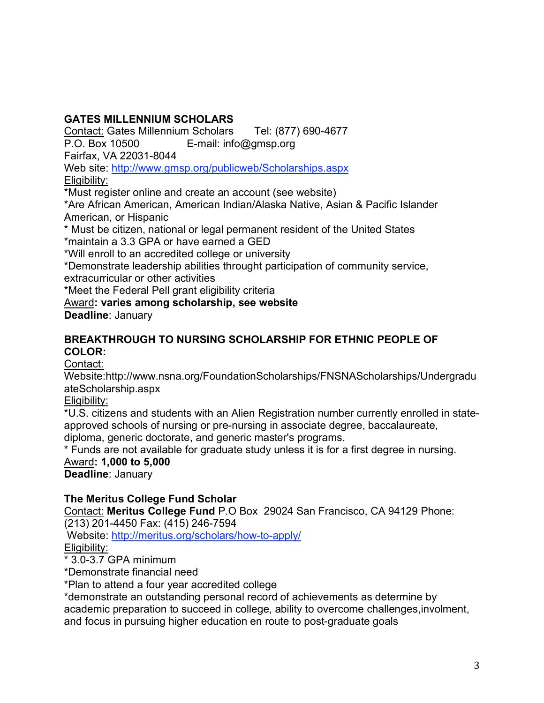## **GATES MILLENNIUM SCHOLARS**

Contact: Gates Millennium Scholars Tel: (877) 690-4677

P.O. Box 10500 E-mail: info@gmsp.org

Fairfax, VA 22031-8044

Web site: http://www.gmsp.org/publicweb/Scholarships.aspx

Eligibility:

\*Must register online and create an account (see website)

\*Are African American, American Indian/Alaska Native, Asian & Pacific Islander American, or Hispanic

\* Must be citizen, national or legal permanent resident of the United States \*maintain a 3.3 GPA or have earned a GED

\*Will enroll to an accredited college or university

\*Demonstrate leadership abilities throught participation of community service, extracurricular or other activities

\*Meet the Federal Pell grant eligibility criteria

## Award**: varies among scholarship, see website**

**Deadline**: January

#### **BREAKTHROUGH TO NURSING SCHOLARSHIP FOR ETHNIC PEOPLE OF COLOR:**

Contact:

Website:http://www.nsna.org/FoundationScholarships/FNSNAScholarships/Undergradu ateScholarship.aspx

Eligibility:

\*U.S. citizens and students with an Alien Registration number currently enrolled in stateapproved schools of nursing or pre-nursing in associate degree, baccalaureate,

diploma, generic doctorate, and generic master's programs.

\* Funds are not available for graduate study unless it is for a first degree in nursing. Award**: 1,000 to 5,000**

**Deadline**: January

## **The Meritus College Fund Scholar**

Contact: **Meritus College Fund** P.O Box 29024 San Francisco, CA 94129 Phone: (213) 201-4450 Fax: (415) 246-7594

Website: http://meritus.org/scholars/how-to-apply/ Eligibility:

\* 3.0-3.7 GPA minimum

\*Demonstrate financial need

\*Plan to attend a four year accredited college

\*demonstrate an outstanding personal record of achievements as determine by academic preparation to succeed in college, ability to overcome challenges,involment, and focus in pursuing higher education en route to post-graduate goals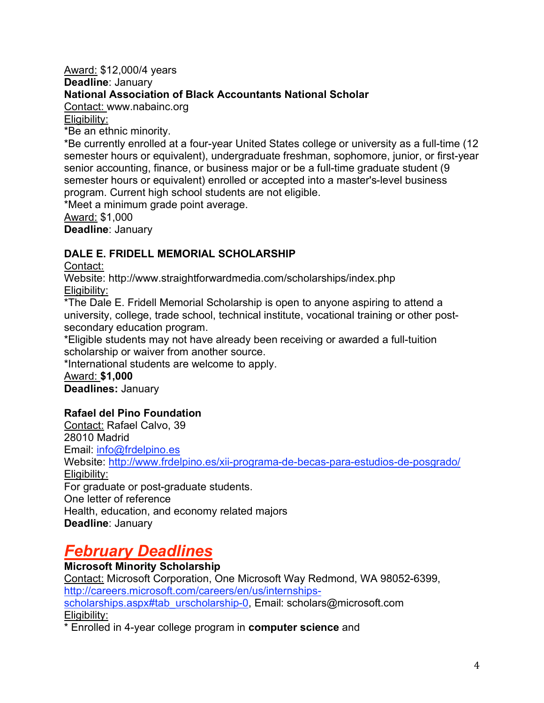#### Award: \$12,000/4 years **Deadline**: January **National Association of Black Accountants National Scholar**

Contact: www.nabainc.org

Eligibility:

\*Be an ethnic minority.

\*Be currently enrolled at a four-year United States college or university as a full-time (12 semester hours or equivalent), undergraduate freshman, sophomore, junior, or first-year senior accounting, finance, or business major or be a full-time graduate student (9 semester hours or equivalent) enrolled or accepted into a master's-level business program. Current high school students are not eligible.

\*Meet a minimum grade point average.

Award: \$1,000

**Deadline**: January

## **DALE E. FRIDELL MEMORIAL SCHOLARSHIP**

Contact:

Website: http://www.straightforwardmedia.com/scholarships/index.php Eligibility:

\*The Dale E. Fridell Memorial Scholarship is open to anyone aspiring to attend a university, college, trade school, technical institute, vocational training or other postsecondary education program.

\*Eligible students may not have already been receiving or awarded a full-tuition scholarship or waiver from another source.

\*International students are welcome to apply.

Award: **\$1,000 Deadlines:** January

## **Rafael del Pino Foundation**

Contact: Rafael Calvo, 39 28010 Madrid Email: info@frdelpino.es Website: http://www.frdelpino.es/xii-programa-de-becas-para-estudios-de-posgrado/ Eligibility: For graduate or post-graduate students. One letter of reference Health, education, and economy related majors **Deadline**: January

# *February Deadlines*

**Microsoft Minority Scholarship** Contact: Microsoft Corporation, One Microsoft Way Redmond, WA 98052-6399, http://careers.microsoft.com/careers/en/us/internshipsscholarships.aspx#tab\_urscholarship-0, Email: scholars@microsoft.com Eligibility:

\* Enrolled in 4-year college program in **computer science** and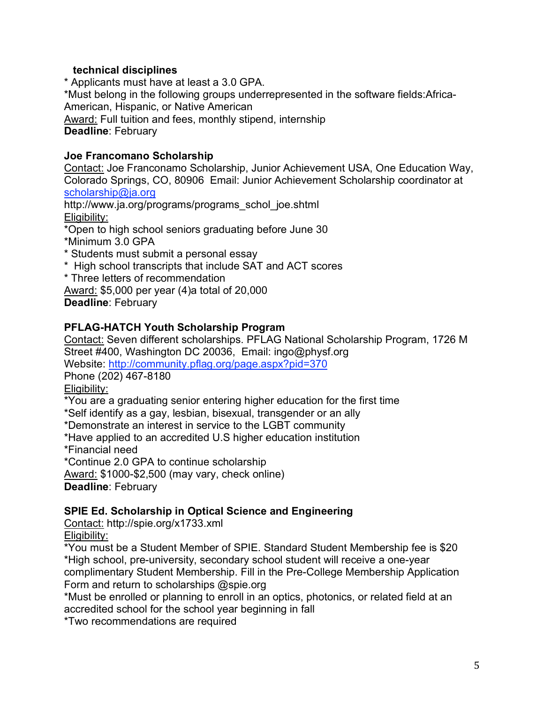#### **technical disciplines**

\* Applicants must have at least a 3.0 GPA. \*Must belong in the following groups underrepresented in the software fields:Africa-American, Hispanic, or Native American Award: Full tuition and fees, monthly stipend, internship **Deadline**: February

#### **Joe Francomano Scholarship**

Contact: Joe Franconamo Scholarship, Junior Achievement USA, One Education Way, Colorado Springs, CO, 80906 Email: Junior Achievement Scholarship coordinator at scholarship@ja.org

http://www.ja.org/programs/programs\_schol\_joe.shtml Eligibility:

\*Open to high school seniors graduating before June 30

\*Minimum 3.0 GPA

- \* Students must submit a personal essay
- \* High school transcripts that include SAT and ACT scores
- \* Three letters of recommendation

Award: \$5,000 per year (4)a total of 20,000

**Deadline**: February

#### **PFLAG-HATCH Youth Scholarship Program**

Contact: Seven different scholarships. PFLAG National Scholarship Program, 1726 M Street #400, Washington DC 20036, Email: ingo@physf.org Website: http://community.pflag.org/page.aspx?pid=370

Phone (202) 467-8180

Eligibility:

\*You are a graduating senior entering higher education for the first time

\*Self identify as a gay, lesbian, bisexual, transgender or an ally

\*Demonstrate an interest in service to the LGBT community

\*Have applied to an accredited U.S higher education institution

\*Financial need

\*Continue 2.0 GPA to continue scholarship

Award: \$1000-\$2,500 (may vary, check online)

**Deadline**: February

#### **SPIE Ed. Scholarship in Optical Science and Engineering**

Contact: http://spie.org/x1733.xml Eligibility:

\*You must be a Student Member of SPIE. Standard Student Membership fee is \$20 \*High school, pre-university, secondary school student will receive a one-year complimentary Student Membership. Fill in the Pre-College Membership Application Form and return to scholarships @spie.org

\*Must be enrolled or planning to enroll in an optics, photonics, or related field at an accredited school for the school year beginning in fall

\*Two recommendations are required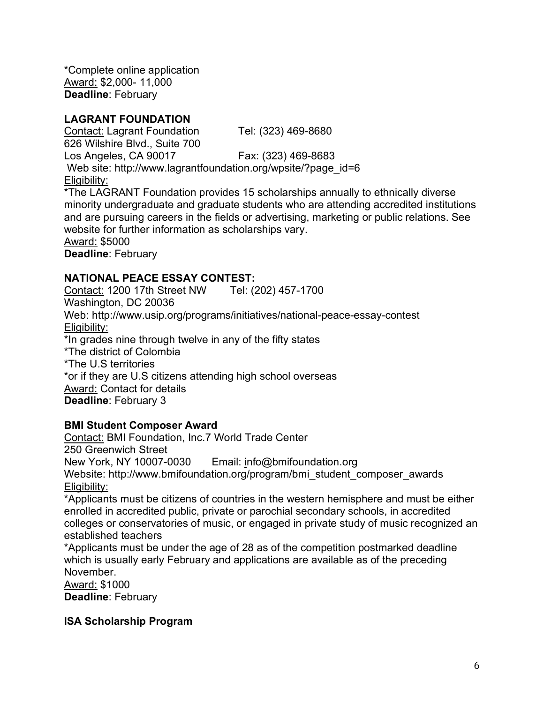\*Complete online application Award: \$2,000- 11,000 **Deadline**: February

## **LAGRANT FOUNDATION**

Contact: Lagrant Foundation Tel: (323) 469-8680 626 Wilshire Blvd., Suite 700 Los Angeles, CA 90017 Fax: (323) 469-8683 Web site: http://www.lagrantfoundation.org/wpsite/?page\_id=6 Eligibility: \*The LAGRANT Foundation provides 15 scholarships annually to ethnically diverse

minority undergraduate and graduate students who are attending accredited institutions and are pursuing careers in the fields or advertising, marketing or public relations. See website for further information as scholarships vary. Award: \$5000 **Deadline**: February

#### **NATIONAL PEACE ESSAY CONTEST:**

Contact: 1200 17th Street NW Tel: (202) 457-1700 Washington, DC 20036 Web: http://www.usip.org/programs/initiatives/national-peace-essay-contest Eligibility: \*In grades nine through twelve in any of the fifty states \*The district of Colombia \*The U.S territories \*or if they are U.S citizens attending high school overseas Award: Contact for details **Deadline**: February 3

#### **BMI Student Composer Award**

Contact: BMI Foundation, Inc.7 World Trade Center 250 Greenwich Street New York, NY 10007-0030 Email: info@bmifoundation.org Website: http://www.bmifoundation.org/program/bmi\_student\_composer\_awards Eligibility:

\*Applicants must be citizens of countries in the western hemisphere and must be either enrolled in accredited public, private or parochial secondary schools, in accredited colleges or conservatories of music, or engaged in private study of music recognized an established teachers

\*Applicants must be under the age of 28 as of the competition postmarked deadline which is usually early February and applications are available as of the preceding November.

Award: \$1000

**Deadline**: February

**ISA Scholarship Program**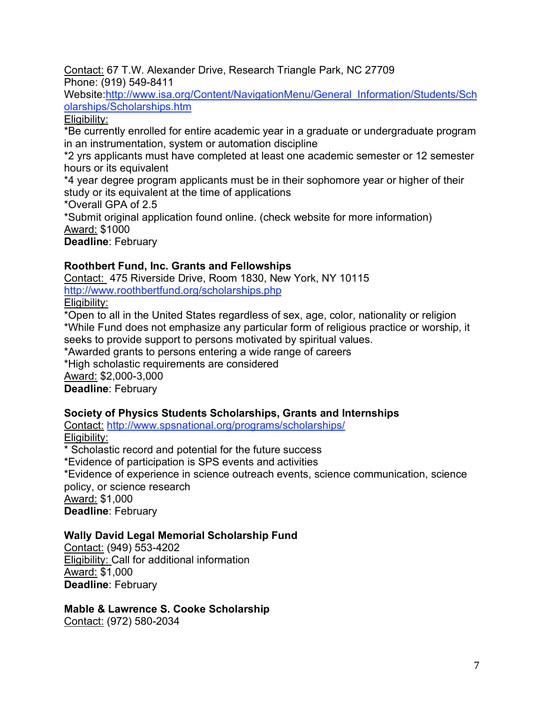Contact: 67 T.W. Alexander Drive, Research Triangle Park, NC 27709 Phone: (919) 549-8411

Website:http://www.isa.org/Content/NavigationMenu/General\_Information/Students/Sch olarships/Scholarships.htm

## Eligibility:

\*Be currently enrolled for entire academic year in a graduate or undergraduate program in an instrumentation, system or automation discipline

\*2 yrs applicants must have completed at least one academic semester or 12 semester hours or its equivalent

\*4 year degree program applicants must be in their sophomore year or higher of their study or its equivalent at the time of applications

\*Overall GPA of 2.5

\*Submit original application found online. (check website for more information) Award: \$1000

**Deadline**: February

## **Roothbert Fund, Inc. Grants and Fellowships**

Contact: 475 Riverside Drive, Room 1830, New York, NY 10115 http://www.roothbertfund.org/scholarships.php Eligibility:

\*Open to all in the United States regardless of sex, age, color, nationality or religion \*While Fund does not emphasize any particular form of religious practice or worship, it seeks to provide support to persons motivated by spiritual values.

\*Awarded grants to persons entering a wide range of careers

\*High scholastic requirements are considered

Award: \$2,000-3,000

**Deadline**: February

#### **Society of Physics Students Scholarships, Grants and Internships**

Contact: http://www.spsnational.org/programs/scholarships/ Eligibility:

\* Scholastic record and potential for the future success

\*Evidence of participation is SPS events and activities

\*Evidence of experience in science outreach events, science communication, science policy, or science research Award: \$1,000

**Deadline**: February

#### **Wally David Legal Memorial Scholarship Fund**

Contact: (949) 553-4202 Eligibility: Call for additional information Award: \$1,000 **Deadline**: February

## **Mable & Lawrence S. Cooke Scholarship**

Contact: (972) 580-2034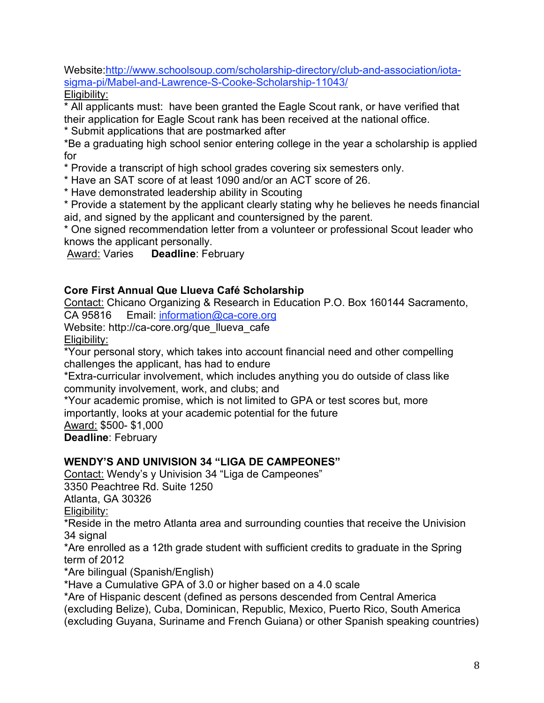Website:http://www.schoolsoup.com/scholarship-directory/club-and-association/iotasigma-pi/Mabel-and-Lawrence-S-Cooke-Scholarship-11043/ Eligibility:

\* All applicants must: have been granted the Eagle Scout rank, or have verified that their application for Eagle Scout rank has been received at the national office.

\* Submit applications that are postmarked after

\*Be a graduating high school senior entering college in the year a scholarship is applied for

\* Provide a transcript of high school grades covering six semesters only.

\* Have an SAT score of at least 1090 and/or an ACT score of 26.

\* Have demonstrated leadership ability in Scouting

\* Provide a statement by the applicant clearly stating why he believes he needs financial aid, and signed by the applicant and countersigned by the parent.

\* One signed recommendation letter from a volunteer or professional Scout leader who knows the applicant personally.

Award: Varies **Deadline**: February

## **Core First Annual Que Llueva Café Scholarship**

Contact: Chicano Organizing & Research in Education P.O. Box 160144 Sacramento, CA 95816 Email: information@ca-core.org

Website: http://ca-core.org/que\_llueva\_cafe Eligibility:

\*Your personal story, which takes into account financial need and other compelling challenges the applicant, has had to endure

\*Extra-curricular involvement, which includes anything you do outside of class like community involvement, work, and clubs; and

\*Your academic promise, which is not limited to GPA or test scores but, more importantly, looks at your academic potential for the future

Award: \$500- \$1,000

**Deadline**: February

## **WENDY'S AND UNIVISION 34 "LIGA DE CAMPEONES"**

Contact: Wendy's y Univision 34 "Liga de Campeones"

3350 Peachtree Rd. Suite 1250

Atlanta, GA 30326

Eligibility:

\*Reside in the metro Atlanta area and surrounding counties that receive the Univision 34 signal

\*Are enrolled as a 12th grade student with sufficient credits to graduate in the Spring term of 2012

\*Are bilingual (Spanish/English)

\*Have a Cumulative GPA of 3.0 or higher based on a 4.0 scale

\*Are of Hispanic descent (defined as persons descended from Central America (excluding Belize), Cuba, Dominican, Republic, Mexico, Puerto Rico, South America (excluding Guyana, Suriname and French Guiana) or other Spanish speaking countries)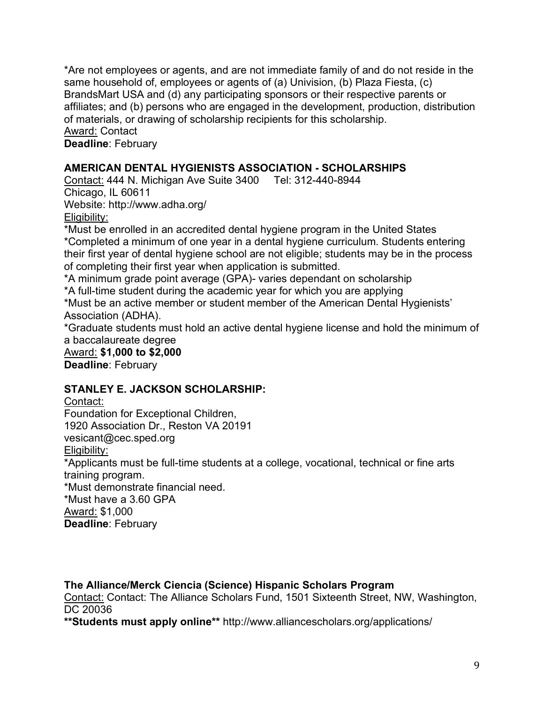\*Are not employees or agents, and are not immediate family of and do not reside in the same household of, employees or agents of (a) Univision, (b) Plaza Fiesta, (c) BrandsMart USA and (d) any participating sponsors or their respective parents or affiliates; and (b) persons who are engaged in the development, production, distribution of materials, or drawing of scholarship recipients for this scholarship. Award: Contact

**Deadline**: February

#### **AMERICAN DENTAL HYGIENISTS ASSOCIATION - SCHOLARSHIPS**

Contact: 444 N. Michigan Ave Suite 3400 Tel: 312-440-8944 Chicago, IL 60611 Website: http://www.adha.org/ Eligibility:

\*Must be enrolled in an accredited dental hygiene program in the United States \*Completed a minimum of one year in a dental hygiene curriculum. Students entering their first year of dental hygiene school are not eligible; students may be in the process of completing their first year when application is submitted.

\*A minimum grade point average (GPA)- varies dependant on scholarship

\*A full-time student during the academic year for which you are applying

\*Must be an active member or student member of the American Dental Hygienists' Association (ADHA).

\*Graduate students must hold an active dental hygiene license and hold the minimum of a baccalaureate degree

Award: **\$1,000 to \$2,000 Deadline**: February

#### **STANLEY E. JACKSON SCHOLARSHIP:**

Contact:

Foundation for Exceptional Children,

1920 Association Dr., Reston VA 20191

vesicant@cec.sped.org

Eligibility:

\*Applicants must be full-time students at a college, vocational, technical or fine arts training program.

\*Must demonstrate financial need.

\*Must have a 3.60 GPA

Award: \$1,000

**Deadline**: February

#### **The Alliance/Merck Ciencia (Science) Hispanic Scholars Program**

Contact: Contact: The Alliance Scholars Fund, 1501 Sixteenth Street, NW, Washington, DC 20036

**\*\*Students must apply online\*\*** http://www.alliancescholars.org/applications/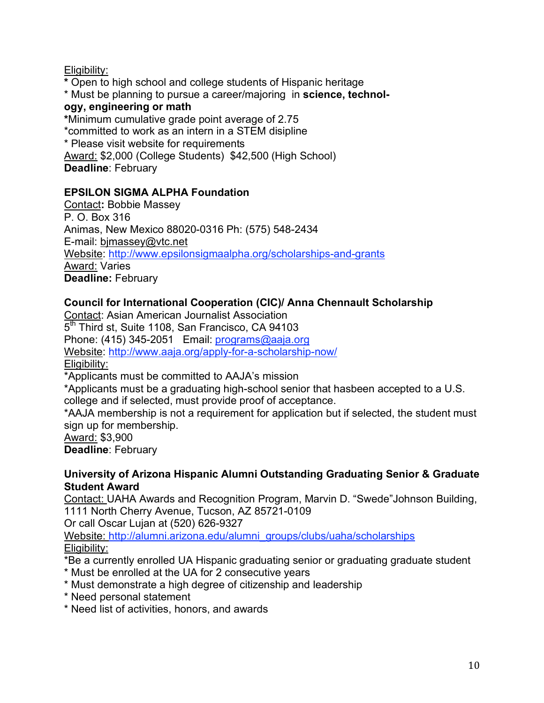## Eligibility:

**\*** Open to high school and college students of Hispanic heritage \* Must be planning to pursue a career/majoring in **science, technology, engineering or math \***Minimum cumulative grade point average of 2.75 \*committed to work as an intern in a STEM disipline \* Please visit website for requirements Award: \$2,000 (College Students) \$42,500 (High School) **Deadline**: February

## **EPSILON SIGMA ALPHA Foundation**

Contact**:** Bobbie Massey P. O. Box 316 Animas, New Mexico 88020-0316 Ph: (575) 548-2434 E-mail: bjmassey@vtc.net Website: http://www.epsilonsigmaalpha.org/scholarships-and-grants Award: Varies **Deadline:** February

## **Council for International Cooperation (CIC)/ Anna Chennault Scholarship**

Contact: Asian American Journalist Association 5<sup>th</sup> Third st, Suite 1108, San Francisco, CA 94103 Phone: (415) 345-2051 Email: programs@aaja.org Website: http://www.aaja.org/apply-for-a-scholarship-now/ Eligibility:

\*Applicants must be committed to AAJA's mission

\*Applicants must be a graduating high-school senior that hasbeen accepted to a U.S. college and if selected, must provide proof of acceptance.

\*AAJA membership is not a requirement for application but if selected, the student must sign up for membership.

Award: \$3,900

**Deadline**: February

#### **University of Arizona Hispanic Alumni Outstanding Graduating Senior & Graduate Student Award**

Contact: UAHA Awards and Recognition Program, Marvin D. "Swede"Johnson Building, 1111 North Cherry Avenue, Tucson, AZ 85721-0109

Or call Oscar Lujan at (520) 626-9327

Website: http://alumni.arizona.edu/alumni\_groups/clubs/uaha/scholarships Eligibility:

\*Be a currently enrolled UA Hispanic graduating senior or graduating graduate student

- \* Must be enrolled at the UA for 2 consecutive years
- \* Must demonstrate a high degree of citizenship and leadership
- \* Need personal statement
- \* Need list of activities, honors, and awards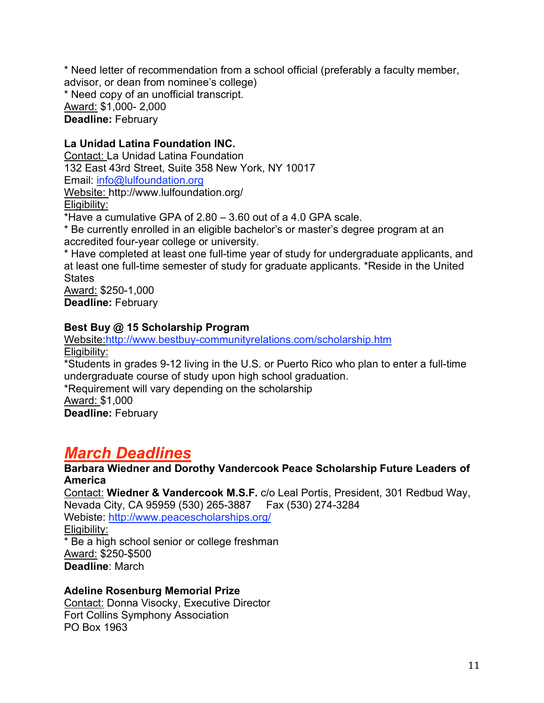\* Need letter of recommendation from a school official (preferably a faculty member, advisor, or dean from nominee's college) \* Need copy of an unofficial transcript. Award: \$1,000- 2,000 **Deadline:** February

#### **La Unidad Latina Foundation INC.**

Contact: La Unidad Latina Foundation 132 East 43rd Street, Suite 358 New York, NY 10017 Email: info@lulfoundation.org Website: http://www.lulfoundation.org/ Eligibility: \*Have a cumulative GPA of 2.80 – 3.60 out of a 4.0 GPA scale.

\* Be currently enrolled in an eligible bachelor's or master's degree program at an accredited four-year college or university.

\* Have completed at least one full-time year of study for undergraduate applicants, and at least one full-time semester of study for graduate applicants. \*Reside in the United **States** 

Award: \$250-1,000 **Deadline:** February

#### **Best Buy @ 15 Scholarship Program**

Website:http://www.bestbuy-communityrelations.com/scholarship.htm Eligibility: \*Students in grades 9-12 living in the U.S. or Puerto Rico who plan to enter a full-time undergraduate course of study upon high school graduation. \*Requirement will vary depending on the scholarship Award: \$1,000 **Deadline:** February

## *March Deadlines*

**Barbara Wiedner and Dorothy Vandercook Peace Scholarship Future Leaders of America**

Contact: **Wiedner & Vandercook M.S.F.** c/o Leal Portis, President, 301 Redbud Way, Nevada City, CA 95959 (530) 265-3887 Fax (530) 274-3284 Webiste: http://www.peacescholarships.org/ Eligibility: \* Be a high school senior or college freshman Award: \$250-\$500 **Deadline**: March

#### **Adeline Rosenburg Memorial Prize**

Contact: Donna Visocky, Executive Director Fort Collins Symphony Association PO Box 1963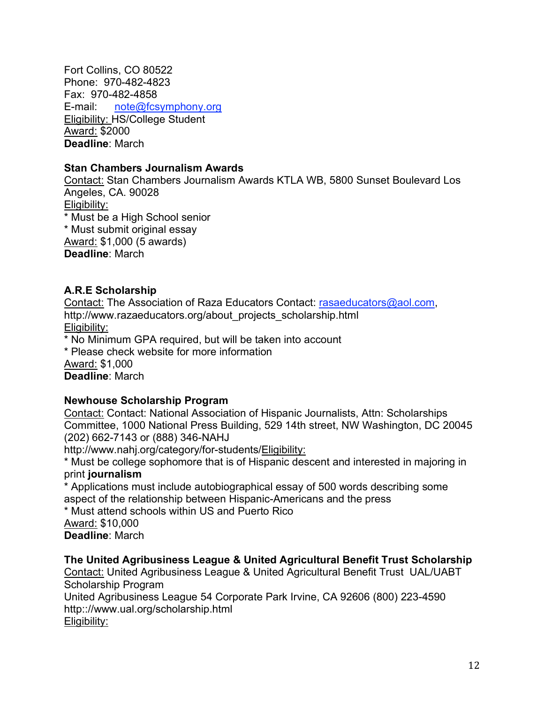Fort Collins, CO 80522 Phone: 970-482-4823 Fax: 970-482-4858 E-mail: note@fcsymphony.org Eligibility: HS/College Student Award: \$2000 **Deadline**: March

#### **Stan Chambers Journalism Awards**

Contact: Stan Chambers Journalism Awards KTLA WB, 5800 Sunset Boulevard Los Angeles, CA. 90028 Eligibility: \* Must be a High School senior \* Must submit original essay Award: \$1,000 (5 awards) **Deadline**: March

#### **A.R.E Scholarship**

Contact: The Association of Raza Educators Contact: rasaeducators@aol.com, http://www.razaeducators.org/about\_projects\_scholarship.html Eligibility:

\* No Minimum GPA required, but will be taken into account

\* Please check website for more information

Award: \$1,000

**Deadline**: March

#### **Newhouse Scholarship Program**

Contact: Contact: National Association of Hispanic Journalists, Attn: Scholarships Committee, 1000 National Press Building, 529 14th street, NW Washington, DC 20045 (202) 662-7143 or (888) 346-NAHJ

http://www.nahj.org/category/for-students/Eligibility:

\* Must be college sophomore that is of Hispanic descent and interested in majoring in print **journalism**

\* Applications must include autobiographical essay of 500 words describing some aspect of the relationship between Hispanic-Americans and the press

\* Must attend schools within US and Puerto Rico

Award: \$10,000 **Deadline**: March

#### **The United Agribusiness League & United Agricultural Benefit Trust Scholarship**

Contact: United Agribusiness League & United Agricultural Benefit Trust UAL/UABT Scholarship Program

United Agribusiness League 54 Corporate Park Irvine, CA 92606 (800) 223-4590 http:://www.ual.org/scholarship.html Eligibility:

12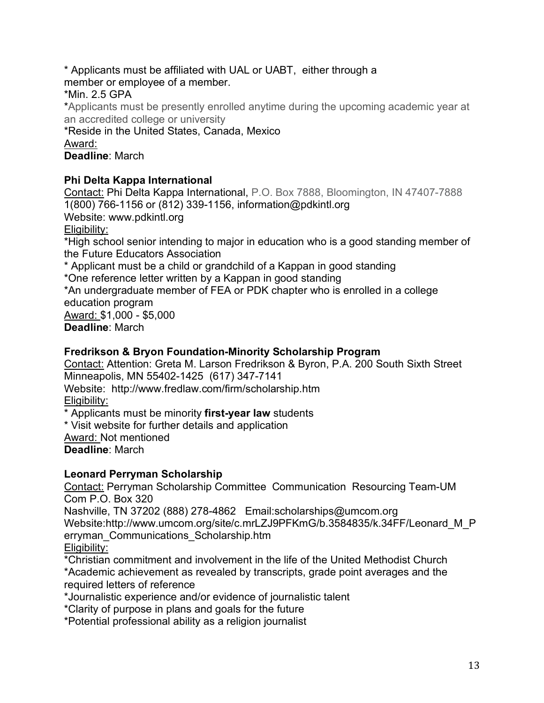\* Applicants must be affiliated with UAL or UABT, either through a member or employee of a member.

\*Min. 2.5 GPA

\*Applicants must be presently enrolled anytime during the upcoming academic year at an accredited college or university

\*Reside in the United States, Canada, Mexico Award:

**Deadline**: March

## **Phi Delta Kappa International**

Contact: Phi Delta Kappa International, P.O. Box 7888, Bloomington, IN 47407-7888 1(800) 766-1156 or (812) 339-1156, information@pdkintl.org Website: www.pdkintl.org Eligibility: \*High school senior intending to major in education who is a good standing member of the Future Educators Association \* Applicant must be a child or grandchild of a Kappan in good standing \*One reference letter written by a Kappan in good standing \*An undergraduate member of FEA or PDK chapter who is enrolled in a college education program Award: \$1,000 - \$5,000 **Deadline**: March

**Fredrikson & Bryon Foundation-Minority Scholarship Program**

Contact: Attention: Greta M. Larson Fredrikson & Byron, P.A. 200 South Sixth Street Minneapolis, MN 55402-1425 (617) 347-7141

Website: http://www.fredlaw.com/firm/scholarship.htm Eligibility:

\* Applicants must be minority **first-year law** students

\* Visit website for further details and application

Award: Not mentioned

**Deadline**: March

## **Leonard Perryman Scholarship**

Contact: Perryman Scholarship Committee Communication Resourcing Team-UM Com P.O. Box 320

Nashville, TN 37202 (888) 278-4862 Email:scholarships@umcom.org

Website:http://www.umcom.org/site/c.mrLZJ9PFKmG/b.3584835/k.34FF/Leonard\_M\_P erryman\_Communications\_Scholarship.htm

Eligibility:

\*Christian commitment and involvement in the life of the United Methodist Church \*Academic achievement as revealed by transcripts, grade point averages and the required letters of reference

\*Journalistic experience and/or evidence of journalistic talent

\*Clarity of purpose in plans and goals for the future

\*Potential professional ability as a religion journalist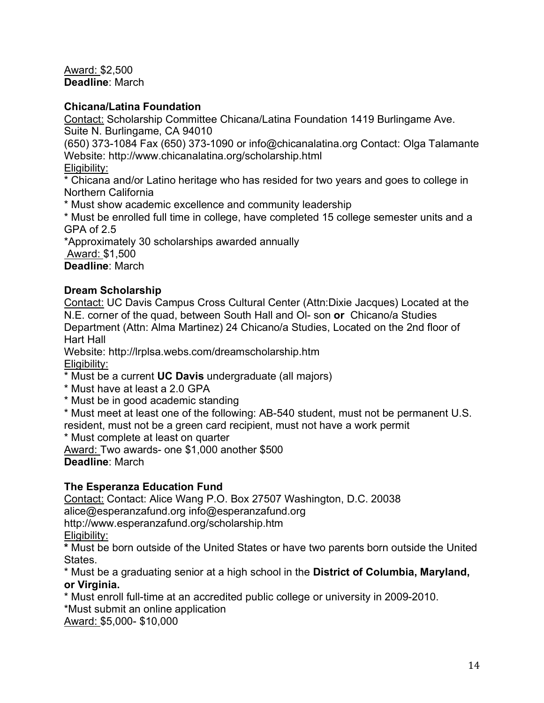Award: \$2,500 **Deadline**: March

#### **Chicana/Latina Foundation**

Contact: Scholarship Committee Chicana/Latina Foundation 1419 Burlingame Ave. Suite N. Burlingame, CA 94010

(650) 373-1084 Fax (650) 373-1090 or info@chicanalatina.org Contact: Olga Talamante Website: http://www.chicanalatina.org/scholarship.html

Eligibility:

\* Chicana and/or Latino heritage who has resided for two years and goes to college in Northern California

\* Must show academic excellence and community leadership

\* Must be enrolled full time in college, have completed 15 college semester units and a GPA of 2.5

\*Approximately 30 scholarships awarded annually

Award: \$1,500

**Deadline**: March

## **Dream Scholarship**

Contact: UC Davis Campus Cross Cultural Center (Attn:Dixie Jacques) Located at the N.E. corner of the quad, between South Hall and Ol- son **or** Chicano/a Studies Department (Attn: Alma Martinez) 24 Chicano/a Studies, Located on the 2nd floor of Hart Hall

Website: http://lrplsa.webs.com/dreamscholarship.htm Eligibility:

- \* Must be a current **UC Davis** undergraduate (all majors)
- \* Must have at least a 2.0 GPA
- \* Must be in good academic standing

\* Must meet at least one of the following: AB-540 student, must not be permanent U.S. resident, must not be a green card recipient, must not have a work permit

\* Must complete at least on quarter

Award: Two awards- one \$1,000 another \$500

**Deadline**: March

## **The Esperanza Education Fund**

Contact: Contact: Alice Wang P.O. Box 27507 Washington, D.C. 20038 alice@esperanzafund.org info@esperanzafund.org http://www.esperanzafund.org/scholarship.htm Eligibility:

**\*** Must be born outside of the United States or have two parents born outside the United States.

\* Must be a graduating senior at a high school in the **District of Columbia, Maryland, or Virginia.**

\* Must enroll full-time at an accredited public college or university in 2009-2010. \*Must submit an online application

Award: \$5,000- \$10,000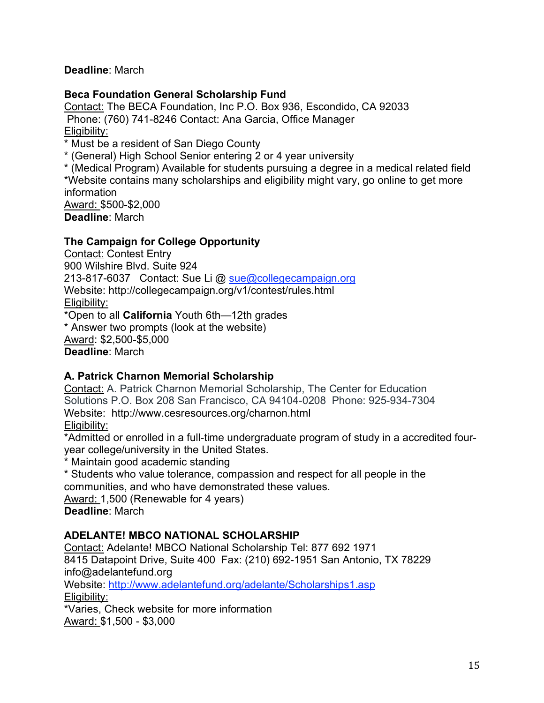**Deadline**: March

#### **Beca Foundation General Scholarship Fund**

Contact: The BECA Foundation, Inc P.O. Box 936, Escondido, CA 92033 Phone: (760) 741-8246 Contact: Ana Garcia, Office Manager Eligibility:

\* Must be a resident of San Diego County

\* (General) High School Senior entering 2 or 4 year university

\* (Medical Program) Available for students pursuing a degree in a medical related field \*Website contains many scholarships and eligibility might vary, go online to get more information Award: \$500-\$2,000

**Deadline**: March

## **The Campaign for College Opportunity**

Contact: Contest Entry 900 Wilshire Blvd. Suite 924 213-817-6037 Contact: Sue Li @ sue@collegecampaign.org Website: http://collegecampaign.org/v1/contest/rules.html Eligibility: \*Open to all **California** Youth 6th—12th grades \* Answer two prompts (look at the website)

Award: \$2,500-\$5,000 **Deadline**: March

## **A. Patrick Charnon Memorial Scholarship**

Contact: A. Patrick Charnon Memorial Scholarship, The Center for Education Solutions P.O. Box 208 San Francisco, CA 94104-0208 Phone: 925-934-7304 Website: http://www.cesresources.org/charnon.html Eligibility:

\*Admitted or enrolled in a full-time undergraduate program of study in a accredited fouryear college/university in the United States.

\* Maintain good academic standing

\* Students who value tolerance, compassion and respect for all people in the communities, and who have demonstrated these values.

Award: 1,500 (Renewable for 4 years) **Deadline**: March

#### **ADELANTE! MBCO NATIONAL SCHOLARSHIP**

Contact: Adelante! MBCO National Scholarship Tel: 877 692 1971 8415 Datapoint Drive, Suite 400 Fax: (210) 692-1951 San Antonio, TX 78229 info@adelantefund.org

Website: http://www.adelantefund.org/adelante/Scholarships1.asp Eligibility:

\*Varies, Check website for more information Award: \$1,500 - \$3,000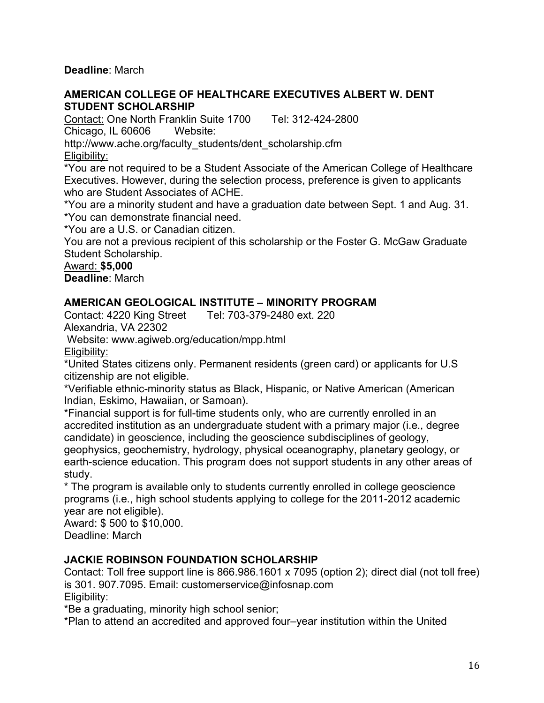**Deadline**: March

#### **AMERICAN COLLEGE OF HEALTHCARE EXECUTIVES ALBERT W. DENT STUDENT SCHOLARSHIP**

Contact: One North Franklin Suite 1700 Tel: 312-424-2800 Chicago, IL 60606 Website:

http://www.ache.org/faculty\_students/dent\_scholarship.cfm Eligibility:

\*You are not required to be a Student Associate of the American College of Healthcare Executives. However, during the selection process, preference is given to applicants who are Student Associates of ACHE.

\*You are a minority student and have a graduation date between Sept. 1 and Aug. 31. \*You can demonstrate financial need.

\*You are a U.S. or Canadian citizen.

You are not a previous recipient of this scholarship or the Foster G. McGaw Graduate Student Scholarship.

Award: **\$5,000**

**Deadline**: March

#### **AMERICAN GEOLOGICAL INSTITUTE – MINORITY PROGRAM**

Contact: 4220 King Street Tel: 703-379-2480 ext. 220 Alexandria, VA 22302

Website: www.agiweb.org/education/mpp.html

Eligibility:

\*United States citizens only. Permanent residents (green card) or applicants for U.S citizenship are not eligible.

\*Verifiable ethnic-minority status as Black, Hispanic, or Native American (American Indian, Eskimo, Hawaiian, or Samoan).

\*Financial support is for full-time students only, who are currently enrolled in an accredited institution as an undergraduate student with a primary major (i.e., degree candidate) in geoscience, including the geoscience subdisciplines of geology, geophysics, geochemistry, hydrology, physical oceanography, planetary geology, or

earth-science education. This program does not support students in any other areas of study.

\* The program is available only to students currently enrolled in college geoscience programs (i.e., high school students applying to college for the 2011-2012 academic year are not eligible).

Award: \$ 500 to \$10,000. Deadline: March

#### **JACKIE ROBINSON FOUNDATION SCHOLARSHIP**

Contact: Toll free support line is 866.986.1601 x 7095 (option 2); direct dial (not toll free) is 301. 907.7095. Email: customerservice@infosnap.com Eligibility:

\*Be a graduating, minority high school senior;

\*Plan to attend an accredited and approved four–year institution within the United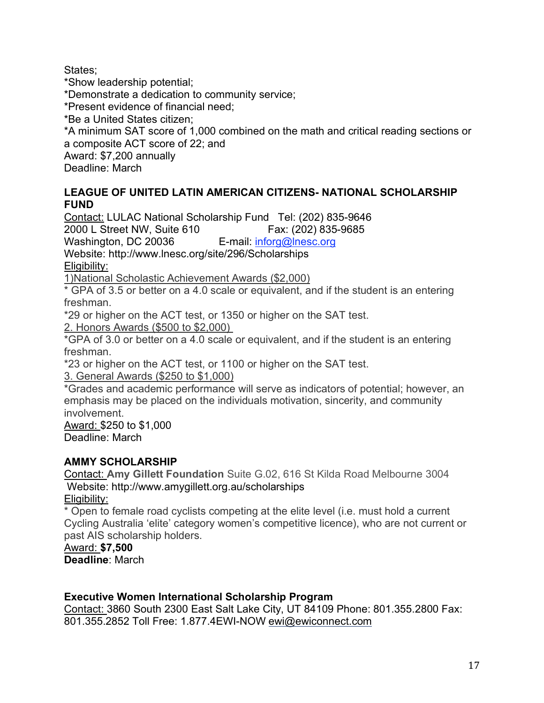States;

\*Show leadership potential; \*Demonstrate a dedication to community service; \*Present evidence of financial need; \*Be a United States citizen; \*A minimum SAT score of 1,000 combined on the math and critical reading sections or a composite ACT score of 22; and Award: \$7,200 annually Deadline: March

#### **LEAGUE OF UNITED LATIN AMERICAN CITIZENS- NATIONAL SCHOLARSHIP FUND**

Contact: LULAC National Scholarship Fund Tel: (202) 835-9646

2000 L Street NW, Suite 610 Fax: (202) 835-9685

Washington, DC 20036 E-mail: inforg@lnesc.org

Website: http://www.lnesc.org/site/296/Scholarships

Eligibility:

1)National Scholastic Achievement Awards (\$2,000)

\* GPA of 3.5 or better on a 4.0 scale or equivalent, and if the student is an entering freshman.

\*29 or higher on the ACT test, or 1350 or higher on the SAT test.

2. Honors Awards (\$500 to \$2,000)

\*GPA of 3.0 or better on a 4.0 scale or equivalent, and if the student is an entering freshman.

\*23 or higher on the ACT test, or 1100 or higher on the SAT test.

3. General Awards (\$250 to \$1,000)

\*Grades and academic performance will serve as indicators of potential; however, an emphasis may be placed on the individuals motivation, sincerity, and community involvement.

Award: \$250 to \$1,000 Deadline: March

## **AMMY SCHOLARSHIP**

Contact: **Amy Gillett Foundation** Suite G.02, 616 St Kilda Road Melbourne 3004 Website: http://www.amygillett.org.au/scholarships

Eligibility:

\* Open to female road cyclists competing at the elite level (i.e. must hold a current Cycling Australia 'elite' category women's competitive licence), who are not current or past AIS scholarship holders.

#### Award: **\$7,500**

**Deadline**: March

#### **Executive Women International Scholarship Program**

Contact: 3860 South 2300 East Salt Lake City, UT 84109 Phone: 801.355.2800 Fax: 801.355.2852 Toll Free: 1.877.4EWI-NOW ewi@ewiconnect.com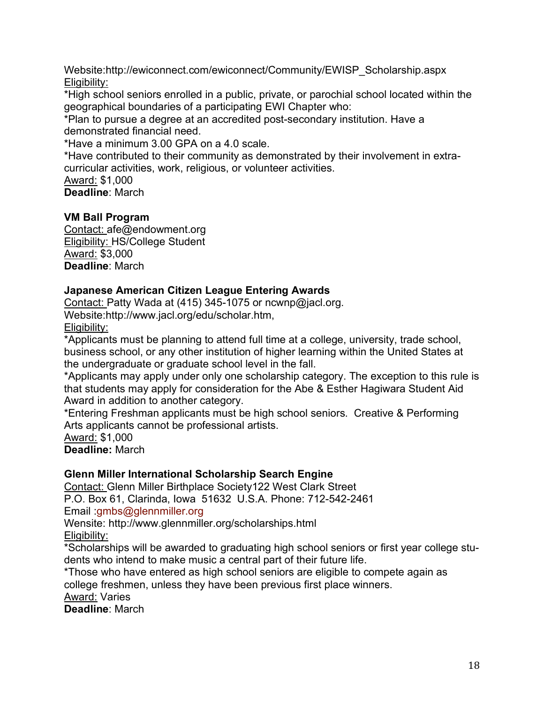Website:http://ewiconnect.com/ewiconnect/Community/EWISP\_Scholarship.aspx Eligibility:

\*High school seniors enrolled in a public, private, or parochial school located within the geographical boundaries of a participating EWI Chapter who:

\*Plan to pursue a degree at an accredited post-secondary institution. Have a demonstrated financial need.

\*Have a minimum 3.00 GPA on a 4.0 scale.

\*Have contributed to their community as demonstrated by their involvement in extracurricular activities, work, religious, or volunteer activities.

Award: \$1,000

**Deadline**: March

#### **VM Ball Program**

Contact: afe@endowment.org Eligibility: HS/College Student Award: \$3,000 **Deadline**: March

#### **Japanese American Citizen League Entering Awards**

Contact: Patty Wada at (415) 345-1075 or ncwnp@jacl.org. Website:http://www.jacl.org/edu/scholar.htm, Eligibility:

\*Applicants must be planning to attend full time at a college, university, trade school, business school, or any other institution of higher learning within the United States at the undergraduate or graduate school level in the fall.

\*Applicants may apply under only one scholarship category. The exception to this rule is that students may apply for consideration for the Abe & Esther Hagiwara Student Aid Award in addition to another category.

\*Entering Freshman applicants must be high school seniors. Creative & Performing Arts applicants cannot be professional artists.

Award: \$1,000 **Deadline:** March

#### **Glenn Miller International Scholarship Search Engine**

Contact: Glenn Miller Birthplace Society122 West Clark Street P.O. Box 61, Clarinda, Iowa 51632 U.S.A. Phone: 712-542-2461 Email :gmbs@glennmiller.org Wensite: http://www.glennmiller.org/scholarships.html

Eligibility:

\*Scholarships will be awarded to graduating high school seniors or first year college students who intend to make music a central part of their future life.

\*Those who have entered as high school seniors are eligible to compete again as college freshmen, unless they have been previous first place winners.

Award: Varies

**Deadline**: March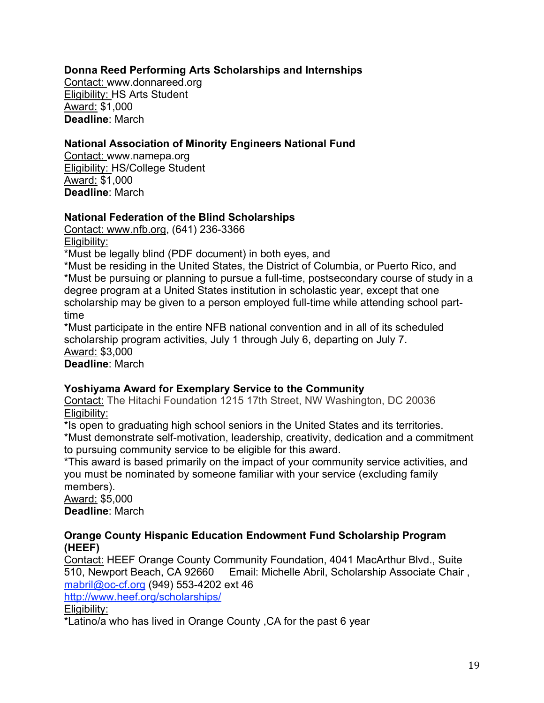#### **Donna Reed Performing Arts Scholarships and Internships**

Contact: www.donnareed.org Eligibility: HS Arts Student Award: \$1,000 **Deadline**: March

#### **National Association of Minority Engineers National Fund**

Contact: www.namepa.org Eligibility: HS/College Student Award: \$1,000 **Deadline**: March

#### **National Federation of the Blind Scholarships**

Contact: www.nfb.org, (641) 236-3366 Eligibility:

\*Must be legally blind (PDF document) in both eyes, and

\*Must be residing in the United States, the District of Columbia, or Puerto Rico, and \*Must be pursuing or planning to pursue a full-time, postsecondary course of study in a degree program at a United States institution in scholastic year, except that one scholarship may be given to a person employed full-time while attending school parttime

\*Must participate in the entire NFB national convention and in all of its scheduled scholarship program activities, July 1 through July 6, departing on July 7. Award: \$3,000

**Deadline**: March

#### **Yoshiyama Award for Exemplary Service to the Community**

Contact: The Hitachi Foundation 1215 17th Street, NW Washington, DC 20036 Eligibility:

\*Is open to graduating high school seniors in the United States and its territories. \*Must demonstrate self-motivation, leadership, creativity, dedication and a commitment to pursuing community service to be eligible for this award.

\*This award is based primarily on the impact of your community service activities, and you must be nominated by someone familiar with your service (excluding family members).

Award: \$5,000 **Deadline**: March

#### **Orange County Hispanic Education Endowment Fund Scholarship Program (HEEF)**

Contact: HEEF Orange County Community Foundation, 4041 MacArthur Blvd., Suite 510, Newport Beach, CA 92660 Email: Michelle Abril, Scholarship Associate Chair , mabril@oc-cf.org (949) 553-4202 ext 46

http://www.heef.org/scholarships/

Eligibility:

\*Latino/a who has lived in Orange County ,CA for the past 6 year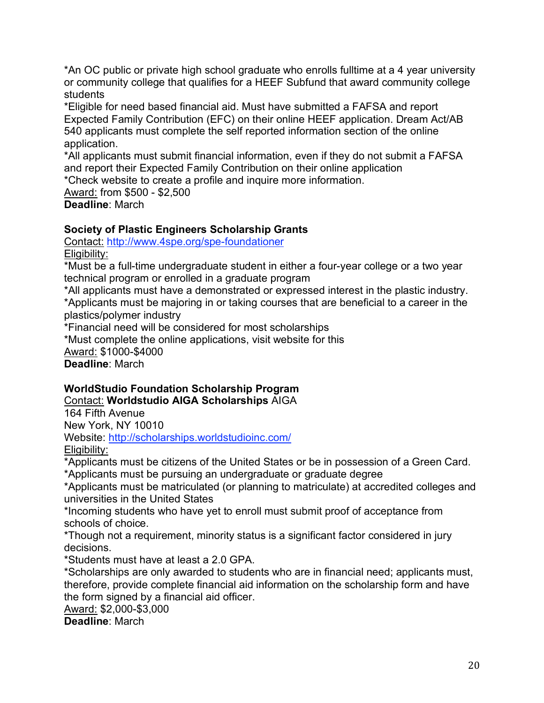\*An OC public or private high school graduate who enrolls fulltime at a 4 year university or community college that qualifies for a HEEF Subfund that award community college students

\*Eligible for need based financial aid. Must have submitted a FAFSA and report Expected Family Contribution (EFC) on their online HEEF application. Dream Act/AB 540 applicants must complete the self reported information section of the online application.

\*All applicants must submit financial information, even if they do not submit a FAFSA and report their Expected Family Contribution on their online application

\*Check website to create a profile and inquire more information.

Award: from \$500 - \$2,500 **Deadline**: March

## **Society of Plastic Engineers Scholarship Grants**

Contact: http://www.4spe.org/spe-foundationer

Eligibility:

\*Must be a full-time undergraduate student in either a four-year college or a two year technical program or enrolled in a graduate program

\*All applicants must have a demonstrated or expressed interest in the plastic industry. \*Applicants must be majoring in or taking courses that are beneficial to a career in the plastics/polymer industry

\*Financial need will be considered for most scholarships

\*Must complete the online applications, visit website for this Award: \$1000-\$4000 **Deadline**: March

## **WorldStudio Foundation Scholarship Program**

Contact: **Worldstudio AIGA Scholarships** AIGA

164 Fifth Avenue New York, NY 10010

Website: http://scholarships.worldstudioinc.com/ Eligibility:

\*Applicants must be citizens of the United States or be in possession of a Green Card.

\*Applicants must be pursuing an undergraduate or graduate degree

\*Applicants must be matriculated (or planning to matriculate) at accredited colleges and universities in the United States

\*Incoming students who have yet to enroll must submit proof of acceptance from schools of choice.

\*Though not a requirement, minority status is a significant factor considered in jury decisions.

\*Students must have at least a 2.0 GPA.

\*Scholarships are only awarded to students who are in financial need; applicants must, therefore, provide complete financial aid information on the scholarship form and have the form signed by a financial aid officer.

Award: \$2,000-\$3,000

**Deadline**: March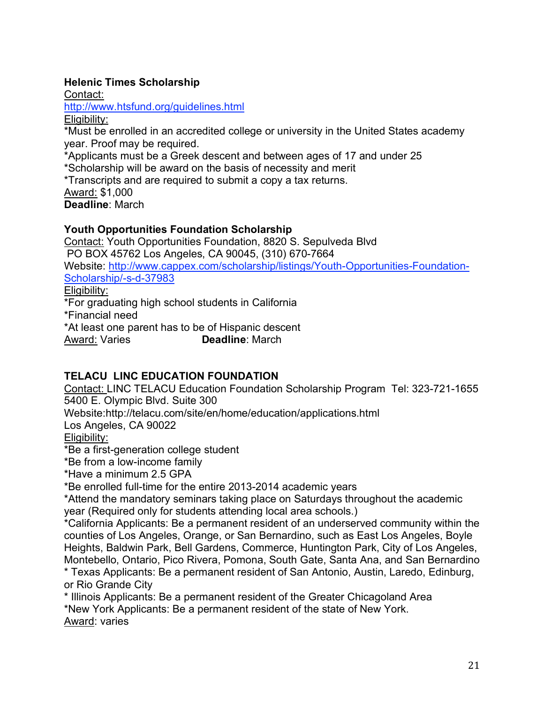## **Helenic Times Scholarship**

Contact:

http://www.htsfund.org/guidelines.html

Eligibility:

\*Must be enrolled in an accredited college or university in the United States academy year. Proof may be required.

\*Applicants must be a Greek descent and between ages of 17 and under 25

\*Scholarship will be award on the basis of necessity and merit

\*Transcripts and are required to submit a copy a tax returns.

Award: \$1,000

**Deadline**: March

## **Youth Opportunities Foundation Scholarship**

Contact: Youth Opportunities Foundation, 8820 S. Sepulveda Blvd PO BOX 45762 Los Angeles, CA 90045, (310) 670-7664 Website: http://www.cappex.com/scholarship/listings/Youth-Opportunities-Foundation-Scholarship/-s-d-37983 Eligibility: \*For graduating high school students in California \*Financial need \*At least one parent has to be of Hispanic descent

Award: Varies **Deadline**: March

## **TELACU LINC EDUCATION FOUNDATION**

Contact: LINC TELACU Education Foundation Scholarship Program Tel: 323-721-1655 5400 E. Olympic Blvd. Suite 300 Website:http://telacu.com/site/en/home/education/applications.html Los Angeles, CA 90022 Eligibility: \*Be a first-generation college student

\*Be from a low-income family

\*Have a minimum 2.5 GPA

\*Be enrolled full-time for the entire 2013-2014 academic years

\*Attend the mandatory seminars taking place on Saturdays throughout the academic year (Required only for students attending local area schools.)

\*California Applicants: Be a permanent resident of an underserved community within the counties of Los Angeles, Orange, or San Bernardino, such as East Los Angeles, Boyle Heights, Baldwin Park, Bell Gardens, Commerce, Huntington Park, City of Los Angeles, Montebello, Ontario, Pico Rivera, Pomona, South Gate, Santa Ana, and San Bernardino

\* Texas Applicants: Be a permanent resident of San Antonio, Austin, Laredo, Edinburg, or Rio Grande City

\* Illinois Applicants: Be a permanent resident of the Greater Chicagoland Area \*New York Applicants: Be a permanent resident of the state of New York. Award: varies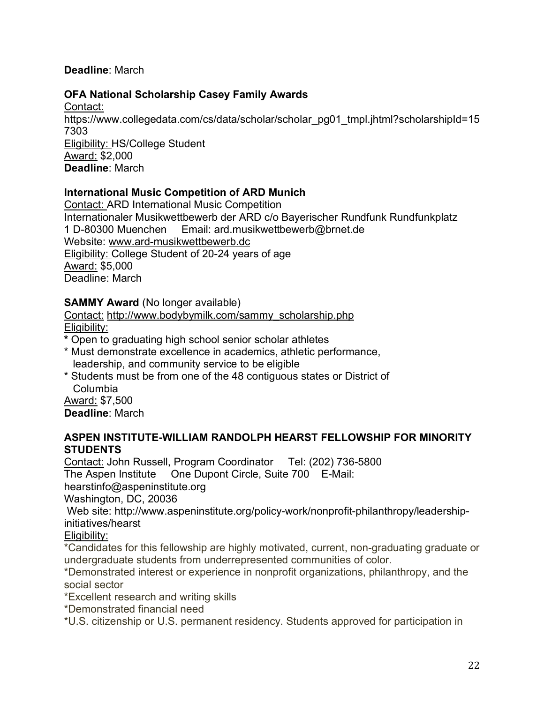#### **Deadline**: March

#### **OFA National Scholarship Casey Family Awards**

Contact: https://www.collegedata.com/cs/data/scholar/scholar\_pg01\_tmpl.jhtml?scholarshipId=15 7303 Eligibility: HS/College Student Award: \$2,000 **Deadline**: March

#### **International Music Competition of ARD Munich**

Contact: ARD International Music Competition Internationaler Musikwettbewerb der ARD c/o Bayerischer Rundfunk Rundfunkplatz 1 D-80300 Muenchen Email: ard.musikwettbewerb@brnet.de Website: www.ard-musikwettbewerb.dc Eligibility: College Student of 20-24 years of age Award: \$5,000 Deadline: March

#### **SAMMY Award** (No longer available)

Contact: http://www.bodybymilk.com/sammy\_scholarship.php Eligibility:

**\*** Open to graduating high school senior scholar athletes

- \* Must demonstrate excellence in academics, athletic performance, leadership, and community service to be eligible
- \* Students must be from one of the 48 contiguous states or District of Columbia

Award: \$7,500 **Deadline**: March

#### **ASPEN INSTITUTE-WILLIAM RANDOLPH HEARST FELLOWSHIP FOR MINORITY STUDENTS**

Contact: John Russell, Program Coordinator Tel: (202) 736-5800 The Aspen Institute One Dupont Circle, Suite 700 E-Mail:

hearstinfo@aspeninstitute.org

Washington, DC, 20036

Web site: http://www.aspeninstitute.org/policy-work/nonprofit-philanthropy/leadershipinitiatives/hearst

Eligibility:

\*Candidates for this fellowship are highly motivated, current, non-graduating graduate or undergraduate students from underrepresented communities of color.

\*Demonstrated interest or experience in nonprofit organizations, philanthropy, and the social sector

\*Excellent research and writing skills

\*Demonstrated financial need

\*U.S. citizenship or U.S. permanent residency. Students approved for participation in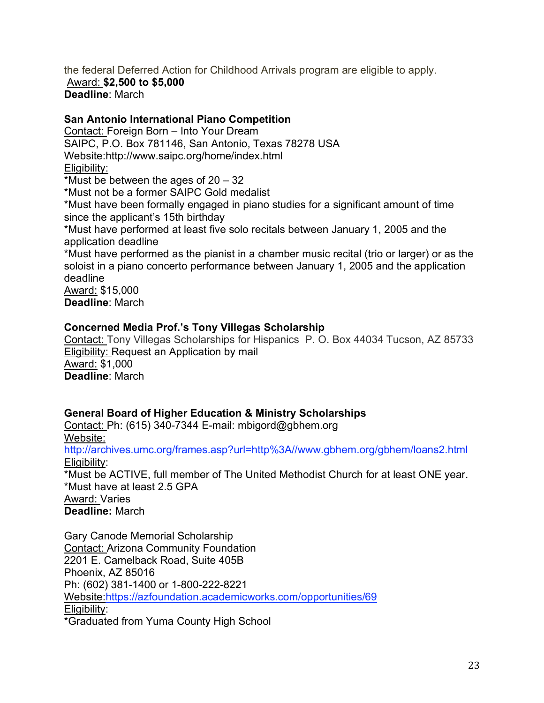the federal Deferred Action for Childhood Arrivals program are eligible to apply. Award: **\$2,500 to \$5,000 Deadline**: March

#### **San Antonio International Piano Competition**

Contact: Foreign Born – Into Your Dream SAIPC, P.O. Box 781146, San Antonio, Texas 78278 USA Website:http://www.saipc.org/home/index.html Eligibility: \*Must be between the ages of 20 – 32 \*Must not be a former SAIPC Gold medalist \*Must have been formally engaged in piano studies for a significant amount of time since the applicant's 15th birthday \*Must have performed at least five solo recitals between January 1, 2005 and the application deadline \*Must have performed as the pianist in a chamber music recital (trio or larger) or as the soloist in a piano concerto performance between January 1, 2005 and the application deadline Award: \$15,000

**Deadline**: March

#### **Concerned Media Prof.'s Tony Villegas Scholarship**

Contact: Tony Villegas Scholarships for Hispanics P. O. Box 44034 Tucson, AZ 85733 Eligibility: Request an Application by mail Award: \$1,000 **Deadline**: March

#### **General Board of Higher Education & Ministry Scholarships**

Contact: Ph: (615) 340-7344 E-mail: mbigord@gbhem.org Website: http://archives.umc.org/frames.asp?url=http%3A//www.gbhem.org/gbhem/loans2.html Eligibility: \*Must be ACTIVE, full member of The United Methodist Church for at least ONE year. \*Must have at least 2.5 GPA Award: Varies **Deadline:** March

Gary Canode Memorial Scholarship Contact: Arizona Community Foundation 2201 E. Camelback Road, Suite 405B Phoenix, AZ 85016 Ph: (602) 381-1400 or 1-800-222-8221 Website:https://azfoundation.academicworks.com/opportunities/69 Eligibility: \*Graduated from Yuma County High School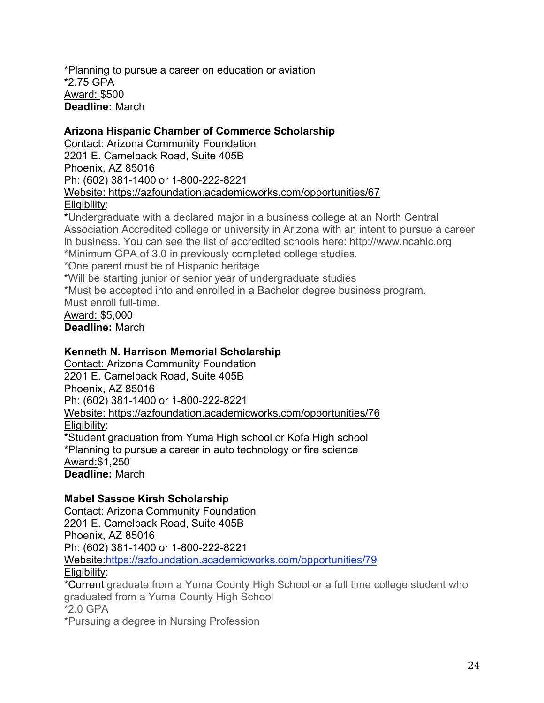\*Planning to pursue a career on education or aviation \*2.75 GPA Award: \$500 **Deadline:** March

#### **Arizona Hispanic Chamber of Commerce Scholarship**

Contact: Arizona Community Foundation 2201 E. Camelback Road, Suite 405B Phoenix, AZ 85016 Ph: (602) 381-1400 or 1-800-222-8221 Website: https://azfoundation.academicworks.com/opportunities/67 Eligibility:

\*Undergraduate with a declared major in a business college at an North Central Association Accredited college or university in Arizona with an intent to pursue a career in business. You can see the list of accredited schools here: http://www.ncahlc.org \*Minimum GPA of 3.0 in previously completed college studies.

\*One parent must be of Hispanic heritage

\*Will be starting junior or senior year of undergraduate studies

\*Must be accepted into and enrolled in a Bachelor degree business program. Must enroll full-time.

Award: \$5,000 **Deadline:** March

#### **Kenneth N. Harrison Memorial Scholarship**

Contact: Arizona Community Foundation 2201 E. Camelback Road, Suite 405B Phoenix, AZ 85016 Ph: (602) 381-1400 or 1-800-222-8221 Website: https://azfoundation.academicworks.com/opportunities/76 Eligibility: \*Student graduation from Yuma High school or Kofa High school \*Planning to pursue a career in auto technology or fire science Award:\$1,250 **Deadline:** March

#### **Mabel Sassoe Kirsh Scholarship**

Contact: Arizona Community Foundation 2201 E. Camelback Road, Suite 405B Phoenix, AZ 85016 Ph: (602) 381-1400 or 1-800-222-8221 Website:https://azfoundation.academicworks.com/opportunities/79 Eligibility: \*Current graduate from a Yuma County High School or a full time college student who graduated from a Yuma County High School \*2.0 GPA

\*Pursuing a degree in Nursing Profession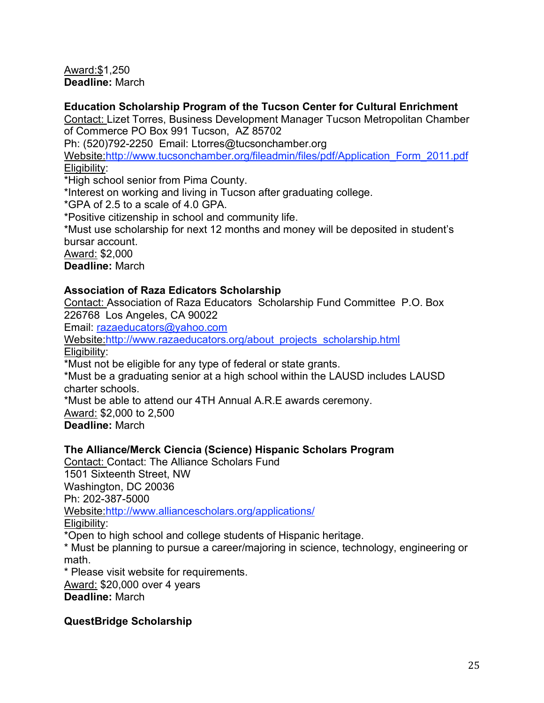Award:\$1,250 **Deadline:** March

#### **Education Scholarship Program of the Tucson Center for Cultural Enrichment**

Contact: Lizet Torres, Business Development Manager Tucson Metropolitan Chamber of Commerce PO Box 991 Tucson, AZ 85702

Ph: (520)792-2250 Email: Ltorres@tucsonchamber.org

Website:http://www.tucsonchamber.org/fileadmin/files/pdf/Application\_Form\_2011.pdf Eligibility:

\*High school senior from Pima County.

\*Interest on working and living in Tucson after graduating college.

\*GPA of 2.5 to a scale of 4.0 GPA.

\*Positive citizenship in school and community life.

\*Must use scholarship for next 12 months and money will be deposited in student's bursar account.

Award: \$2,000

**Deadline:** March

## **Association of Raza Edicators Scholarship**

Contact: Association of Raza Educators Scholarship Fund Committee P.O. Box 226768 Los Angeles, CA 90022

Email: razaeducators@yahoo.com

Website:http://www.razaeducators.org/about\_projects\_scholarship.html Eligibility:

\*Must not be eligible for any type of federal or state grants.

\*Must be a graduating senior at a high school within the LAUSD includes LAUSD charter schools.

\*Must be able to attend our 4TH Annual A.R.E awards ceremony.

Award: \$2,000 to 2,500 **Deadline:** March

## **The Alliance/Merck Ciencia (Science) Hispanic Scholars Program**

Contact: Contact: The Alliance Scholars Fund 1501 Sixteenth Street, NW Washington, DC 20036 Ph: 202-387-5000 Website:http://www.alliancescholars.org/applications/ Eligibility:

\*Open to high school and college students of Hispanic heritage.

\* Must be planning to pursue a career/majoring in science, technology, engineering or math.

\* Please visit website for requirements.

Award: \$20,000 over 4 years **Deadline:** March

## **QuestBridge Scholarship**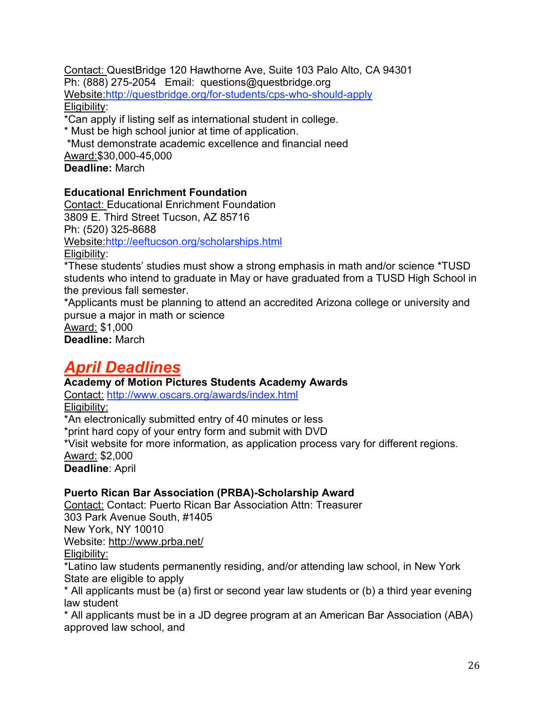Contact: QuestBridge 120 Hawthorne Ave, Suite 103 Palo Alto, CA 94301 Ph: (888) 275-2054 Email: questions@questbridge.org Website:http://questbridge.org/for-students/cps-who-should-apply Eligibility:

\*Can apply if listing self as international student in college.

\* Must be high school junior at time of application.

\*Must demonstrate academic excellence and financial need

Award:\$30,000-45,000

**Deadline:** March

#### **Educational Enrichment Foundation**

Contact: Educational Enrichment Foundation 3809 E. Third Street Tucson, AZ 85716 Ph: (520) 325-8688 Website:http://eeftucson.org/scholarships.html Eligibility:

\*These students' studies must show a strong emphasis in math and/or science \*TUSD students who intend to graduate in May or have graduated from a TUSD High School in the previous fall semester.

\*Applicants must be planning to attend an accredited Arizona college or university and pursue a major in math or science

Award: \$1,000

**Deadline:** March

## *April Deadlines*

#### **Academy of Motion Pictures Students Academy Awards**

Contact: http://www.oscars.org/awards/index.html Eligibility:

\*An electronically submitted entry of 40 minutes or less \*print hard copy of your entry form and submit with DVD \*Visit website for more information, as application process vary for different regions. Award: \$2,000 **Deadline**: April

#### **Puerto Rican Bar Association (PRBA)-Scholarship Award**

Contact: Contact: Puerto Rican Bar Association Attn: Treasurer 303 Park Avenue South, #1405 New York, NY 10010 Website: http://www.prba.net/

Eligibility:

\*Latino law students permanently residing, and/or attending law school, in New York State are eligible to apply

\* All applicants must be (a) first or second year law students or (b) a third year evening law student

\* All applicants must be in a JD degree program at an American Bar Association (ABA) approved law school, and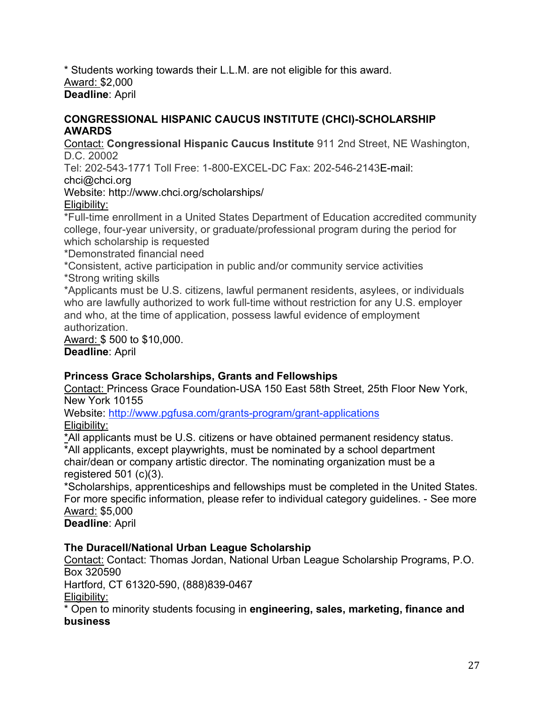\* Students working towards their L.L.M. are not eligible for this award. Award: \$2,000 **Deadline**: April

#### **CONGRESSIONAL HISPANIC CAUCUS INSTITUTE (CHCI)-SCHOLARSHIP AWARDS**

Contact: **Congressional Hispanic Caucus Institute** 911 2nd Street, NE Washington, D.C. 20002

Tel: 202-543-1771 Toll Free: 1-800-EXCEL-DC Fax: 202-546-2143E-mail:

chci@chci.org

Website: http://www.chci.org/scholarships/

## Eligibility:

\*Full-time enrollment in a United States Department of Education accredited community college, four-year university, or graduate/professional program during the period for which scholarship is requested

\*Demonstrated financial need

\*Consistent, active participation in public and/or community service activities \*Strong writing skills

\*Applicants must be U.S. citizens, lawful permanent residents, asylees, or individuals who are lawfully authorized to work full-time without restriction for any U.S. employer and who, at the time of application, possess lawful evidence of employment authorization.

Award: \$ 500 to \$10,000. **Deadline**: April

## **Princess Grace Scholarships, Grants and Fellowships**

Contact: Princess Grace Foundation-USA 150 East 58th Street, 25th Floor New York, New York 10155

Website: http://www.pgfusa.com/grants-program/grant-applications Eligibility:

\*All applicants must be U.S. citizens or have obtained permanent residency status. \*All applicants, except playwrights, must be nominated by a school department chair/dean or company artistic director. The nominating organization must be a registered 501 (c)(3).

\*Scholarships, apprenticeships and fellowships must be completed in the United States. For more specific information, please refer to individual category guidelines. - See more Award: \$5,000

**Deadline**: April

## **The Duracell/National Urban League Scholarship**

Contact: Contact: Thomas Jordan, National Urban League Scholarship Programs, P.O. Box 320590 Hartford, CT 61320-590, (888)839-0467

Eligibility:

\* Open to minority students focusing in **engineering, sales, marketing, finance and business**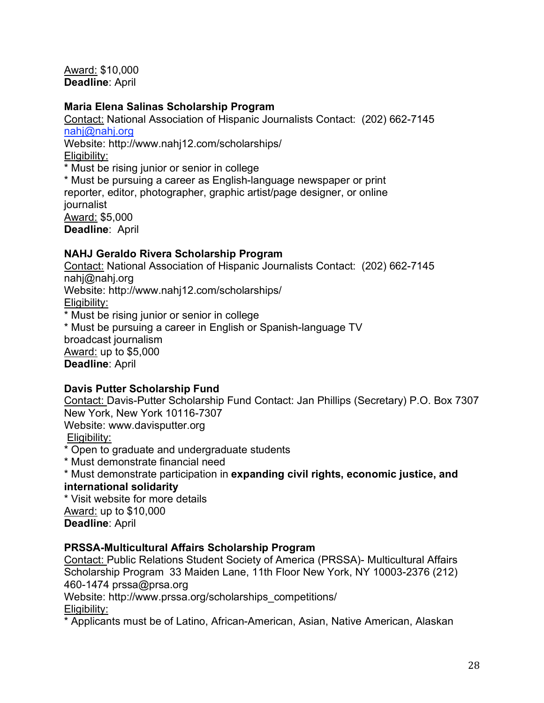Award: \$10,000 **Deadline**: April

#### **Maria Elena Salinas Scholarship Program**

Contact: National Association of Hispanic Journalists Contact: (202) 662-7145 nahj@nahj.org Website: http://www.nahj12.com/scholarships/ Eligibility: \* Must be rising junior or senior in college \* Must be pursuing a career as English-language newspaper or print reporter, editor, photographer, graphic artist/page designer, or online journalist Award: \$5,000 **Deadline**: April

## **NAHJ Geraldo Rivera Scholarship Program**

Contact: National Association of Hispanic Journalists Contact: (202) 662-7145 nahj@nahj.org Website: http://www.nahj12.com/scholarships/ Eligibility: \* Must be rising junior or senior in college \* Must be pursuing a career in English or Spanish-language TV broadcast journalism Award: up to \$5,000 **Deadline**: April

#### **Davis Putter Scholarship Fund**

Contact: Davis-Putter Scholarship Fund Contact: Jan Phillips (Secretary) P.O. Box 7307 New York, New York 10116-7307 Website: www.davisputter.org

Eligibility:

\* Open to graduate and undergraduate students

\* Must demonstrate financial need

\* Must demonstrate participation in **expanding civil rights, economic justice, and international solidarity**

\* Visit website for more details

Award: up to \$10,000

**Deadline**: April

## **PRSSA-Multicultural Affairs Scholarship Program**

Contact: Public Relations Student Society of America (PRSSA)- Multicultural Affairs Scholarship Program 33 Maiden Lane, 11th Floor New York, NY 10003-2376 (212) 460-1474 prssa@prsa.org

Website: http://www.prssa.org/scholarships\_competitions/

Eligibility:

\* Applicants must be of Latino, African-American, Asian, Native American, Alaskan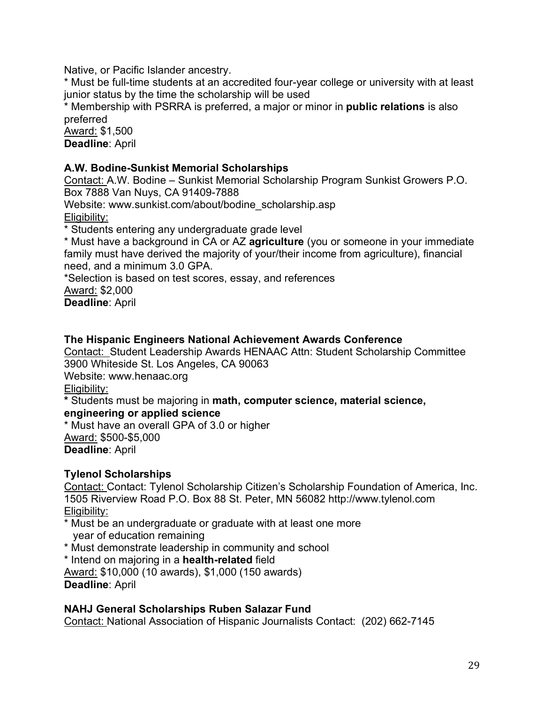Native, or Pacific Islander ancestry.

\* Must be full-time students at an accredited four-year college or university with at least junior status by the time the scholarship will be used

\* Membership with PSRRA is preferred, a major or minor in **public relations** is also preferred

Award: \$1,500 **Deadline**: April

## **A.W. Bodine-Sunkist Memorial Scholarships**

Contact: A.W. Bodine – Sunkist Memorial Scholarship Program Sunkist Growers P.O. Box 7888 Van Nuys, CA 91409-7888

Website: www.sunkist.com/about/bodine\_scholarship.asp Eligibility:

\* Students entering any undergraduate grade level

\* Must have a background in CA or AZ **agriculture** (you or someone in your immediate family must have derived the majority of your/their income from agriculture), financial need, and a minimum 3.0 GPA.

\*Selection is based on test scores, essay, and references

Award: \$2,000

**Deadline**: April

#### **The Hispanic Engineers National Achievement Awards Conference**

Contact: Student Leadership Awards HENAAC Attn: Student Scholarship Committee 3900 Whiteside St. Los Angeles, CA 90063

Website: www.henaac.org

Eligibility:

**\*** Students must be majoring in **math, computer science, material science,**

#### **engineering or applied science**

\* Must have an overall GPA of 3.0 or higher Award: \$500-\$5,000 **Deadline**: April

## **Tylenol Scholarships**

Contact: Contact: Tylenol Scholarship Citizen's Scholarship Foundation of America, Inc. 1505 Riverview Road P.O. Box 88 St. Peter, MN 56082 http://www.tylenol.com Eligibility:

\* Must be an undergraduate or graduate with at least one more year of education remaining

\* Must demonstrate leadership in community and school

\* Intend on majoring in a **health-related** field

Award: \$10,000 (10 awards), \$1,000 (150 awards) **Deadline**: April

## **NAHJ General Scholarships Ruben Salazar Fund**

Contact: National Association of Hispanic Journalists Contact: (202) 662-7145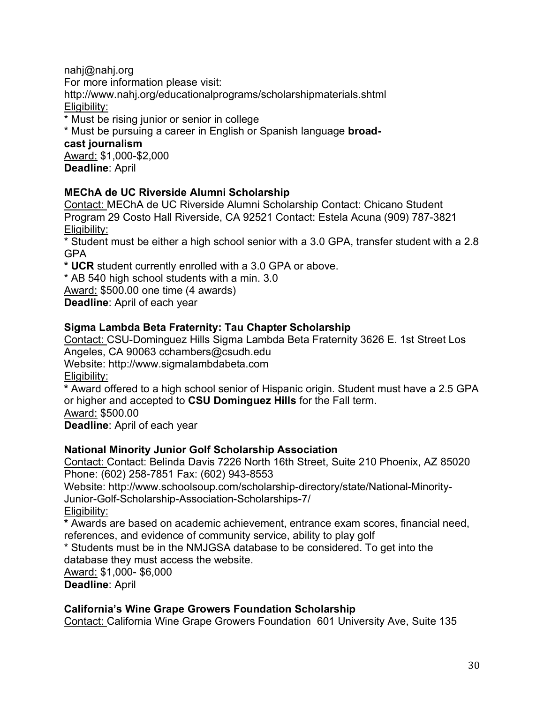nahj@nahj.org For more information please visit: http://www.nahj.org/educationalprograms/scholarshipmaterials.shtml

Eligibility:

\* Must be rising junior or senior in college

\* Must be pursuing a career in English or Spanish language **broad-**

**cast journalism**

Award: \$1,000-\$2,000 **Deadline**: April

#### **MEChA de UC Riverside Alumni Scholarship**

Contact: MEChA de UC Riverside Alumni Scholarship Contact: Chicano Student Program 29 Costo Hall Riverside, CA 92521 Contact: Estela Acuna (909) 787-3821 Eligibility:

\* Student must be either a high school senior with a 3.0 GPA, transfer student with a 2.8 GPA

**\* UCR** student currently enrolled with a 3.0 GPA or above.

\* AB 540 high school students with a min. 3.0

Award: \$500.00 one time (4 awards)

**Deadline**: April of each year

## **Sigma Lambda Beta Fraternity: Tau Chapter Scholarship**

Contact: CSU-Dominguez Hills Sigma Lambda Beta Fraternity 3626 E. 1st Street Los Angeles, CA 90063 cchambers@csudh.edu Website: http://www.sigmalambdabeta.com Eligibility:

**\*** Award offered to a high school senior of Hispanic origin. Student must have a 2.5 GPA or higher and accepted to **CSU Dominguez Hills** for the Fall term. Award: \$500.00 **Deadline**: April of each year

#### **National Minority Junior Golf Scholarship Association**

Contact: Contact: Belinda Davis 7226 North 16th Street, Suite 210 Phoenix, AZ 85020 Phone: (602) 258-7851 Fax: (602) 943-8553

Website: http://www.schoolsoup.com/scholarship-directory/state/National-Minority-Junior-Golf-Scholarship-Association-Scholarships-7/

Eligibility:

**\*** Awards are based on academic achievement, entrance exam scores, financial need, references, and evidence of community service, ability to play golf

\* Students must be in the NMJGSA database to be considered. To get into the database they must access the website.

Award: \$1,000- \$6,000

**Deadline**: April

#### **California's Wine Grape Growers Foundation Scholarship**

Contact: California Wine Grape Growers Foundation 601 University Ave, Suite 135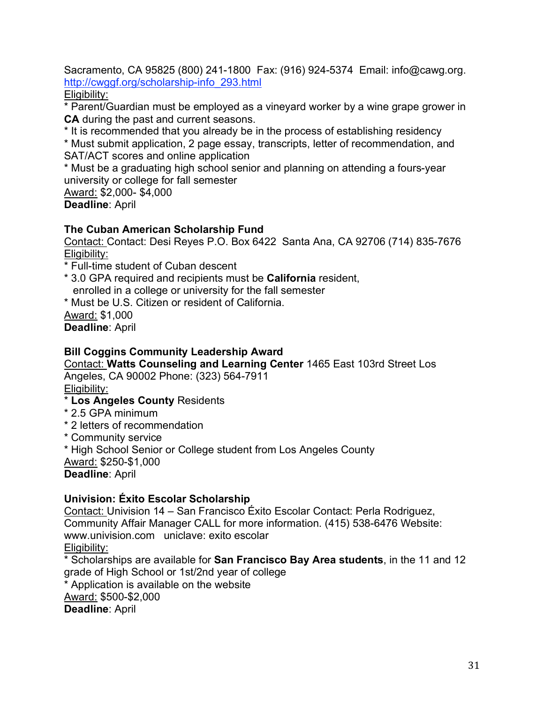Sacramento, CA 95825 (800) 241-1800 Fax: (916) 924-5374 Email: info@cawg.org. http://cwggf.org/scholarship-info\_293.html

Eligibility:

\* Parent/Guardian must be employed as a vineyard worker by a wine grape grower in **CA** during the past and current seasons.

\* It is recommended that you already be in the process of establishing residency

\* Must submit application, 2 page essay, transcripts, letter of recommendation, and SAT/ACT scores and online application

\* Must be a graduating high school senior and planning on attending a fours-year university or college for fall semester

Award: \$2,000- \$4,000 **Deadline**: April

## **The Cuban American Scholarship Fund**

Contact: Contact: Desi Reyes P.O. Box 6422 Santa Ana, CA 92706 (714) 835-7676 Eligibility:

\* Full-time student of Cuban descent

- \* 3.0 GPA required and recipients must be **California** resident, enrolled in a college or university for the fall semester
- \* Must be U.S. Citizen or resident of California.

Award: \$1,000

**Deadline**: April

#### **Bill Coggins Community Leadership Award**

Contact: **Watts Counseling and Learning Center** 1465 East 103rd Street Los Angeles, CA 90002 Phone: (323) 564-7911

Eligibility:

## \* **Los Angeles County** Residents

- \* 2.5 GPA minimum
- \* 2 letters of recommendation
- \* Community service

\* High School Senior or College student from Los Angeles County Award: \$250-\$1,000

**Deadline**: April

#### **Univision: Éxito Escolar Scholarship**

Contact: Univision 14 – San Francisco Éxito Escolar Contact: Perla Rodriguez, Community Affair Manager CALL for more information. (415) 538-6476 Website: www.univision.com uniclave: exito escolar Eligibility:

\* Scholarships are available for **San Francisco Bay Area students**, in the 11 and 12 grade of High School or 1st/2nd year of college

\* Application is available on the website Award: \$500-\$2,000

**Deadline**: April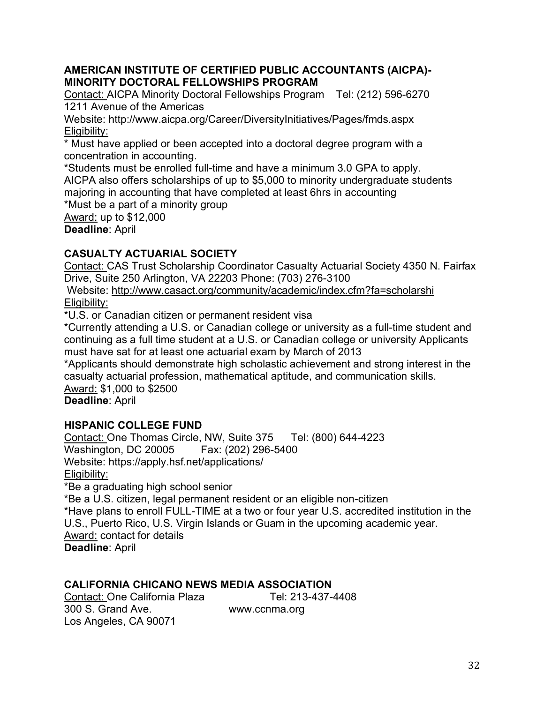#### **AMERICAN INSTITUTE OF CERTIFIED PUBLIC ACCOUNTANTS (AICPA)- MINORITY DOCTORAL FELLOWSHIPS PROGRAM**

Contact: AICPA Minority Doctoral Fellowships Program Tel: (212) 596-6270 1211 Avenue of the Americas

Website: http://www.aicpa.org/Career/DiversityInitiatives/Pages/fmds.aspx Eligibility:

\* Must have applied or been accepted into a doctoral degree program with a concentration in accounting.

\*Students must be enrolled full-time and have a minimum 3.0 GPA to apply. AICPA also offers scholarships of up to \$5,000 to minority undergraduate students majoring in accounting that have completed at least 6hrs in accounting

\*Must be a part of a minority group

Award: up to \$12,000

**Deadline**: April

## **CASUALTY ACTUARIAL SOCIETY**

Contact: CAS Trust Scholarship Coordinator Casualty Actuarial Society 4350 N. Fairfax Drive, Suite 250 Arlington, VA 22203 Phone: (703) 276-3100

Website: http://www.casact.org/community/academic/index.cfm?fa=scholarshi Eligibility:

\*U.S. or Canadian citizen or permanent resident visa

\*Currently attending a U.S. or Canadian college or university as a full-time student and continuing as a full time student at a U.S. or Canadian college or university Applicants must have sat for at least one actuarial exam by March of 2013

\*Applicants should demonstrate high scholastic achievement and strong interest in the casualty actuarial profession, mathematical aptitude, and communication skills. Award: \$1,000 to \$2500

**Deadline**: April

## **HISPANIC COLLEGE FUND**

Contact: One Thomas Circle, NW, Suite 375 Tel: (800) 644-4223 Washington, DC 20005 Fax: (202) 296-5400 Website: https://apply.hsf.net/applications/ Eligibility: \*Be a graduating high school senior

\*Be a U.S. citizen, legal permanent resident or an eligible non-citizen \*Have plans to enroll FULL-TIME at a two or four year U.S. accredited institution in the U.S., Puerto Rico, U.S. Virgin Islands or Guam in the upcoming academic year. Award: contact for details **Deadline**: April

## **CALIFORNIA CHICANO NEWS MEDIA ASSOCIATION**

Contact: One California Plaza Tel: 213-437-4408 300 S. Grand Ave. www.ccnma.org Los Angeles, CA 90071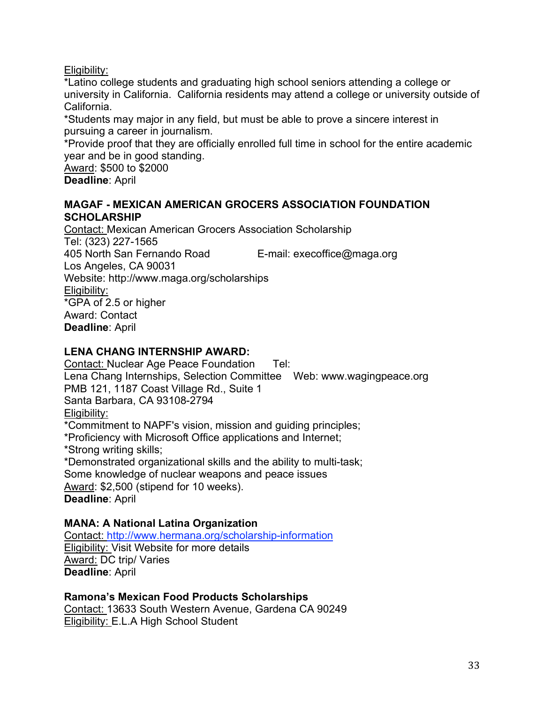Eligibility:

\*Latino college students and graduating high school seniors attending a college or university in California. California residents may attend a college or university outside of California.

\*Students may major in any field, but must be able to prove a sincere interest in pursuing a career in journalism.

\*Provide proof that they are officially enrolled full time in school for the entire academic year and be in good standing.

Award: \$500 to \$2000 **Deadline**: April

#### **MAGAF - MEXICAN AMERICAN GROCERS ASSOCIATION FOUNDATION SCHOLARSHIP**

Contact: Mexican American Grocers Association Scholarship Tel: (323) 227-1565 405 North San Fernando Road E-mail: execoffice@maga.org Los Angeles, CA 90031 Website: http://www.maga.org/scholarships Eligibility: \*GPA of 2.5 or higher Award: Contact **Deadline**: April

## **LENA CHANG INTERNSHIP AWARD:**

Contact: Nuclear Age Peace Foundation Tel: Lena Chang Internships, Selection Committee Web: www.wagingpeace.org PMB 121, 1187 Coast Village Rd., Suite 1 Santa Barbara, CA 93108-2794 Eligibility: \*Commitment to NAPF's vision, mission and guiding principles; \*Proficiency with Microsoft Office applications and Internet; \*Strong writing skills; \*Demonstrated organizational skills and the ability to multi-task; Some knowledge of nuclear weapons and peace issues Award: \$2,500 (stipend for 10 weeks).

**Deadline**: April

## **MANA: A National Latina Organization**

Contact: http://www.hermana.org/scholarship-information Eligibility: Visit Website for more details Award: DC trip/ Varies **Deadline**: April

#### **Ramona's Mexican Food Products Scholarships**

Contact: 13633 South Western Avenue, Gardena CA 90249 Eligibility: E.L.A High School Student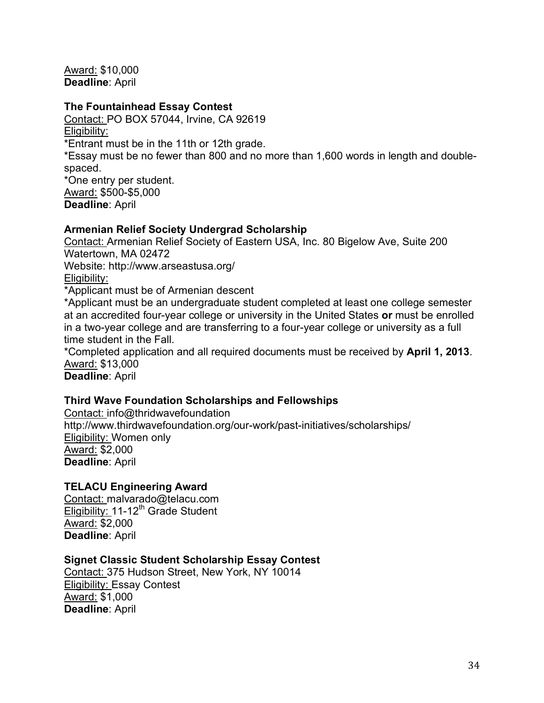Award: \$10,000 **Deadline**: April

#### **The Fountainhead Essay Contest**

Contact: PO BOX 57044, Irvine, CA 92619 Eligibility:

\*Entrant must be in the 11th or 12th grade.

\*Essay must be no fewer than 800 and no more than 1,600 words in length and doublespaced.

\*One entry per student. Award: \$500-\$5,000 **Deadline**: April

#### **Armenian Relief Society Undergrad Scholarship**

Contact: Armenian Relief Society of Eastern USA, Inc. 80 Bigelow Ave, Suite 200 Watertown, MA 02472 Website: http://www.arseastusa.org/ Eligibility:

\*Applicant must be of Armenian descent

\*Applicant must be an undergraduate student completed at least one college semester at an accredited four-year college or university in the United States **or** must be enrolled in a two-year college and are transferring to a four-year college or university as a full time student in the Fall.

\*Completed application and all required documents must be received by **April 1, 2013**. Award: \$13,000

**Deadline**: April

#### **Third Wave Foundation Scholarships and Fellowships**

Contact: info@thridwavefoundation http://www.thirdwavefoundation.org/our-work/past-initiatives/scholarships/ Eligibility: Women only Award: \$2,000 **Deadline**: April

#### **TELACU Engineering Award**

Contact: malvarado@telacu.com Eligibility:  $11-12^{th}$  Grade Student Award: \$2,000 **Deadline**: April

#### **Signet Classic Student Scholarship Essay Contest**

Contact: 375 Hudson Street, New York, NY 10014 Eligibility: Essay Contest Award: \$1,000 **Deadline**: April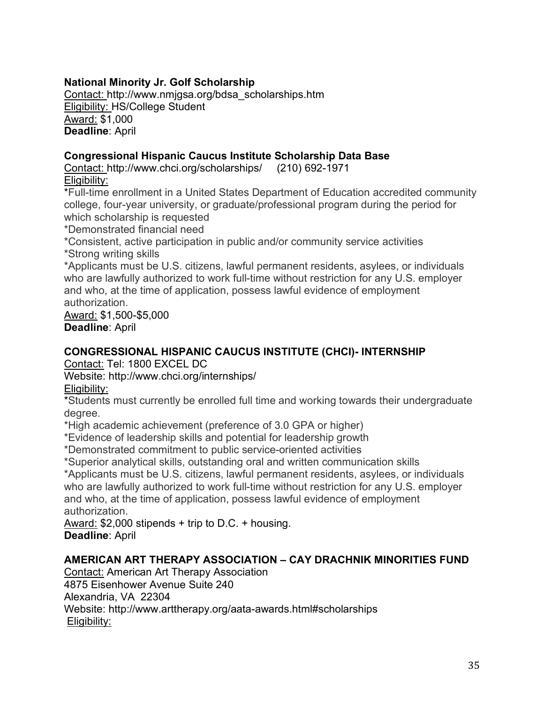## **National Minority Jr. Golf Scholarship**

Contact: http://www.nmjgsa.org/bdsa\_scholarships.htm Eligibility: HS/College Student Award: \$1,000 **Deadline**: April

#### **Congressional Hispanic Caucus Institute Scholarship Data Base**

Contact: http://www.chci.org/scholarships/ (210) 692-1971 Eligibility:

\*Full-time enrollment in a United States Department of Education accredited community college, four-year university, or graduate/professional program during the period for which scholarship is requested

\*Demonstrated financial need

\*Consistent, active participation in public and/or community service activities \*Strong writing skills

\*Applicants must be U.S. citizens, lawful permanent residents, asylees, or individuals who are lawfully authorized to work full-time without restriction for any U.S. employer and who, at the time of application, possess lawful evidence of employment authorization.

Award: \$1,500-\$5,000 **Deadline**: April

## **CONGRESSIONAL HISPANIC CAUCUS INSTITUTE (CHCI)- INTERNSHIP**

Contact: Tel: 1800 EXCEL DC

Website: http://www.chci.org/internships/

Eligibility:

\*Students must currently be enrolled full time and working towards their undergraduate degree.

\*High academic achievement (preference of 3.0 GPA or higher)

\*Evidence of leadership skills and potential for leadership growth

\*Demonstrated commitment to public service-oriented activities

\*Superior analytical skills, outstanding oral and written communication skills

\*Applicants must be U.S. citizens, lawful permanent residents, asylees, or individuals who are lawfully authorized to work full-time without restriction for any U.S. employer and who, at the time of application, possess lawful evidence of employment authorization.

Award: \$2,000 stipends + trip to D.C. + housing. **Deadline**: April

#### **AMERICAN ART THERAPY ASSOCIATION – CAY DRACHNIK MINORITIES FUND**

Contact: American Art Therapy Association 4875 Eisenhower Avenue Suite 240 Alexandria, VA 22304 Website: http://www.arttherapy.org/aata-awards.html#scholarships Eligibility: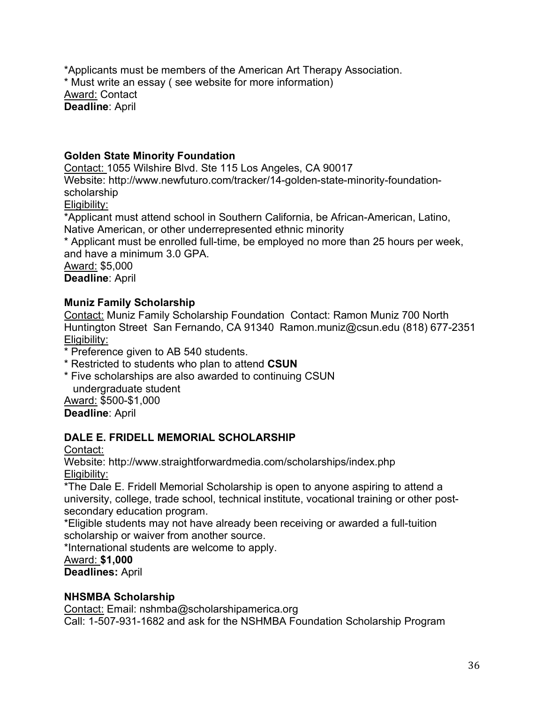\*Applicants must be members of the American Art Therapy Association. \* Must write an essay ( see website for more information) Award: Contact **Deadline**: April

#### **Golden State Minority Foundation**

Contact: 1055 Wilshire Blvd. Ste 115 Los Angeles, CA 90017 Website: http://www.newfuturo.com/tracker/14-golden-state-minority-foundationscholarship Eligibility:

\*Applicant must attend school in Southern California, be African-American, Latino, Native American, or other underrepresented ethnic minority

\* Applicant must be enrolled full-time, be employed no more than 25 hours per week, and have a minimum 3.0 GPA.

Award: \$5,000 **Deadline**: April

#### **Muniz Family Scholarship**

Contact: Muniz Family Scholarship Foundation Contact: Ramon Muniz 700 North Huntington Street San Fernando, CA 91340 Ramon.muniz@csun.edu (818) 677-2351 Eligibility:

- \* Preference given to AB 540 students.
- \* Restricted to students who plan to attend **CSUN**
- \* Five scholarships are also awarded to continuing CSUN undergraduate student Award: \$500-\$1,000

**Deadline**: April

#### **DALE E. FRIDELL MEMORIAL SCHOLARSHIP**

Contact:

Website: http://www.straightforwardmedia.com/scholarships/index.php Eligibility:

\*The Dale E. Fridell Memorial Scholarship is open to anyone aspiring to attend a university, college, trade school, technical institute, vocational training or other postsecondary education program.

\*Eligible students may not have already been receiving or awarded a full-tuition scholarship or waiver from another source.

\*International students are welcome to apply.

Award: **\$1,000**

**Deadlines:** April

## **NHSMBA Scholarship**

Contact: Email: nshmba@scholarshipamerica.org Call: 1-507-931-1682 and ask for the NSHMBA Foundation Scholarship Program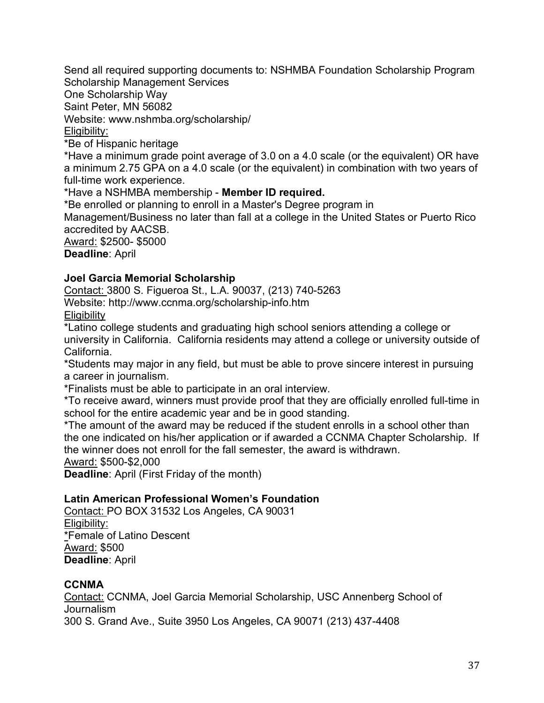Send all required supporting documents to: NSHMBA Foundation Scholarship Program Scholarship Management Services

One Scholarship Way

Saint Peter, MN 56082

Website: www.nshmba.org/scholarship/

#### Eligibility:

\*Be of Hispanic heritage

\*Have a minimum grade point average of 3.0 on a 4.0 scale (or the equivalent) OR have a minimum 2.75 GPA on a 4.0 scale (or the equivalent) in combination with two years of full-time work experience.

\*Have a NSHMBA membership - **Member ID required.**

\*Be enrolled or planning to enroll in a Master's Degree program in

Management/Business no later than fall at a college in the United States or Puerto Rico accredited by AACSB.

Award: \$2500- \$5000 **Deadline**: April

#### **Joel Garcia Memorial Scholarship**

Contact: 3800 S. Figueroa St., L.A. 90037, (213) 740-5263 Website: http://www.ccnma.org/scholarship-info.htm **Eligibility** 

\*Latino college students and graduating high school seniors attending a college or university in California. California residents may attend a college or university outside of California.

\*Students may major in any field, but must be able to prove sincere interest in pursuing a career in journalism.

\*Finalists must be able to participate in an oral interview.

\*To receive award, winners must provide proof that they are officially enrolled full-time in school for the entire academic year and be in good standing.

\*The amount of the award may be reduced if the student enrolls in a school other than the one indicated on his/her application or if awarded a CCNMA Chapter Scholarship. If the winner does not enroll for the fall semester, the award is withdrawn.

Award: \$500-\$2,000

**Deadline**: April (First Friday of the month)

#### **Latin American Professional Women's Foundation**

Contact: PO BOX 31532 Los Angeles, CA 90031 Eligibility: \*Female of Latino Descent Award: \$500 **Deadline**: April

#### **CCNMA**

Contact: CCNMA, Joel Garcia Memorial Scholarship, USC Annenberg School of Journalism 300 S. Grand Ave., Suite 3950 Los Angeles, CA 90071 (213) 437-4408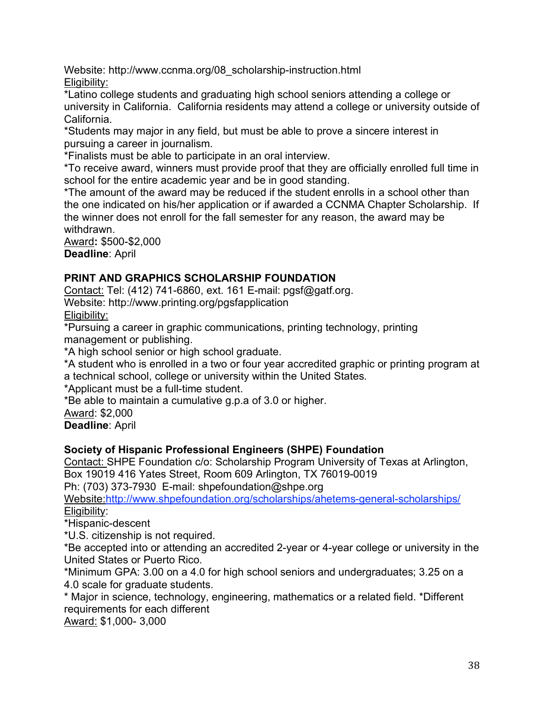Website: http://www.ccnma.org/08\_scholarship-instruction.html Eligibility:

\*Latino college students and graduating high school seniors attending a college or university in California. California residents may attend a college or university outside of California.

\*Students may major in any field, but must be able to prove a sincere interest in pursuing a career in journalism.

\*Finalists must be able to participate in an oral interview.

\*To receive award, winners must provide proof that they are officially enrolled full time in school for the entire academic year and be in good standing.

\*The amount of the award may be reduced if the student enrolls in a school other than the one indicated on his/her application or if awarded a CCNMA Chapter Scholarship. If the winner does not enroll for the fall semester for any reason, the award may be withdrawn.

Award**:** \$500-\$2,000 **Deadline**: April

# **PRINT AND GRAPHICS SCHOLARSHIP FOUNDATION**

Contact: Tel: (412) 741-6860, ext. 161 E-mail: pgsf@gatf.org. Website: http://www.printing.org/pgsfapplication

Eligibility:

\*Pursuing a career in graphic communications, printing technology, printing management or publishing.

\*A high school senior or high school graduate.

\*A student who is enrolled in a two or four year accredited graphic or printing program at a technical school, college or university within the United States.

\*Applicant must be a full-time student.

\*Be able to maintain a cumulative g.p.a of 3.0 or higher.

Award: \$2,000

**Deadline**: April

# **Society of Hispanic Professional Engineers (SHPE) Foundation**

Contact: SHPE Foundation c/o: Scholarship Program University of Texas at Arlington, Box 19019 416 Yates Street, Room 609 Arlington, TX 76019-0019

Ph: (703) 373-7930 E-mail: shpefoundation@shpe.org

Website:http://www.shpefoundation.org/scholarships/ahetems-general-scholarships/ Eligibility:

\*Hispanic-descent

\*U.S. citizenship is not required.

\*Be accepted into or attending an accredited 2-year or 4-year college or university in the United States or Puerto Rico.

\*Minimum GPA: 3.00 on a 4.0 for high school seniors and undergraduates; 3.25 on a 4.0 scale for graduate students.

\* Major in science, technology, engineering, mathematics or a related field. \*Different requirements for each different

Award: \$1,000- 3,000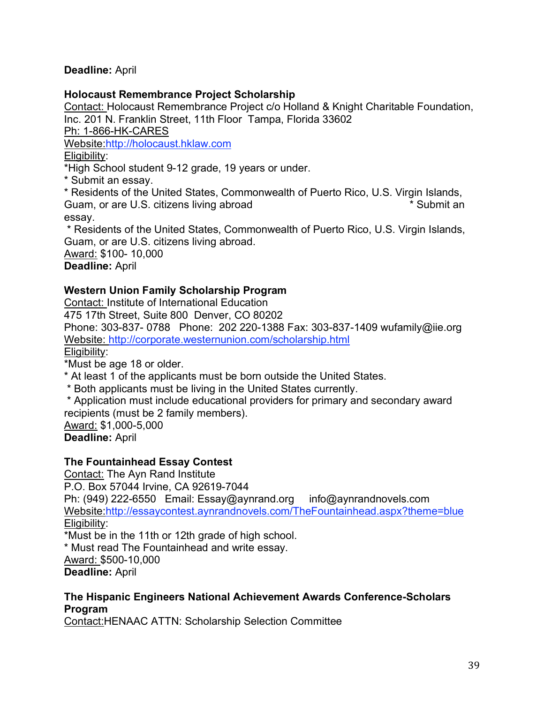#### **Deadline:** April

#### **Holocaust Remembrance Project Scholarship**

Contact: Holocaust Remembrance Project c/o Holland & Knight Charitable Foundation, Inc. 201 N. Franklin Street, 11th Floor Tampa, Florida 33602

Ph: 1-866-HK-CARES

Website:http://holocaust.hklaw.com

Eligibility:

\*High School student 9-12 grade, 19 years or under.

\* Submit an essay.

\* Residents of the United States, Commonwealth of Puerto Rico, U.S. Virgin Islands, Guam, or are U.S. citizens living abroad **\*** Submit an essay.

\* Residents of the United States, Commonwealth of Puerto Rico, U.S. Virgin Islands, Guam, or are U.S. citizens living abroad.

Award: \$100- 10,000 **Deadline:** April

#### **Western Union Family Scholarship Program**

Contact: Institute of International Education

475 17th Street, Suite 800 Denver, CO 80202

Phone: 303-837- 0788 Phone: 202 220-1388 Fax: 303-837-1409 wufamily@iie.org Website: http://corporate.westernunion.com/scholarship.html

Eligibility:

\*Must be age 18 or older.

\* At least 1 of the applicants must be born outside the United States.

\* Both applicants must be living in the United States currently.

\* Application must include educational providers for primary and secondary award recipients (must be 2 family members).

Award: \$1,000-5,000

**Deadline:** April

#### **The Fountainhead Essay Contest**

Contact: The Ayn Rand Institute P.O. Box 57044 Irvine, CA 92619-7044 Ph: (949) 222-6550 Email: Essay@aynrand.org info@aynrandnovels.com Website:http://essaycontest.aynrandnovels.com/TheFountainhead.aspx?theme=blue Eligibility: \*Must be in the 11th or 12th grade of high school. \* Must read The Fountainhead and write essay.

Award: \$500-10,000 **Deadline:** April

#### **The Hispanic Engineers National Achievement Awards Conference-Scholars Program**

Contact:HENAAC ATTN: Scholarship Selection Committee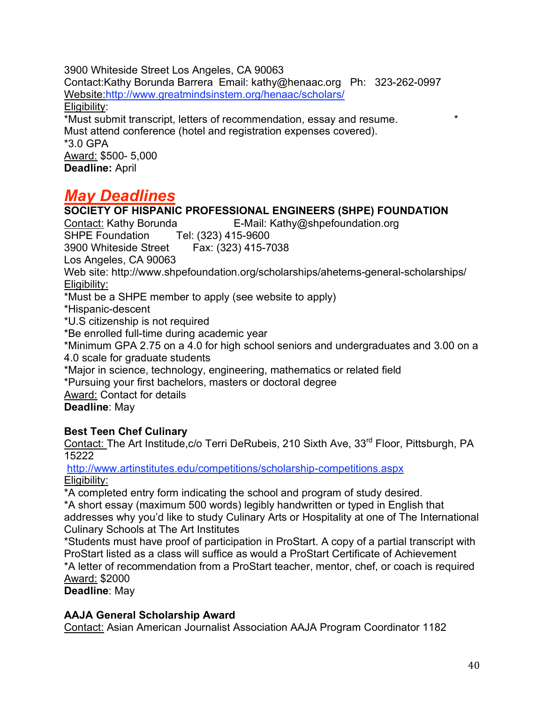3900 Whiteside Street Los Angeles, CA 90063 Contact:Kathy Borunda Barrera Email: kathy@henaac.org Ph: 323-262-0997 Website:http://www.greatmindsinstem.org/henaac/scholars/ Eligibility: \*Must submit transcript, letters of recommendation, essay and resume. \* Must attend conference (hotel and registration expenses covered). \*3.0 GPA Award: \$500- 5,000 **Deadline:** April

# *May Deadlines*

**SOCIETY OF HISPANIC PROFESSIONAL ENGINEERS (SHPE) FOUNDATION** Contact: Kathy Borunda E-Mail: Kathy@shpefoundation.org SHPE Foundation Tel: (323) 415-9600 3900 Whiteside Street Fax: (323) 415-7038 Los Angeles, CA 90063 Web site: http://www.shpefoundation.org/scholarships/ahetems-general-scholarships/ Eligibility: \*Must be a SHPE member to apply (see website to apply) \*Hispanic-descent \*U.S citizenship is not required \*Be enrolled full-time during academic year \*Minimum GPA 2.75 on a 4.0 for high school seniors and undergraduates and 3.00 on a 4.0 scale for graduate students \*Major in science, technology, engineering, mathematics or related field \*Pursuing your first bachelors, masters or doctoral degree Award: Contact for details **Deadline**: May

# **Best Teen Chef Culinary**

Contact: The Art Institude, c/o Terri DeRubeis, 210 Sixth Ave, 33<sup>rd</sup> Floor, Pittsburgh, PA 15222

http://www.artinstitutes.edu/competitions/scholarship-competitions.aspx Eligibility:

\*A completed entry form indicating the school and program of study desired.

\*A short essay (maximum 500 words) legibly handwritten or typed in English that addresses why you'd like to study Culinary Arts or Hospitality at one of The International Culinary Schools at The Art Institutes

\*Students must have proof of participation in ProStart. A copy of a partial transcript with ProStart listed as a class will suffice as would a ProStart Certificate of Achievement \*A letter of recommendation from a ProStart teacher, mentor, chef, or coach is required Award: \$2000

**Deadline**: May

#### **AAJA General Scholarship Award**

Contact: Asian American Journalist Association AAJA Program Coordinator 1182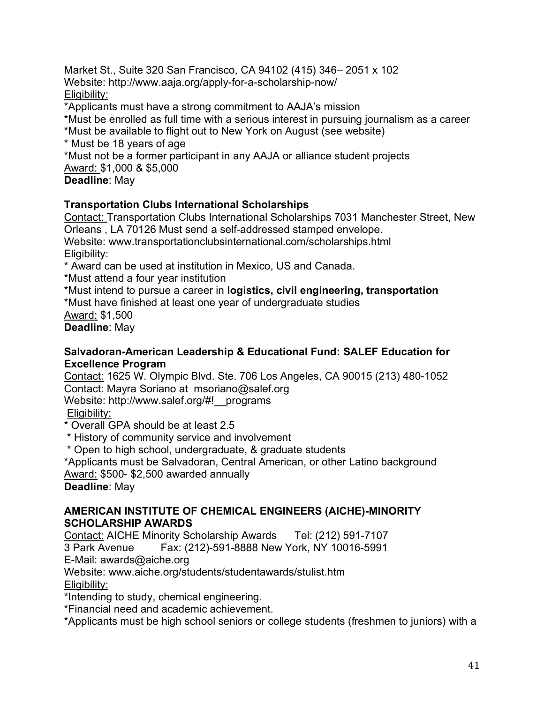Market St., Suite 320 San Francisco, CA 94102 (415) 346– 2051 x 102 Website: http://www.aaja.org/apply-for-a-scholarship-now/ Eligibility:

\*Applicants must have a strong commitment to AAJA's mission

\*Must be enrolled as full time with a serious interest in pursuing journalism as a career

\*Must be available to flight out to New York on August (see website)

\* Must be 18 years of age

\*Must not be a former participant in any AAJA or alliance student projects Award: \$1,000 & \$5,000

**Deadline**: May

#### **Transportation Clubs International Scholarships**

Contact: Transportation Clubs International Scholarships 7031 Manchester Street, New Orleans , LA 70126 Must send a self-addressed stamped envelope.

Website: www.transportationclubsinternational.com/scholarships.html Eligibility:

\* Award can be used at institution in Mexico, US and Canada.

\*Must attend a four year institution

\*Must intend to pursue a career in **logistics, civil engineering, transportation**

\*Must have finished at least one year of undergraduate studies

Award: \$1,500

**Deadline**: May

#### **Salvadoran-American Leadership & Educational Fund: SALEF Education for Excellence Program**

Contact: 1625 W. Olympic Blvd. Ste. 706 Los Angeles, CA 90015 (213) 480-1052 Contact: Mayra Soriano at msoriano@salef.org Website: http://www.salef.org/#!\_\_programs

Eligibility:

\* Overall GPA should be at least 2.5

\* History of community service and involvement

\* Open to high school, undergraduate, & graduate students

\*Applicants must be Salvadoran, Central American, or other Latino background Award: \$500- \$2,500 awarded annually

**Deadline**: May

#### **AMERICAN INSTITUTE OF CHEMICAL ENGINEERS (AICHE)-MINORITY SCHOLARSHIP AWARDS**

Contact: AICHE Minority Scholarship Awards Tel: (212) 591-7107

3 Park Avenue Fax: (212)-591-8888 New York, NY 10016-5991

E-Mail: awards@aiche.org

Website: www.aiche.org/students/studentawards/stulist.htm

Eligibility:

\*Intending to study, chemical engineering.

\*Financial need and academic achievement.

\*Applicants must be high school seniors or college students (freshmen to juniors) with a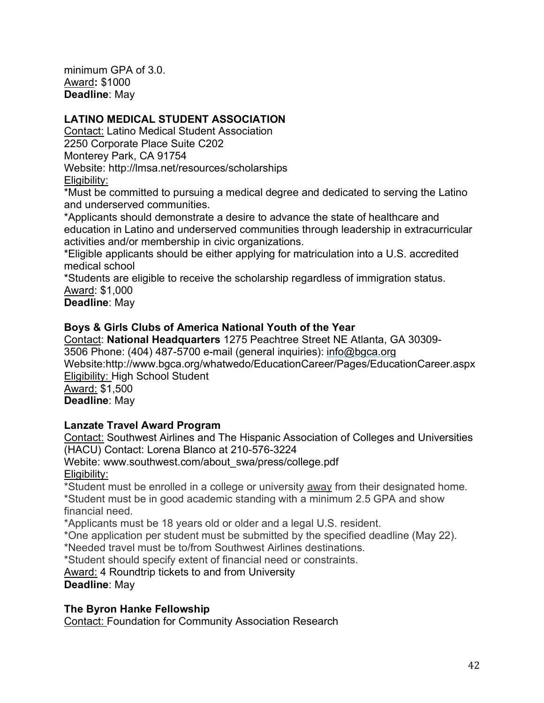minimum GPA of 3.0. Award**:** \$1000 **Deadline**: May

# **LATINO MEDICAL STUDENT ASSOCIATION**

Contact: Latino Medical Student Association 2250 Corporate Place Suite C202 Monterey Park, CA 91754 Website: http://lmsa.net/resources/scholarships Eligibility:

\*Must be committed to pursuing a medical degree and dedicated to serving the Latino and underserved communities.

\*Applicants should demonstrate a desire to advance the state of healthcare and education in Latino and underserved communities through leadership in extracurricular activities and/or membership in civic organizations.

\*Eligible applicants should be either applying for matriculation into a U.S. accredited medical school

\*Students are eligible to receive the scholarship regardless of immigration status. Award: \$1,000

**Deadline**: May

### **Boys & Girls Clubs of America National Youth of the Year**

Contact: **National Headquarters** 1275 Peachtree Street NE Atlanta, GA 30309- 3506 Phone: (404) 487-5700 e-mail (general inquiries): info@bgca.org Website:http://www.bgca.org/whatwedo/EducationCareer/Pages/EducationCareer.aspx Eligibility: High School Student

Award: \$1,500 **Deadline**: May

#### **Lanzate Travel Award Program**

Contact: Southwest Airlines and The Hispanic Association of Colleges and Universities (HACU) Contact: Lorena Blanco at 210-576-3224

Webite: www.southwest.com/about\_swa/press/college.pdf Eligibility:

\*Student must be enrolled in a college or university away from their designated home. \*Student must be in good academic standing with a minimum 2.5 GPA and show financial need.

\*Applicants must be 18 years old or older and a legal U.S. resident.

\*One application per student must be submitted by the specified deadline (May 22).

\*Needed travel must be to/from Southwest Airlines destinations.

\*Student should specify extent of financial need or constraints.

Award: 4 Roundtrip tickets to and from University

**Deadline**: May

# **The Byron Hanke Fellowship**

Contact: Foundation for Community Association Research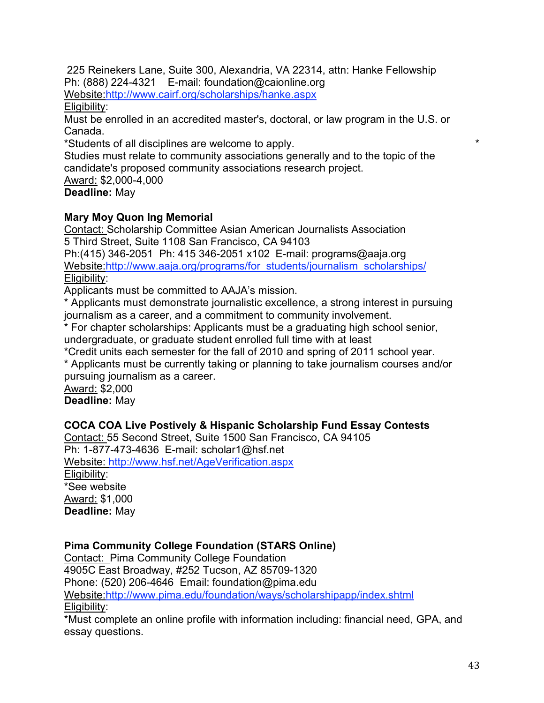225 Reinekers Lane, Suite 300, Alexandria, VA 22314, attn: Hanke Fellowship Ph: (888) 224-4321 E-mail: foundation@caionline.org Website:http://www.cairf.org/scholarships/hanke.aspx

Eligibility:

Must be enrolled in an accredited master's, doctoral, or law program in the U.S. or Canada.

\*Students of all disciplines are welcome to apply. \*

Studies must relate to community associations generally and to the topic of the candidate's proposed community associations research project.

Award: \$2,000-4,000

**Deadline:** May

### **Mary Moy Quon Ing Memorial**

Contact: Scholarship Committee Asian American Journalists Association 5 Third Street, Suite 1108 San Francisco, CA 94103

Ph:(415) 346-2051 Ph: 415 346-2051 x102 E-mail: programs@aaja.org Website:http://www.aaja.org/programs/for\_students/journalism\_scholarships/ Eligibility:

Applicants must be committed to AAJA's mission.

\* Applicants must demonstrate journalistic excellence, a strong interest in pursuing journalism as a career, and a commitment to community involvement.

\* For chapter scholarships: Applicants must be a graduating high school senior, undergraduate, or graduate student enrolled full time with at least

\*Credit units each semester for the fall of 2010 and spring of 2011 school year.

\* Applicants must be currently taking or planning to take journalism courses and/or pursuing journalism as a career.

Award: \$2,000 **Deadline:** May

# **COCA COA Live Postively & Hispanic Scholarship Fund Essay Contests**

Contact: 55 Second Street, Suite 1500 San Francisco, CA 94105 Ph: 1-877-473-4636 E-mail: scholar1@hsf.net Website: http://www.hsf.net/AgeVerification.aspx

Eligibility: \*See website Award: \$1,000 **Deadline:** May

# **Pima Community College Foundation (STARS Online)**

Contact: Pima Community College Foundation

4905C East Broadway, #252 Tucson, AZ 85709-1320

Phone: (520) 206-4646 Email: foundation@pima.edu

Website:http://www.pima.edu/foundation/ways/scholarshipapp/index.shtml Eligibility:

\*Must complete an online profile with information including: financial need, GPA, and essay questions.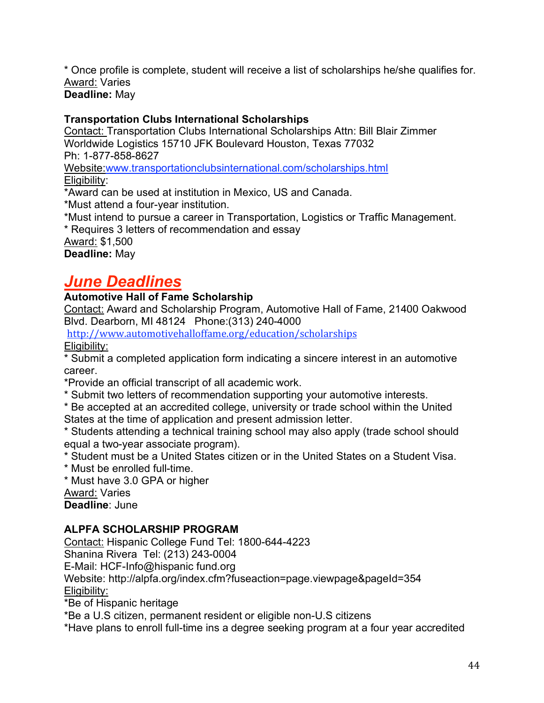\* Once profile is complete, student will receive a list of scholarships he/she qualifies for. Award: Varies

**Deadline:** May

### **Transportation Clubs International Scholarships**

Contact: Transportation Clubs International Scholarships Attn: Bill Blair Zimmer Worldwide Logistics 15710 JFK Boulevard Houston, Texas 77032 Ph: 1-877-858-8627

Website:www.transportationclubsinternational.com/scholarships.html Eligibility:

\*Award can be used at institution in Mexico, US and Canada.

\*Must attend a four-year institution.

\*Must intend to pursue a career in Transportation, Logistics or Traffic Management.

\* Requires 3 letters of recommendation and essay

Award: \$1,500

**Deadline:** May

# *June Deadlines*

#### **Automotive Hall of Fame Scholarship**

Contact: Award and Scholarship Program, Automotive Hall of Fame, 21400 Oakwood Blvd. Dearborn, MI 48124 Phone:(313) 240-4000

http://www.automotivehalloffame.org/education/scholarships

Eligibility:

\* Submit a completed application form indicating a sincere interest in an automotive career.

\*Provide an official transcript of all academic work.

\* Submit two letters of recommendation supporting your automotive interests.

\* Be accepted at an accredited college, university or trade school within the United States at the time of application and present admission letter.

\* Students attending a technical training school may also apply (trade school should equal a two-year associate program).

\* Student must be a United States citizen or in the United States on a Student Visa.

\* Must be enrolled full-time.

\* Must have 3.0 GPA or higher

Award: Varies

**Deadline**: June

#### **ALPFA SCHOLARSHIP PROGRAM**

Contact: Hispanic College Fund Tel: 1800-644-4223 Shanina Rivera Tel: (213) 243-0004 E-Mail: HCF-Info@hispanic fund.org Website: http://alpfa.org/index.cfm?fuseaction=page.viewpage&pageId=354 Eligibility:

\*Be of Hispanic heritage

\*Be a U.S citizen, permanent resident or eligible non-U.S citizens

\*Have plans to enroll full-time ins a degree seeking program at a four year accredited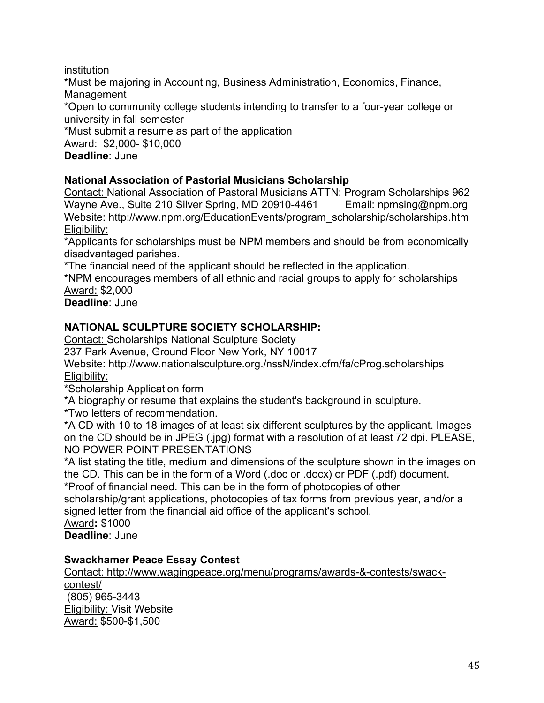institution

\*Must be majoring in Accounting, Business Administration, Economics, Finance, Management

\*Open to community college students intending to transfer to a four-year college or university in fall semester

\*Must submit a resume as part of the application Award: \$2,000- \$10,000 **Deadline**: June

# **National Association of Pastorial Musicians Scholarship**

Contact: National Association of Pastoral Musicians ATTN: Program Scholarships 962 Wayne Ave., Suite 210 Silver Spring, MD 20910-4461 Email: npmsing@npm.org Website: http://www.npm.org/EducationEvents/program\_scholarship/scholarships.htm Eligibility:

\*Applicants for scholarships must be NPM members and should be from economically disadvantaged parishes.

\*The financial need of the applicant should be reflected in the application.

\*NPM encourages members of all ethnic and racial groups to apply for scholarships Award: \$2,000

**Deadline**: June

# **NATIONAL SCULPTURE SOCIETY SCHOLARSHIP:**

Contact: Scholarships National Sculpture Society

237 Park Avenue, Ground Floor New York, NY 10017

Website: http://www.nationalsculpture.org./nssN/index.cfm/fa/cProg.scholarships Eligibility:

\*Scholarship Application form

\*A biography or resume that explains the student's background in sculpture.

\*Two letters of recommendation.

\*A CD with 10 to 18 images of at least six different sculptures by the applicant. Images on the CD should be in JPEG (.jpg) format with a resolution of at least 72 dpi. PLEASE, NO POWER POINT PRESENTATIONS

\*A list stating the title, medium and dimensions of the sculpture shown in the images on the CD. This can be in the form of a Word (.doc or .docx) or PDF (.pdf) document.

\*Proof of financial need. This can be in the form of photocopies of other

scholarship/grant applications, photocopies of tax forms from previous year, and/or a signed letter from the financial aid office of the applicant's school.

Award**:** \$1000

**Deadline**: June

# **Swackhamer Peace Essay Contest**

Contact: http://www.wagingpeace.org/menu/programs/awards-&-contests/swackcontest/ (805) 965-3443 Eligibility: Visit Website Award: \$500-\$1,500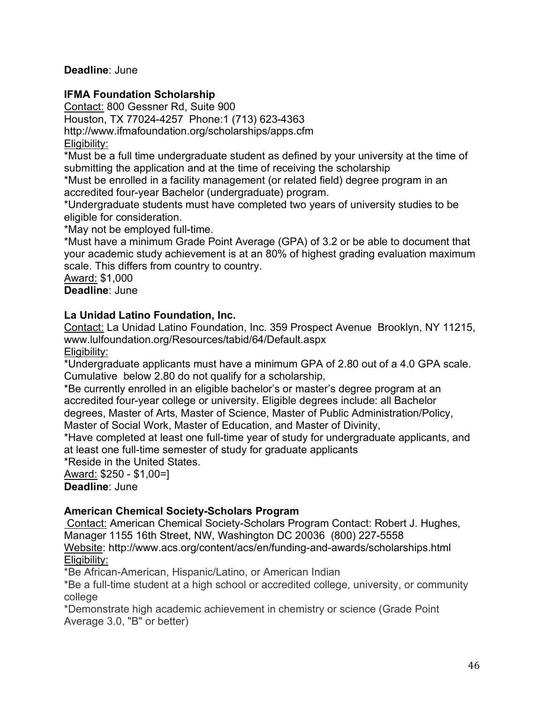#### **Deadline**: June

#### **IFMA Foundation Scholarship**

Contact: 800 Gessner Rd, Suite 900

Houston, TX 77024-4257 Phone:1 (713) 623-4363

http://www.ifmafoundation.org/scholarships/apps.cfm

Eligibility:

\*Must be a full time undergraduate student as defined by your university at the time of submitting the application and at the time of receiving the scholarship

\*Must be enrolled in a facility management (or related field) degree program in an accredited four-year Bachelor (undergraduate) program.

\*Undergraduate students must have completed two years of university studies to be eligible for consideration.

\*May not be employed full-time.

\*Must have a minimum Grade Point Average (GPA) of 3.2 or be able to document that your academic study achievement is at an 80% of highest grading evaluation maximum scale. This differs from country to country.

Award: \$1,000

**Deadline**: June

#### **La Unidad Latino Foundation, Inc.**

Contact: La Unidad Latino Foundation, Inc. 359 Prospect Avenue Brooklyn, NY 11215, www.lulfoundation.org/Resources/tabid/64/Default.aspx Eligibility:

\*Undergraduate applicants must have a minimum GPA of 2.80 out of a 4.0 GPA scale. Cumulative below 2.80 do not qualify for a scholarship,

\*Be currently enrolled in an eligible bachelor's or master's degree program at an accredited four-year college or university. Eligible degrees include: all Bachelor degrees, Master of Arts, Master of Science, Master of Public Administration/Policy, Master of Social Work, Master of Education, and Master of Divinity,

\*Have completed at least one full-time year of study for undergraduate applicants, and at least one full-time semester of study for graduate applicants

\*Reside in the United States.

Award: \$250 - \$1,00=] **Deadline**: June

#### **American Chemical Society-Scholars Program**

Contact: American Chemical Society-Scholars Program Contact: Robert J. Hughes, Manager 1155 16th Street, NW, Washington DC 20036 (800) 227-5558 Website: http://www.acs.org/content/acs/en/funding-and-awards/scholarships.html Eligibility:

\*Be African-American, Hispanic/Latino, or American Indian

\*Be a full-time student at a high school or accredited college, university, or community college

\*Demonstrate high academic achievement in chemistry or science (Grade Point Average 3.0, "B" or better)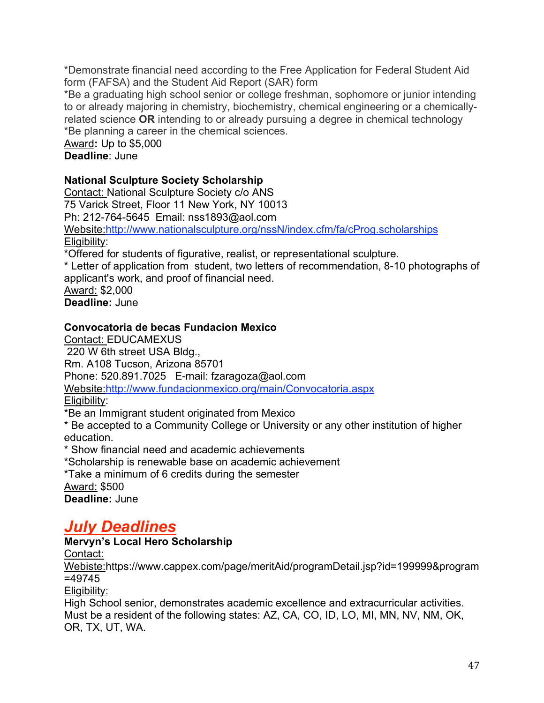\*Demonstrate financial need according to the Free Application for Federal Student Aid form (FAFSA) and the Student Aid Report (SAR) form

\*Be a graduating high school senior or college freshman, sophomore or junior intending to or already majoring in chemistry, biochemistry, chemical engineering or a chemicallyrelated science **OR** intending to or already pursuing a degree in chemical technology \*Be planning a career in the chemical sciences.

Award**:** Up to \$5,000 **Deadline**: June

### **National Sculpture Society Scholarship**

Contact: National Sculpture Society c/o ANS 75 Varick Street, Floor 11 New York, NY 10013 Ph: 212-764-5645 Email: nss1893@aol.com Website:http://www.nationalsculpture.org/nssN/index.cfm/fa/cProg.scholarships Eligibility: \*Offered for students of figurative, realist, or representational sculpture. \* Letter of application from student, two letters of recommendation, 8-10 photographs of

applicant's work, and proof of financial need. Award: \$2,000

**Deadline:** June

### **Convocatoria de becas Fundacion Mexico**

Contact: EDUCAMEXUS 220 W 6th street USA Bldg., Rm. A108 Tucson, Arizona 85701 Phone: 520.891.7025 E-mail: fzaragoza@aol.com Website:http://www.fundacionmexico.org/main/Convocatoria.aspx Eligibility:

\*Be an Immigrant student originated from Mexico

\* Be accepted to a Community College or University or any other institution of higher education.

\* Show financial need and academic achievements

\*Scholarship is renewable base on academic achievement

\*Take a minimum of 6 credits during the semester Award: \$500

**Deadline:** June

# *July Deadlines*

# **Mervyn's Local Hero Scholarship**

Contact:

Webiste:https://www.cappex.com/page/meritAid/programDetail.jsp?id=199999&program =49745

Eligibility:

High School senior, demonstrates academic excellence and extracurricular activities. Must be a resident of the following states: AZ, CA, CO, ID, LO, MI, MN, NV, NM, OK, OR, TX, UT, WA.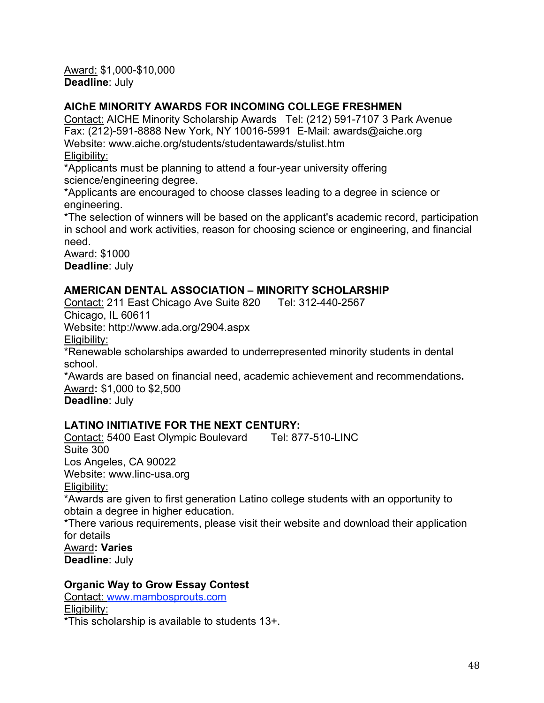Award: \$1,000-\$10,000 **Deadline**: July

#### **AIChE MINORITY AWARDS FOR INCOMING COLLEGE FRESHMEN**

Contact: AICHE Minority Scholarship Awards Tel: (212) 591-7107 3 Park Avenue Fax: (212)-591-8888 New York, NY 10016-5991 E-Mail: awards@aiche.org Website: www.aiche.org/students/studentawards/stulist.htm Eligibility:

\*Applicants must be planning to attend a four-year university offering science/engineering degree.

\*Applicants are encouraged to choose classes leading to a degree in science or engineering.

\*The selection of winners will be based on the applicant's academic record, participation in school and work activities, reason for choosing science or engineering, and financial need.

Award: \$1000 **Deadline**: July

#### **AMERICAN DENTAL ASSOCIATION – MINORITY SCHOLARSHIP**

Contact: 211 East Chicago Ave Suite 820 Tel: 312-440-2567 Chicago, IL 60611

Website: http://www.ada.org/2904.aspx

Eligibility:

\*Renewable scholarships awarded to underrepresented minority students in dental school.

\*Awards are based on financial need, academic achievement and recommendations**.** Award**:** \$1,000 to \$2,500

**Deadline**: July

#### **LATINO INITIATIVE FOR THE NEXT CENTURY:**

Contact: 5400 East Olympic Boulevard Tel: 877-510-LINC Suite 300 Los Angeles, CA 90022 Website: www.linc-usa.org Eligibility:

\*Awards are given to first generation Latino college students with an opportunity to obtain a degree in higher education.

\*There various requirements, please visit their website and download their application for details

Award**: Varies Deadline**: July

#### **Organic Way to Grow Essay Contest**

Contact: www.mambosprouts.com Eligibility:

\*This scholarship is available to students 13+.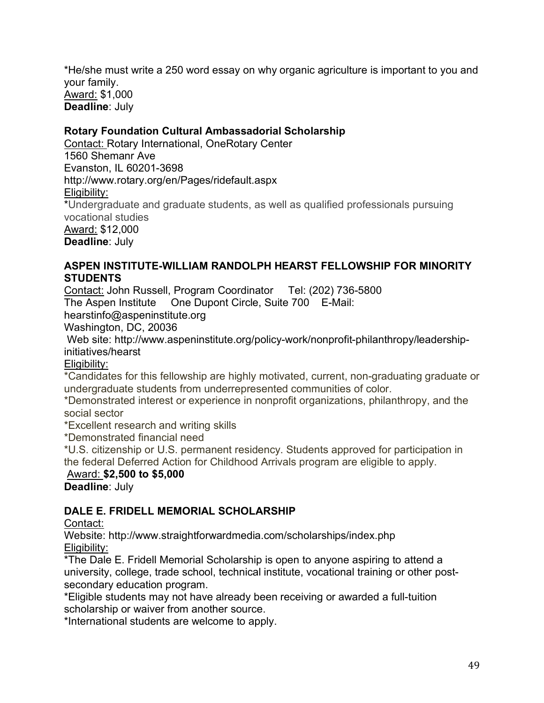\*He/she must write a 250 word essay on why organic agriculture is important to you and your family. Award: \$1,000 **Deadline**: July

#### **Rotary Foundation Cultural Ambassadorial Scholarship**

Contact: Rotary International, OneRotary Center 1560 Shemanr Ave Evanston, IL 60201-3698 http://www.rotary.org/en/Pages/ridefault.aspx Eligibility: \*Undergraduate and graduate students, as well as qualified professionals pursuing vocational studies Award: \$12,000 **Deadline**: July

#### **ASPEN INSTITUTE-WILLIAM RANDOLPH HEARST FELLOWSHIP FOR MINORITY STUDENTS**

Contact: John Russell, Program Coordinator Tel: (202) 736-5800 The Aspen Institute One Dupont Circle, Suite 700 E-Mail:

hearstinfo@aspeninstitute.org

Washington, DC, 20036

Web site: http://www.aspeninstitute.org/policy-work/nonprofit-philanthropy/leadershipinitiatives/hearst

Eligibility:

\*Candidates for this fellowship are highly motivated, current, non-graduating graduate or undergraduate students from underrepresented communities of color.

\*Demonstrated interest or experience in nonprofit organizations, philanthropy, and the social sector

\*Excellent research and writing skills

\*Demonstrated financial need

\*U.S. citizenship or U.S. permanent residency. Students approved for participation in the federal Deferred Action for Childhood Arrivals program are eligible to apply.

# Award: **\$2,500 to \$5,000**

**Deadline**: July

# **DALE E. FRIDELL MEMORIAL SCHOLARSHIP**

Contact:

Website: http://www.straightforwardmedia.com/scholarships/index.php Eligibility:

\*The Dale E. Fridell Memorial Scholarship is open to anyone aspiring to attend a university, college, trade school, technical institute, vocational training or other postsecondary education program.

\*Eligible students may not have already been receiving or awarded a full-tuition scholarship or waiver from another source.

\*International students are welcome to apply.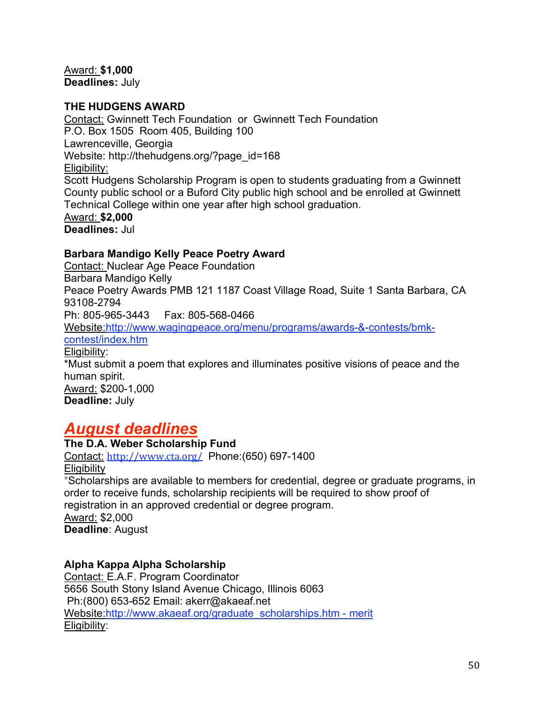Award: **\$1,000 Deadlines:** July

#### **THE HUDGENS AWARD**

Contact: Gwinnett Tech Foundation or Gwinnett Tech Foundation P.O. Box 1505 Room 405, Building 100 Lawrenceville, Georgia Website: http://thehudgens.org/?page\_id=168 Eligibility: Scott Hudgens Scholarship Program is open to students graduating from a Gwinnett County public school or a Buford City public high school and be enrolled at Gwinnett Technical College within one year after high school graduation. Award: **\$2,000 Deadlines:** Jul

#### **Barbara Mandigo Kelly Peace Poetry Award**

Contact: Nuclear Age Peace Foundation Barbara Mandigo Kelly Peace Poetry Awards PMB 121 1187 Coast Village Road, Suite 1 Santa Barbara, CA 93108-2794 Ph: 805-965-3443 Fax: 805-568-0466 Website:http://www.wagingpeace.org/menu/programs/awards-&-contests/bmk-

contest/index.htm

Eligibility:

\*Must submit a poem that explores and illuminates positive visions of peace and the human spirit. Award: \$200-1,000

**Deadline:** July

# *August deadlines*

#### **The D.A. Weber Scholarship Fund**

Contact: http://www.cta.org/ Phone:(650) 697-1400 **Eligibility** \*Scholarships are available to members for credential, degree or graduate programs, in order to receive funds, scholarship recipients will be required to show proof of registration in an approved credential or degree program. Award: \$2,000 **Deadline**: August

#### **Alpha Kappa Alpha Scholarship**

Contact: E.A.F. Program Coordinator 5656 South Stony Island Avenue Chicago, Illinois 6063 Ph:(800) 653-652 Email: akerr@akaeaf.net Website: http://www.akaeaf.org/graduate\_scholarships.htm - merit Eligibility: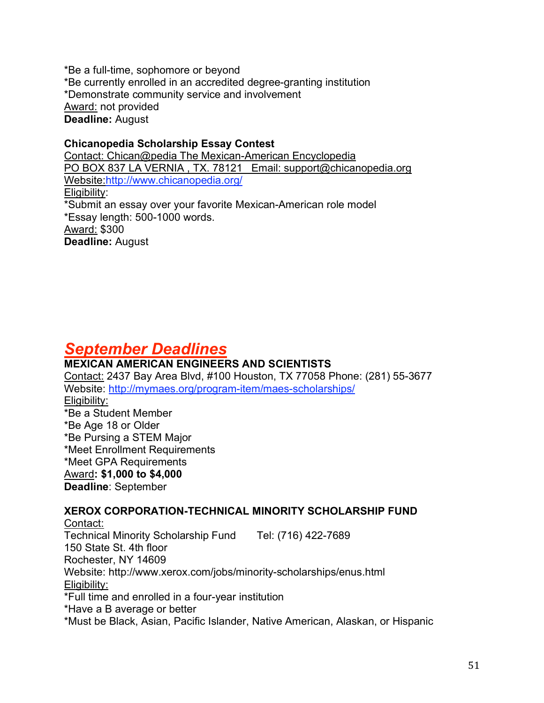\*Be a full-time, sophomore or beyond \*Be currently enrolled in an accredited degree-granting institution \*Demonstrate community service and involvement Award: not provided **Deadline:** August

**Chicanopedia Scholarship Essay Contest** Contact: Chican@pedia The Mexican-American Encyclopedia PO BOX 837 LA VERNIA , TX. 78121 Email: support@chicanopedia.org Website:http://www.chicanopedia.org/ Eligibility: \*Submit an essay over your favorite Mexican-American role model \*Essay length: 500-1000 words. Award: \$300 **Deadline:** August

# *September Deadlines*

# **MEXICAN AMERICAN ENGINEERS AND SCIENTISTS**

Contact: 2437 Bay Area Blvd, #100 Houston, TX 77058 Phone: (281) 55-3677 Website: http://mymaes.org/program-item/maes-scholarships/ Eligibility: \*Be a Student Member \*Be Age 18 or Older \*Be Pursing a STEM Major \*Meet Enrollment Requirements \*Meet GPA Requirements Award**: \$1,000 to \$4,000 Deadline**: September **XEROX CORPORATION-TECHNICAL MINORITY SCHOLARSHIP FUND**

Contact: Technical Minority Scholarship Fund Tel: (716) 422-7689 150 State St. 4th floor Rochester, NY 14609 Website: http://www.xerox.com/jobs/minority-scholarships/enus.html Eligibility: \*Full time and enrolled in a four-year institution \*Have a B average or better \*Must be Black, Asian, Pacific Islander, Native American, Alaskan, or Hispanic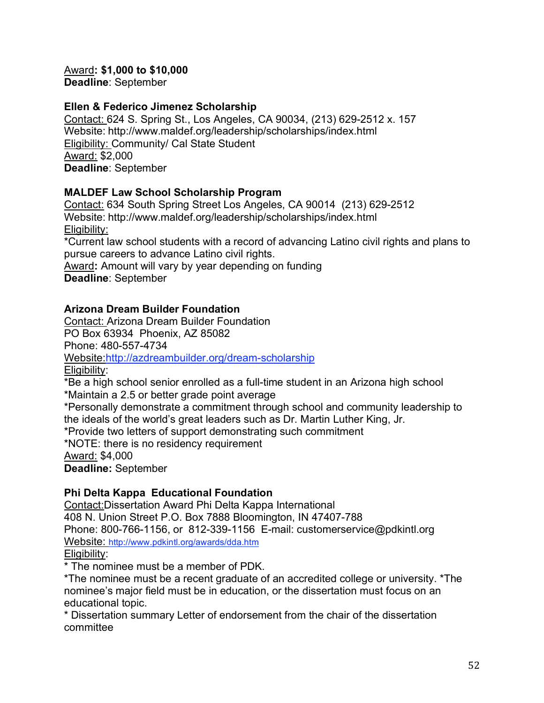Award**: \$1,000 to \$10,000 Deadline**: September

#### **Ellen & Federico Jimenez Scholarship**

Contact: 624 S. Spring St., Los Angeles, CA 90034, (213) 629-2512 x. 157 Website: http://www.maldef.org/leadership/scholarships/index.html Eligibility: Community/ Cal State Student Award: \$2,000 **Deadline**: September

### **MALDEF Law School Scholarship Program**

Contact: 634 South Spring Street Los Angeles, CA 90014 (213) 629-2512 Website: http://www.maldef.org/leadership/scholarships/index.html Eligibility:

\*Current law school students with a record of advancing Latino civil rights and plans to pursue careers to advance Latino civil rights.

Award**:** Amount will vary by year depending on funding **Deadline**: September

### **Arizona Dream Builder Foundation**

Contact: Arizona Dream Builder Foundation PO Box 63934 Phoenix, AZ 85082 Phone: 480-557-4734 Website:http://azdreambuilder.org/dream-scholarship Eligibility:

\*Be a high school senior enrolled as a full-time student in an Arizona high school \*Maintain a 2.5 or better grade point average

\*Personally demonstrate a commitment through school and community leadership to

the ideals of the world's great leaders such as Dr. Martin Luther King, Jr.

\*Provide two letters of support demonstrating such commitment

\*NOTE: there is no residency requirement

Award: \$4,000

**Deadline:** September

#### **Phi Delta Kappa Educational Foundation**

Contact:Dissertation Award Phi Delta Kappa International 408 N. Union Street P.O. Box 7888 Bloomington, IN 47407-788 Phone: 800-766-1156, or 812-339-1156 E-mail: customerservice@pdkintl.org Website: http://www.pdkintl.org/awards/dda.htm Eligibility:

\* The nominee must be a member of PDK.

\*The nominee must be a recent graduate of an accredited college or university. \*The nominee's major field must be in education, or the dissertation must focus on an educational topic.

\* Dissertation summary Letter of endorsement from the chair of the dissertation committee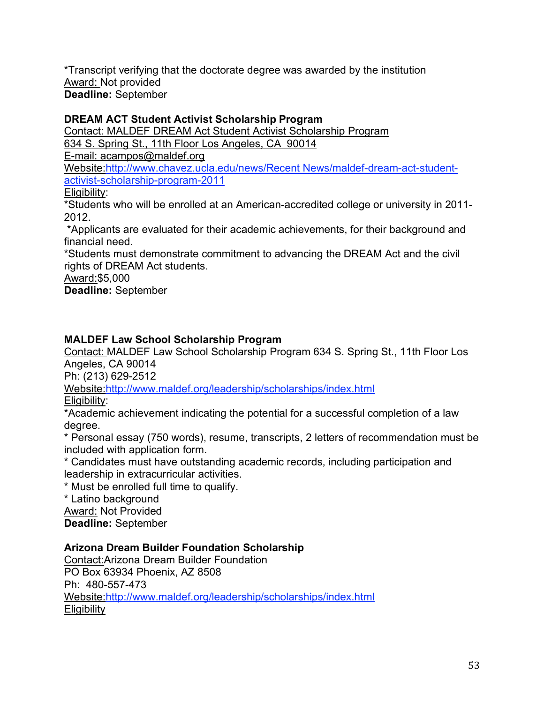\*Transcript verifying that the doctorate degree was awarded by the institution Award: Not provided **Deadline:** September

### **DREAM ACT Student Activist Scholarship Program**

Contact: MALDEF DREAM Act Student Activist Scholarship Program

634 S. Spring St., 11th Floor Los Angeles, CA 90014

E-mail: acampos@maldef.org

Website:http://www.chavez.ucla.edu/news/Recent News/maldef-dream-act-studentactivist-scholarship-program-2011

#### Eligibility:

\*Students who will be enrolled at an American-accredited college or university in 2011- 2012.

\*Applicants are evaluated for their academic achievements, for their background and financial need.

\*Students must demonstrate commitment to advancing the DREAM Act and the civil rights of DREAM Act students.

Award:\$5,000

**Deadline:** September

### **MALDEF Law School Scholarship Program**

Contact: MALDEF Law School Scholarship Program 634 S. Spring St., 11th Floor Los Angeles, CA 90014

Ph: (213) 629-2512

Website:http://www.maldef.org/leadership/scholarships/index.html

Eligibility:

\*Academic achievement indicating the potential for a successful completion of a law degree.

\* Personal essay (750 words), resume, transcripts, 2 letters of recommendation must be included with application form.

\* Candidates must have outstanding academic records, including participation and leadership in extracurricular activities.

\* Must be enrolled full time to qualify.

\* Latino background

Award: Not Provided

**Deadline:** September

#### **Arizona Dream Builder Foundation Scholarship**

Contact:Arizona Dream Builder Foundation PO Box 63934 Phoenix, AZ 8508 Ph: 480-557-473 Website:http://www.maldef.org/leadership/scholarships/index.html **Eligibility**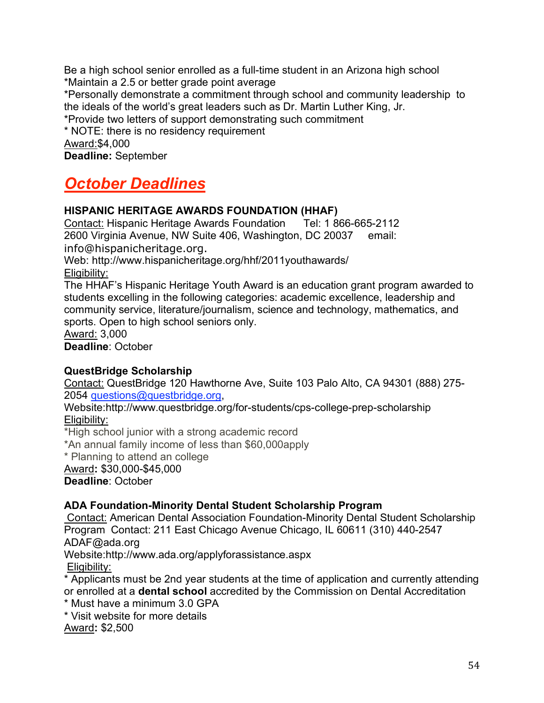Be a high school senior enrolled as a full-time student in an Arizona high school \*Maintain a 2.5 or better grade point average \*Personally demonstrate a commitment through school and community leadership to the ideals of the world's great leaders such as Dr. Martin Luther King, Jr.

\*Provide two letters of support demonstrating such commitment

\* NOTE: there is no residency requirement Award:\$4,000

**Deadline:** September

# *October Deadlines*

#### **HISPANIC HERITAGE AWARDS FOUNDATION (HHAF)**

Contact: Hispanic Heritage Awards Foundation Tel: 1 866-665-2112 2600 Virginia Avenue, NW Suite 406, Washington, DC 20037 email: info@hispanicheritage.org.

Web: http://www.hispanicheritage.org/hhf/2011youthawards/ Eligibility:

The HHAF's Hispanic Heritage Youth Award is an education grant program awarded to students excelling in the following categories: academic excellence, leadership and community service, literature/journalism, science and technology, mathematics, and sports. Open to high school seniors only.

Award: 3,000

**Deadline**: October

#### **QuestBridge Scholarship**

Contact: QuestBridge 120 Hawthorne Ave, Suite 103 Palo Alto, CA 94301 (888) 275- 2054 questions@questbridge.org,

Website:http://www.questbridge.org/for-students/cps-college-prep-scholarship Eligibility:

\*High school junior with a strong academic record

\*An annual family income of less than \$60,000apply

\* Planning to attend an college

Award**:** \$30,000-\$45,000

**Deadline**: October

#### **ADA Foundation-Minority Dental Student Scholarship Program**

Contact: American Dental Association Foundation-Minority Dental Student Scholarship Program Contact: 211 East Chicago Avenue Chicago, IL 60611 (310) 440-2547 ADAF@ada.org

Website:http://www.ada.org/applyforassistance.aspx Eligibility:

\* Applicants must be 2nd year students at the time of application and currently attending or enrolled at a **dental school** accredited by the Commission on Dental Accreditation

\* Must have a minimum 3.0 GPA

\* Visit website for more details

Award**:** \$2,500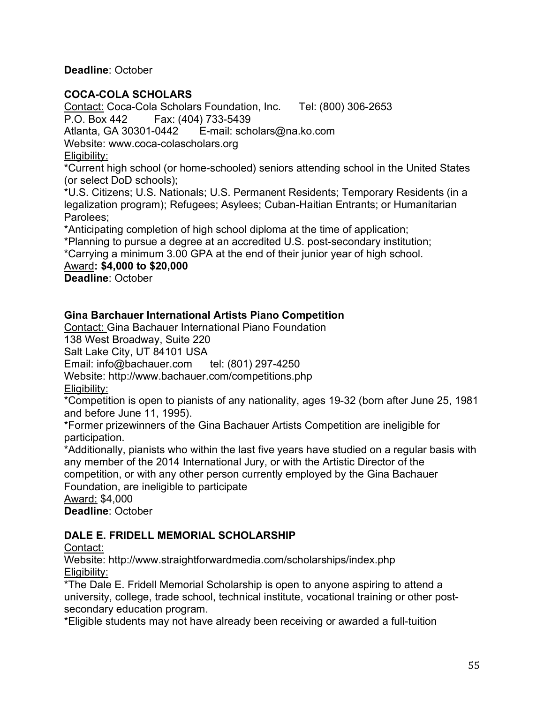**Deadline**: October

#### **COCA-COLA SCHOLARS**

Contact: Coca-Cola Scholars Foundation, Inc. Tel: (800) 306-2653 P.O. Box 442 Fax: (404) 733-5439 Atlanta, GA 30301-0442 E-mail: scholars@na.ko.com Website: www.coca-colascholars.org

Eligibility:

\*Current high school (or home-schooled) seniors attending school in the United States (or select DoD schools);

\*U.S. Citizens; U.S. Nationals; U.S. Permanent Residents; Temporary Residents (in a legalization program); Refugees; Asylees; Cuban-Haitian Entrants; or Humanitarian Parolees;

\*Anticipating completion of high school diploma at the time of application;

\*Planning to pursue a degree at an accredited U.S. post-secondary institution;

\*Carrying a minimum 3.00 GPA at the end of their junior year of high school.

Award**: \$4,000 to \$20,000**

**Deadline**: October

### **Gina Barchauer International Artists Piano Competition**

Contact: Gina Bachauer International Piano Foundation

138 West Broadway, Suite 220

Salt Lake City, UT 84101 USA

Email: info@bachauer.com tel: (801) 297-4250

Website: http://www.bachauer.com/competitions.php

Eligibility:

\*Competition is open to pianists of any nationality, ages 19-32 (born after June 25, 1981 and before June 11, 1995).

\*Former prizewinners of the Gina Bachauer Artists Competition are ineligible for participation.

\*Additionally, pianists who within the last five years have studied on a regular basis with any member of the 2014 International Jury, or with the Artistic Director of the competition, or with any other person currently employed by the Gina Bachauer

Foundation, are ineligible to participate

Award: \$4,000

**Deadline**: October

#### **DALE E. FRIDELL MEMORIAL SCHOLARSHIP**

Contact:

Website: http://www.straightforwardmedia.com/scholarships/index.php Eligibility:

\*The Dale E. Fridell Memorial Scholarship is open to anyone aspiring to attend a university, college, trade school, technical institute, vocational training or other postsecondary education program.

\*Eligible students may not have already been receiving or awarded a full-tuition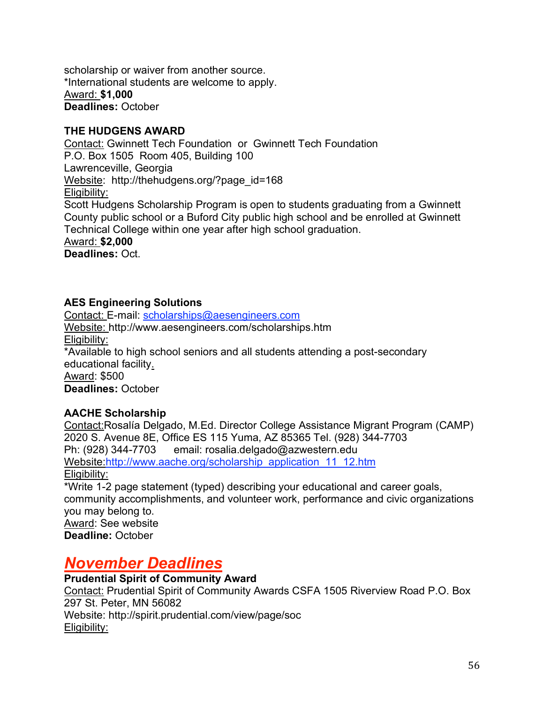scholarship or waiver from another source. \*International students are welcome to apply. Award: **\$1,000 Deadlines:** October

#### **THE HUDGENS AWARD**

Contact: Gwinnett Tech Foundation or Gwinnett Tech Foundation P.O. Box 1505 Room 405, Building 100 Lawrenceville, Georgia Website: http://thehudgens.org/?page\_id=168 Eligibility: Scott Hudgens Scholarship Program is open to students graduating from a Gwinnett County public school or a Buford City public high school and be enrolled at Gwinnett Technical College within one year after high school graduation. Award: **\$2,000 Deadlines:** Oct.

### **AES Engineering Solutions**

Contact: E-mail: scholarships@aesengineers.com Website: http://www.aesengineers.com/scholarships.htm Eligibility: \*Available to high school seniors and all students attending a post-secondary educational facility. Award: \$500 **Deadlines:** October

#### **AACHE Scholarship**

Contact:Rosalía Delgado, M.Ed. Director College Assistance Migrant Program (CAMP) 2020 S. Avenue 8E, Office ES 115 Yuma, AZ 85365 Tel. (928) 344-7703 Ph: (928) 344-7703 email: rosalia.delgado@azwestern.edu Website:http://www.aache.org/scholarship\_application\_11\_12.htm Eligibility: \*Write 1-2 page statement (typed) describing your educational and career goals, community accomplishments, and volunteer work, performance and civic organizations you may belong to. Award: See website **Deadline:** October

# *November Deadlines*

# **Prudential Spirit of Community Award**

Contact: Prudential Spirit of Community Awards CSFA 1505 Riverview Road P.O. Box 297 St. Peter, MN 56082 Website: http://spirit.prudential.com/view/page/soc Eligibility: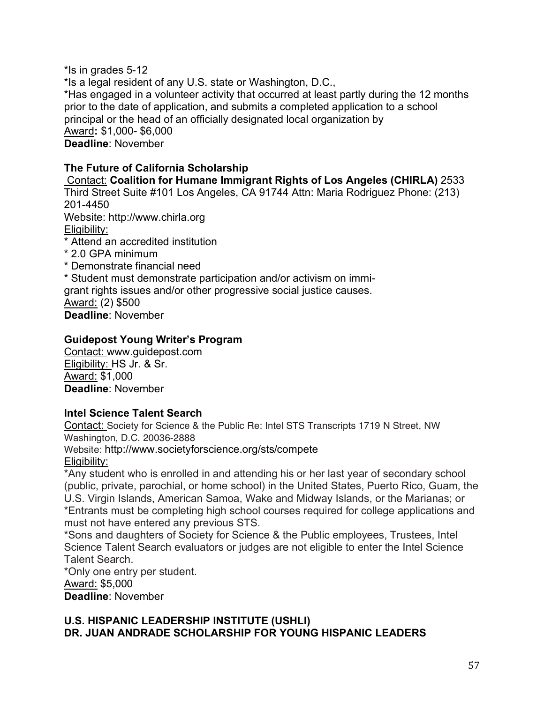\*Is in grades 5-12 \*Is a legal resident of any U.S. state or Washington, D.C., \*Has engaged in a volunteer activity that occurred at least partly during the 12 months prior to the date of application, and submits a completed application to a school principal or the head of an officially designated local organization by Award**:** \$1,000- \$6,000 **Deadline**: November

#### **The Future of California Scholarship**

Contact: **Coalition for Humane Immigrant Rights of Los Angeles (CHIRLA)** 2533 Third Street Suite #101 Los Angeles, CA 91744 Attn: Maria Rodriguez Phone: (213) 201-4450 Website: http://www.chirla.org Eligibility: \* Attend an accredited institution \* 2.0 GPA minimum \* Demonstrate financial need \* Student must demonstrate participation and/or activism on immigrant rights issues and/or other progressive social justice causes.

Award: (2) \$500

**Deadline**: November

#### **Guidepost Young Writer's Program**

Contact: www.guidepost.com Eligibility: HS Jr. & Sr. Award: \$1,000 **Deadline**: November

#### **Intel Science Talent Search**

Contact: Society for Science & the Public Re: Intel STS Transcripts 1719 N Street, NW Washington, D.C. 20036-2888

Website: http://www.societyforscience.org/sts/compete

Eligibility:

\*Any student who is enrolled in and attending his or her last year of secondary school (public, private, parochial, or home school) in the United States, Puerto Rico, Guam, the U.S. Virgin Islands, American Samoa, Wake and Midway Islands, or the Marianas; or \*Entrants must be completing high school courses required for college applications and must not have entered any previous STS.

\*Sons and daughters of Society for Science & the Public employees, Trustees, Intel Science Talent Search evaluators or judges are not eligible to enter the Intel Science Talent Search.

\*Only one entry per student.

Award: \$5,000

**Deadline**: November

#### **U.S. HISPANIC LEADERSHIP INSTITUTE (USHLI) DR. JUAN ANDRADE SCHOLARSHIP FOR YOUNG HISPANIC LEADERS**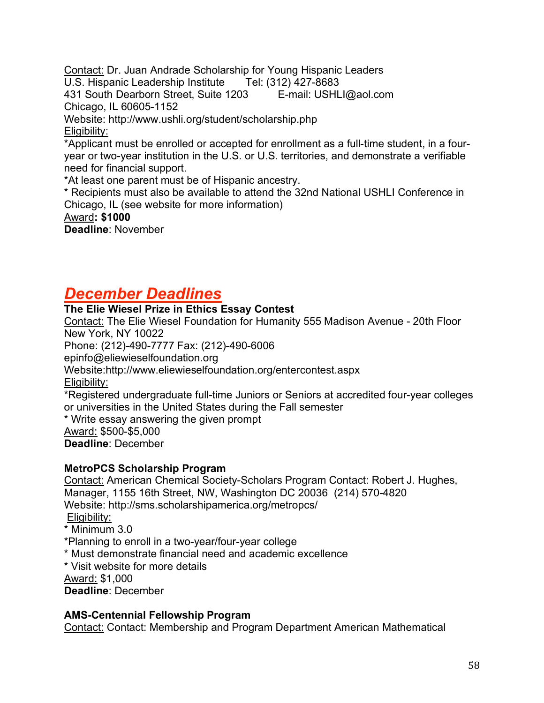Contact: Dr. Juan Andrade Scholarship for Young Hispanic Leaders U.S. Hispanic Leadership Institute Tel: (312) 427-8683 431 South Dearborn Street, Suite 1203 E-mail: USHLI@aol.com Chicago, IL 60605-1152 Website: http://www.ushli.org/student/scholarship.php Eligibility: \*Applicant must be enrolled or accepted for enrollment as a full-time student, in a fouryear or two-year institution in the U.S. or U.S. territories, and demonstrate a verifiable need for financial support. \*At least one parent must be of Hispanic ancestry. \* Recipients must also be available to attend the 32nd National USHLI Conference in

Chicago, IL (see website for more information)

#### Award**: \$1000**

**Deadline**: November

# *December Deadlines*

### **The Elie Wiesel Prize in Ethics Essay Contest**

Contact: The Elie Wiesel Foundation for Humanity 555 Madison Avenue - 20th Floor New York, NY 10022

Phone: (212)-490-7777 Fax: (212)-490-6006

epinfo@eliewieselfoundation.org

Website:http://www.eliewieselfoundation.org/entercontest.aspx

Eligibility:

\*Registered undergraduate full-time Juniors or Seniors at accredited four-year colleges or universities in the United States during the Fall semester

\* Write essay answering the given prompt

Award: \$500-\$5,000 **Deadline**: December

#### **MetroPCS Scholarship Program**

Contact: American Chemical Society-Scholars Program Contact: Robert J. Hughes, Manager, 1155 16th Street, NW, Washington DC 20036 (214) 570-4820 Website: http://sms.scholarshipamerica.org/metropcs/

Eligibility:

- \* Minimum 3.0
- \*Planning to enroll in a two-year/four-year college
- \* Must demonstrate financial need and academic excellence
- \* Visit website for more details

Award: \$1,000

**Deadline**: December

#### **AMS-Centennial Fellowship Program**

Contact: Contact: Membership and Program Department American Mathematical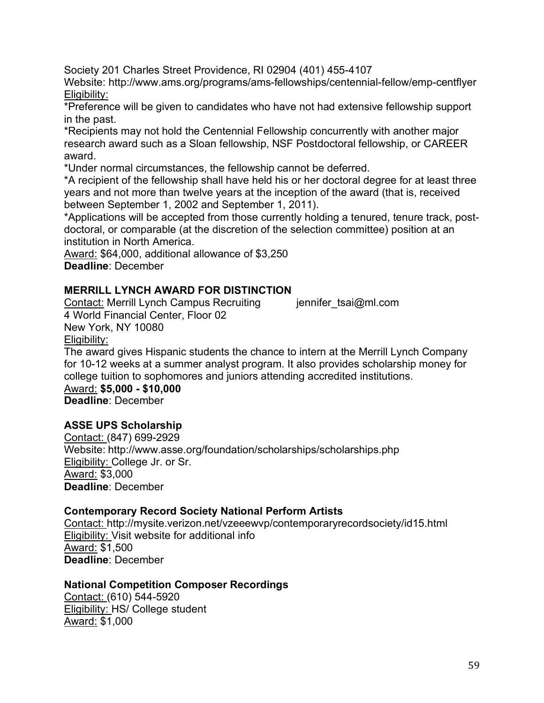Society 201 Charles Street Providence, RI 02904 (401) 455-4107

Website: http://www.ams.org/programs/ams-fellowships/centennial-fellow/emp-centflyer Eligibility:

\*Preference will be given to candidates who have not had extensive fellowship support in the past.

\*Recipients may not hold the Centennial Fellowship concurrently with another major research award such as a Sloan fellowship, NSF Postdoctoral fellowship, or CAREER award.

\*Under normal circumstances, the fellowship cannot be deferred.

\*A recipient of the fellowship shall have held his or her doctoral degree for at least three years and not more than twelve years at the inception of the award (that is, received between September 1, 2002 and September 1, 2011).

\*Applications will be accepted from those currently holding a tenured, tenure track, postdoctoral, or comparable (at the discretion of the selection committee) position at an institution in North America.

Award: \$64,000, additional allowance of \$3,250 **Deadline**: December

### **MERRILL LYNCH AWARD FOR DISTINCTION**

Contact: Merrill Lynch Campus Recruiting iennifer tsai@ml.com 4 World Financial Center, Floor 02 New York, NY 10080 Eligibility:

The award gives Hispanic students the chance to intern at the Merrill Lynch Company for 10-12 weeks at a summer analyst program. It also provides scholarship money for college tuition to sophomores and juniors attending accredited institutions.

Award: **\$5,000 - \$10,000 Deadline**: December

#### **ASSE UPS Scholarship**

Contact: (847) 699-2929 Website: http://www.asse.org/foundation/scholarships/scholarships.php Eligibility: College Jr. or Sr. Award: \$3,000 **Deadline**: December

#### **Contemporary Record Society National Perform Artists**

Contact: http://mysite.verizon.net/vzeeewvp/contemporaryrecordsociety/id15.html Eligibility: Visit website for additional info Award: \$1,500 **Deadline**: December

#### **National Competition Composer Recordings**

Contact: (610) 544-5920 Eligibility: HS/ College student Award: \$1,000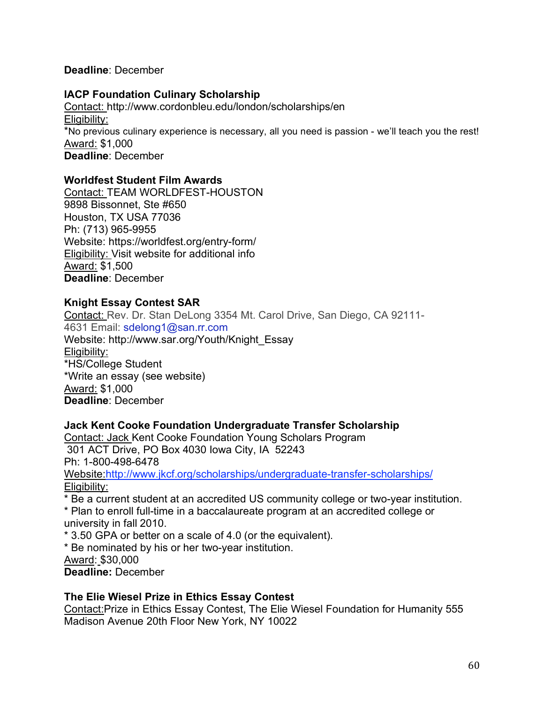#### **Deadline**: December

#### **IACP Foundation Culinary Scholarship**

Contact: http://www.cordonbleu.edu/london/scholarships/en Eligibility: \*No previous culinary experience is necessary, all you need is passion - we'll teach you the rest! Award: \$1,000 **Deadline**: December

#### **Worldfest Student Film Awards**

Contact: TEAM WORLDFEST-HOUSTON 9898 Bissonnet, Ste #650 Houston, TX USA 77036 Ph: (713) 965-9955 Website: https://worldfest.org/entry-form/ Eligibility: Visit website for additional info Award: \$1,500 **Deadline**: December

#### **Knight Essay Contest SAR**

Contact: Rev. Dr. Stan DeLong 3354 Mt. Carol Drive, San Diego, CA 92111- 4631 Email: sdelong1@san.rr.com Website: http://www.sar.org/Youth/Knight\_Essay Eligibility: \*HS/College Student \*Write an essay (see website) Award: \$1,000 **Deadline**: December

#### **Jack Kent Cooke Foundation Undergraduate Transfer Scholarship**

Contact: Jack Kent Cooke Foundation Young Scholars Program 301 ACT Drive, PO Box 4030 Iowa City, IA 52243 Ph: 1-800-498-6478 Website:http://www.jkcf.org/scholarships/undergraduate-transfer-scholarships/ Eligibility:

\* Be a current student at an accredited US community college or two-year institution. \* Plan to enroll full-time in a baccalaureate program at an accredited college or university in fall 2010.

\* 3.50 GPA or better on a scale of 4.0 (or the equivalent).

\* Be nominated by his or her two-year institution.

Award: \$30,000

**Deadline:** December

#### **The Elie Wiesel Prize in Ethics Essay Contest**

Contact:Prize in Ethics Essay Contest, The Elie Wiesel Foundation for Humanity 555 Madison Avenue 20th Floor New York, NY 10022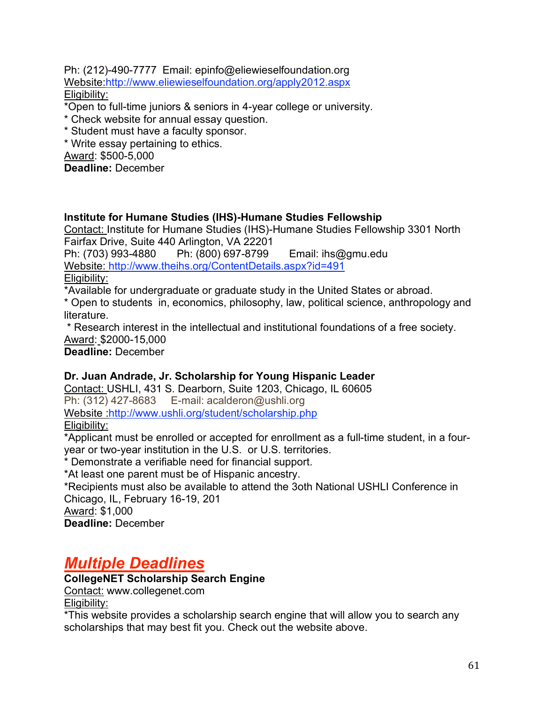Ph: (212)-490-7777 Email: epinfo@eliewieselfoundation.org Website.http://www.eliewieselfoundation.org/apply2012.aspx Eligibility:

\*Open to full-time juniors & seniors in 4-year college or university.

\* Check website for annual essay question.

\* Student must have a faculty sponsor.

\* Write essay pertaining to ethics.

Award: \$500-5,000

**Deadline:** December

#### **Institute for Humane Studies (IHS)-Humane Studies Fellowship**

Contact: Institute for Humane Studies (IHS)-Humane Studies Fellowship 3301 North Fairfax Drive, Suite 440 Arlington, VA 22201

Ph: (703) 993-4880 Ph: (800) 697-8799 Email: ihs@gmu.edu Website: http://www.theihs.org/ContentDetails.aspx?id=491 Eligibility:

\*Available for undergraduate or graduate study in the United States or abroad.

\* Open to students in, economics, philosophy, law, political science, anthropology and literature.

\* Research interest in the intellectual and institutional foundations of a free society. Award: \$2000-15,000

**Deadline:** December

#### **Dr. Juan Andrade, Jr. Scholarship for Young Hispanic Leader**

Contact: USHLI, 431 S. Dearborn, Suite 1203, Chicago, IL 60605 Ph: (312) 427-8683 E-mail: acalderon@ushli.org Website http://www.ushli.org/student/scholarship.php Eligibility:

\*Applicant must be enrolled or accepted for enrollment as a full-time student, in a fouryear or two-year institution in the U.S. or U.S. territories.

\* Demonstrate a verifiable need for financial support.

\*At least one parent must be of Hispanic ancestry.

\*Recipients must also be available to attend the 3oth National USHLI Conference in Chicago, IL, February 16-19, 201

Award: \$1,000

**Deadline:** December

# *Multiple Deadlines*

# **CollegeNET Scholarship Search Engine**

Contact: www.collegenet.com Eligibility:

\*This website provides a scholarship search engine that will allow you to search any scholarships that may best fit you. Check out the website above.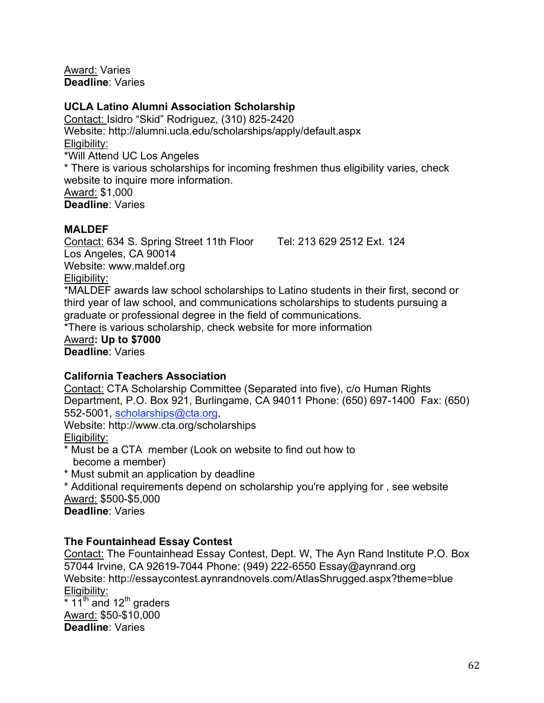Award: Varies **Deadline**: Varies

#### **UCLA Latino Alumni Association Scholarship**

Contact: Isidro "Skid" Rodriguez, (310) 825-2420 Website: http://alumni.ucla.edu/scholarships/apply/default.aspx Eligibility: \*Will Attend UC Los Angeles \* There is various scholarships for incoming freshmen thus eligibility varies, check website to inquire more information. Award: \$1,000 **Deadline**: Varies

#### **MALDEF**

Contact: 634 S. Spring Street 11th Floor Tel: 213 629 2512 Ext. 124 Los Angeles, CA 90014 Website: www.maldef.org Eligibility:

\*MALDEF awards law school scholarships to Latino students in their first, second or third year of law school, and communications scholarships to students pursuing a graduate or professional degree in the field of communications.

\*There is various scholarship, check website for more information

Award**: Up to \$7000 Deadline**: Varies

#### **California Teachers Association**

Contact: CTA Scholarship Committee (Separated into five), c/o Human Rights Department, P.O. Box 921, Burlingame, CA 94011 Phone: (650) 697-1400 Fax: (650) 552-5001, scholarships@cta.org,

Website: http://www.cta.org/scholarships Eligibility:

\* Must be a CTA member (Look on website to find out how to become a member)

\* Must submit an application by deadline

\* Additional requirements depend on scholarship you're applying for , see website Award: \$500-\$5,000

**Deadline**: Varies

#### **The Fountainhead Essay Contest**

Contact: The Fountainhead Essay Contest, Dept. W, The Ayn Rand Institute P.O. Box 57044 Irvine, CA 92619-7044 Phone: (949) 222-6550 Essay@aynrand.org Website: http://essaycontest.aynrandnovels.com/AtlasShrugged.aspx?theme=blue Eligibility:  $*$  11<sup>th</sup> and 12<sup>th</sup> graders

Award: \$50-\$10,000 **Deadline**: Varies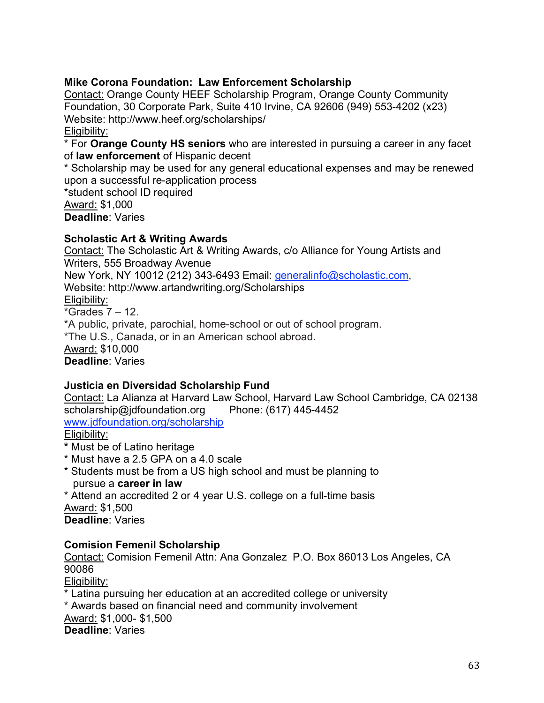#### **Mike Corona Foundation: Law Enforcement Scholarship**

Contact: Orange County HEEF Scholarship Program, Orange County Community Foundation, 30 Corporate Park, Suite 410 Irvine, CA 92606 (949) 553-4202 (x23) Website: http://www.heef.org/scholarships/ Eligibility:

\* For **Orange County HS seniors** who are interested in pursuing a career in any facet of **law enforcement** of Hispanic decent

\* Scholarship may be used for any general educational expenses and may be renewed upon a successful re-application process

\*student school ID required Award: \$1,000

**Deadline**: Varies

#### **Scholastic Art & Writing Awards**

Contact: The Scholastic Art & Writing Awards, c/o Alliance for Young Artists and Writers, 555 Broadway Avenue

New York, NY 10012 (212) 343-6493 Email: generalinfo@scholastic.com,

Website: http://www.artandwriting.org/Scholarships

Eligibility:

\*Grades 7 – 12.

\*A public, private, parochial, home-school or out of school program.

\*The U.S., Canada, or in an American school abroad.

Award: \$10,000

**Deadline**: Varies

#### **Justicia en Diversidad Scholarship Fund**

Contact: La Alianza at Harvard Law School, Harvard Law School Cambridge, CA 02138 scholarship@jdfoundation.org Phone: (617) 445-4452

www.jdfoundation.org/scholarship

Eligibility:

**\*** Must be of Latino heritage

- \* Must have a 2.5 GPA on a 4.0 scale
- \* Students must be from a US high school and must be planning to pursue a **career in law**

\* Attend an accredited 2 or 4 year U.S. college on a full-time basis Award: \$1,500

**Deadline**: Varies

#### **Comision Femenil Scholarship**

Contact: Comision Femenil Attn: Ana Gonzalez P.O. Box 86013 Los Angeles, CA 90086

Eligibility:

\* Latina pursuing her education at an accredited college or university

\* Awards based on financial need and community involvement

Award: \$1,000- \$1,500

**Deadline**: Varies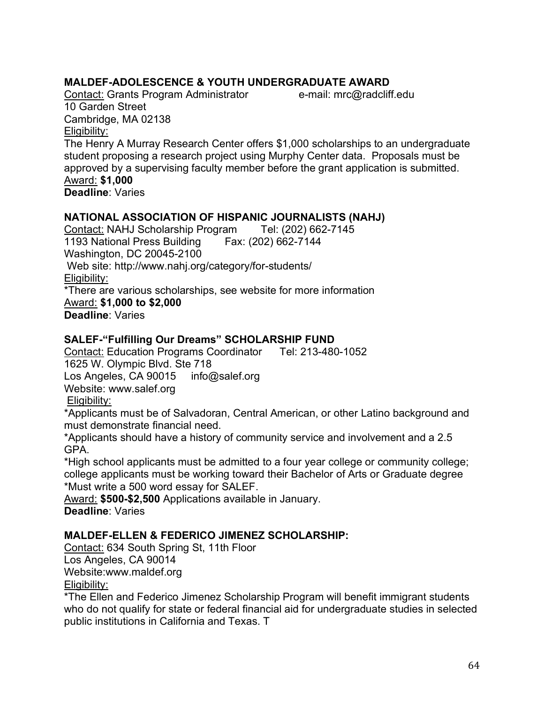### **MALDEF-ADOLESCENCE & YOUTH UNDERGRADUATE AWARD**

Contact: Grants Program Administrator e-mail: mrc@radcliff.edu 10 Garden Street Cambridge, MA 02138 Eligibility:

The Henry A Murray Research Center offers \$1,000 scholarships to an undergraduate student proposing a research project using Murphy Center data. Proposals must be approved by a supervising faculty member before the grant application is submitted. Award: **\$1,000**

**Deadline**: Varies

#### **NATIONAL ASSOCIATION OF HISPANIC JOURNALISTS (NAHJ)**

Contact: NAHJ Scholarship Program Tel: (202) 662-7145 1193 National Press Building Fax: (202) 662-7144 Washington, DC 20045-2100 Web site: http://www.nahj.org/category/for-students/ Eligibility: \*There are various scholarships, see website for more information Award: **\$1,000 to \$2,000 Deadline**: Varies

#### **SALEF-"Fulfilling Our Dreams" SCHOLARSHIP FUND**

Contact: Education Programs Coordinator Tel: 213-480-1052 1625 W. Olympic Blvd. Ste 718 Los Angeles, CA 90015 info@salef.org Website: www.salef.org Eligibility:

\*Applicants must be of Salvadoran, Central American, or other Latino background and must demonstrate financial need.

\*Applicants should have a history of community service and involvement and a 2.5 GPA.

\*High school applicants must be admitted to a four year college or community college; college applicants must be working toward their Bachelor of Arts or Graduate degree \*Must write a 500 word essay for SALEF.

Award: **\$500-\$2,500** Applications available in January. **Deadline**: Varies

#### **MALDEF-ELLEN & FEDERICO JIMENEZ SCHOLARSHIP:**

Contact: 634 South Spring St, 11th Floor Los Angeles, CA 90014

Website:www.maldef.org

Eligibility:

\*The Ellen and Federico Jimenez Scholarship Program will benefit immigrant students who do not qualify for state or federal financial aid for undergraduate studies in selected public institutions in California and Texas. T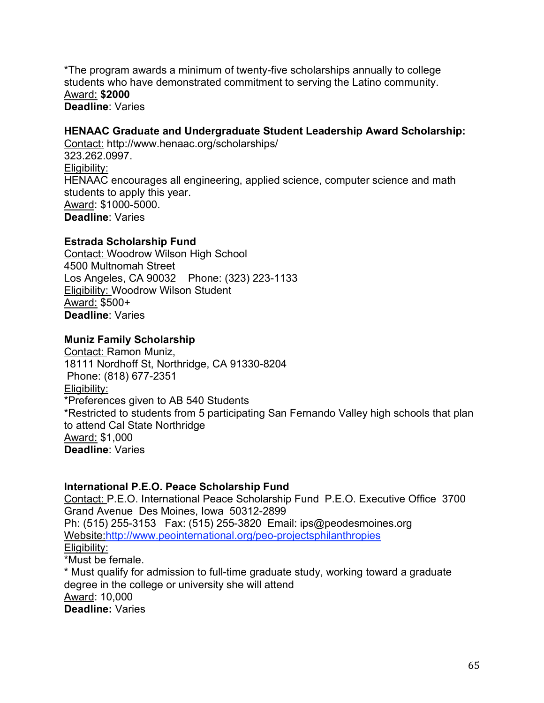\*The program awards a minimum of twenty-five scholarships annually to college students who have demonstrated commitment to serving the Latino community. Award: **\$2000 Deadline**: Varies

#### **HENAAC Graduate and Undergraduate Student Leadership Award Scholarship:**

Contact: http://www.henaac.org/scholarships/ 323.262.0997. Eligibility: HENAAC encourages all engineering, applied science, computer science and math students to apply this year. Award: \$1000-5000. **Deadline**: Varies

#### **Estrada Scholarship Fund**

Contact: Woodrow Wilson High School 4500 Multnomah Street Los Angeles, CA 90032 Phone: (323) 223-1133 Eligibility: Woodrow Wilson Student Award: \$500+ **Deadline**: Varies

#### **Muniz Family Scholarship**

Contact: Ramon Muniz, 18111 Nordhoff St, Northridge, CA 91330-8204 Phone: (818) 677-2351 Eligibility: \*Preferences given to AB 540 Students \*Restricted to students from 5 participating San Fernando Valley high schools that plan to attend Cal State Northridge Award: \$1,000 **Deadline**: Varies

#### **International P.E.O. Peace Scholarship Fund**

Contact: P.E.O. International Peace Scholarship Fund P.E.O. Executive Office 3700 Grand Avenue Des Moines, Iowa 50312-2899 Ph: (515) 255-3153 Fax: (515) 255-3820 Email: ips@peodesmoines.org Website:http://www.peointernational.org/peo-projectsphilanthropies Eligibility:

\*Must be female.

\* Must qualify for admission to full-time graduate study, working toward a graduate degree in the college or university she will attend Award: 10,000 **Deadline:** Varies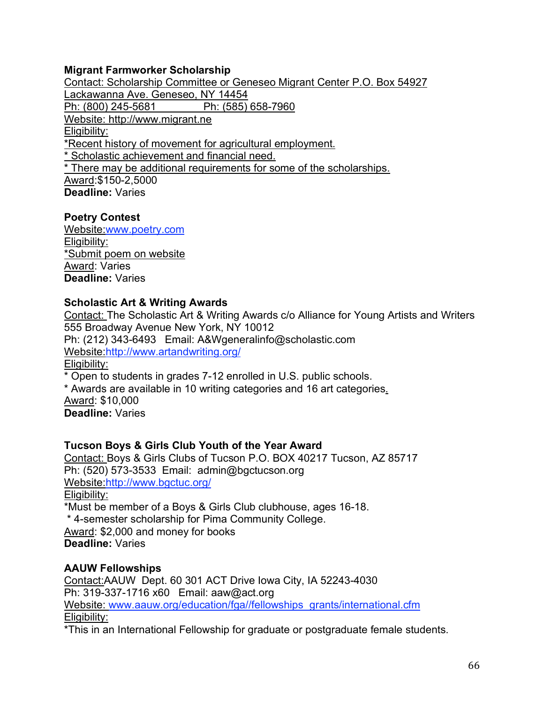#### **Migrant Farmworker Scholarship**

Contact: Scholarship Committee or Geneseo Migrant Center P.O. Box 54927 Lackawanna Ave. Geneseo, NY 14454 Ph: (800) 245-5681 Ph: (585) 658-7960 Website: http://www.migrant.ne Eligibility: \*Recent history of movement for agricultural employment. Scholastic achievement and financial need. \* There may be additional requirements for some of the scholarships. Award:\$150-2,5000 **Deadline:** Varies

#### **Poetry Contest**

Website:www.poetry.com Eligibility: \*Submit poem on website Award: Varies **Deadline:** Varies

#### **Scholastic Art & Writing Awards**

Contact: The Scholastic Art & Writing Awards c/o Alliance for Young Artists and Writers 555 Broadway Avenue New York, NY 10012 Ph: (212) 343-6493 Email: A&Wgeneralinfo@scholastic.com Website:http://www.artandwriting.org/ Eligibility: \* Open to students in grades 7-12 enrolled in U.S. public schools. \* Awards are available in 10 writing categories and 16 art categories. Award: \$10,000

**Deadline:** Varies

#### **Tucson Boys & Girls Club Youth of the Year Award**

Contact: Boys & Girls Clubs of Tucson P.O. BOX 40217 Tucson, AZ 85717 Ph: (520) 573-3533 Email: admin@bgctucson.org Website:http://www.bgctuc.org/ Eligibility: \*Must be member of a Boys & Girls Club clubhouse, ages 16-18.

\* 4-semester scholarship for Pima Community College.

Award: \$2,000 and money for books **Deadline:** Varies

**AAUW Fellowships**

Contact:AAUW Dept. 60 301 ACT Drive Iowa City, IA 52243-4030 Ph: 319-337-1716 x60 Email: aaw@act.org Website: www.aauw.org/education/fga//fellowships\_grants/international.cfm Eligibility:

\*This in an International Fellowship for graduate or postgraduate female students.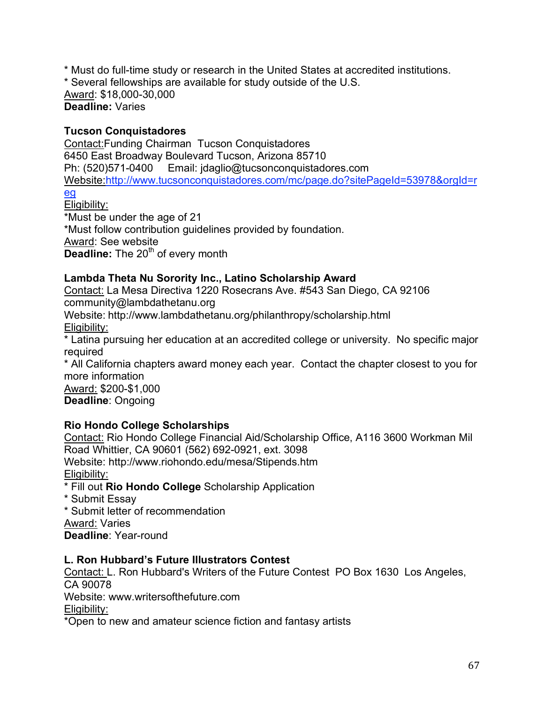\* Must do full-time study or research in the United States at accredited institutions.

\* Several fellowships are available for study outside of the U.S.

Award: \$18,000-30,000 **Deadline:** Varies

### **Tucson Conquistadores**

Contact:Funding Chairman Tucson Conquistadores 6450 East Broadway Boulevard Tucson, Arizona 85710 Ph: (520)571-0400 Email: jdaglio@tucsonconquistadores.com Website:http://www.tucsonconquistadores.com/mc/page.do?sitePageId=53978&orgId=r

# eg

Eligibility: \*Must be under the age of 21 \*Must follow contribution guidelines provided by foundation. Award: See website **Deadline:** The 20<sup>th</sup> of every month

### **Lambda Theta Nu Sorority Inc., Latino Scholarship Award**

Contact: La Mesa Directiva 1220 Rosecrans Ave. #543 San Diego, CA 92106 community@lambdathetanu.org

Website: http://www.lambdathetanu.org/philanthropy/scholarship.html

Eligibility:

\* Latina pursuing her education at an accredited college or university. No specific major required

\* All California chapters award money each year. Contact the chapter closest to you for more information

Award: \$200-\$1,000 **Deadline**: Ongoing

# **Rio Hondo College Scholarships**

Contact: Rio Hondo College Financial Aid/Scholarship Office, A116 3600 Workman Mil Road Whittier, CA 90601 (562) 692-0921, ext. 3098 Website: http://www.riohondo.edu/mesa/Stipends.htm Eligibility:

\* Fill out **Rio Hondo College** Scholarship Application

\* Submit Essay

\* Submit letter of recommendation

Award: Varies

**Deadline**: Year-round

# **L. Ron Hubbard's Future Illustrators Contest**

Contact: L. Ron Hubbard's Writers of the Future Contest PO Box 1630 Los Angeles, CA 90078

Website: www.writersofthefuture.com

Eligibility:

\*Open to new and amateur science fiction and fantasy artists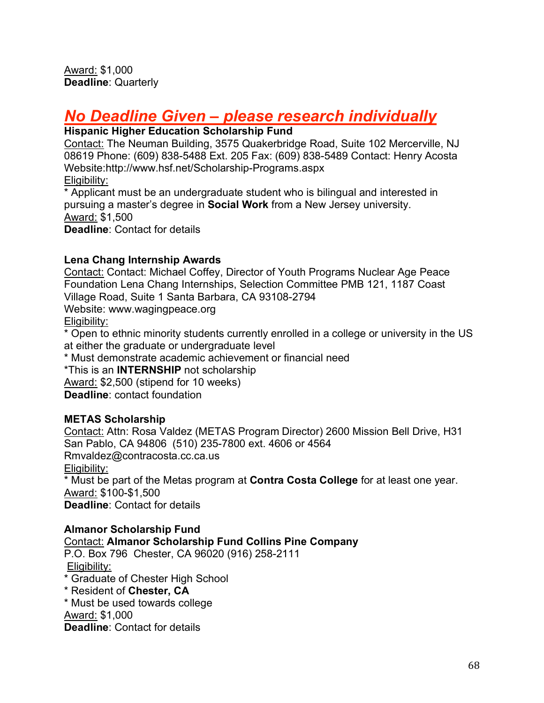# *No Deadline Given – please research individually*

#### **Hispanic Higher Education Scholarship Fund**

Contact: The Neuman Building, 3575 Quakerbridge Road, Suite 102 Mercerville, NJ 08619 Phone: (609) 838-5488 Ext. 205 Fax: (609) 838-5489 Contact: Henry Acosta Website:http://www.hsf.net/Scholarship-Programs.aspx Eligibility:

\* Applicant must be an undergraduate student who is bilingual and interested in pursuing a master's degree in **Social Work** from a New Jersey university. Award: \$1,500 **Deadline**: Contact for details

### **Lena Chang Internship Awards**

Contact: Contact: Michael Coffey, Director of Youth Programs Nuclear Age Peace Foundation Lena Chang Internships, Selection Committee PMB 121, 1187 Coast Village Road, Suite 1 Santa Barbara, CA 93108-2794 Website: www.wagingpeace.org Eligibility: \* Open to ethnic minority students currently enrolled in a college or university in the US at either the graduate or undergraduate level \* Must demonstrate academic achievement or financial need

\*This is an **INTERNSHIP** not scholarship Award: \$2,500 (stipend for 10 weeks)

**Deadline**: contact foundation

# **METAS Scholarship**

Contact: Attn: Rosa Valdez (METAS Program Director) 2600 Mission Bell Drive, H31 San Pablo, CA 94806 (510) 235-7800 ext. 4606 or 4564 Rmvaldez@contracosta.cc.ca.us Eligibility: \* Must be part of the Metas program at **Contra Costa College** for at least one year. Award: \$100-\$1,500 **Deadline**: Contact for details

#### **Almanor Scholarship Fund**

#### Contact: **Almanor Scholarship Fund Collins Pine Company**

- P.O. Box 796 Chester, CA 96020 (916) 258-2111 Eligibility:
- \* Graduate of Chester High School
- \* Resident of **Chester, CA**
- \* Must be used towards college

Award: \$1,000

**Deadline**: Contact for details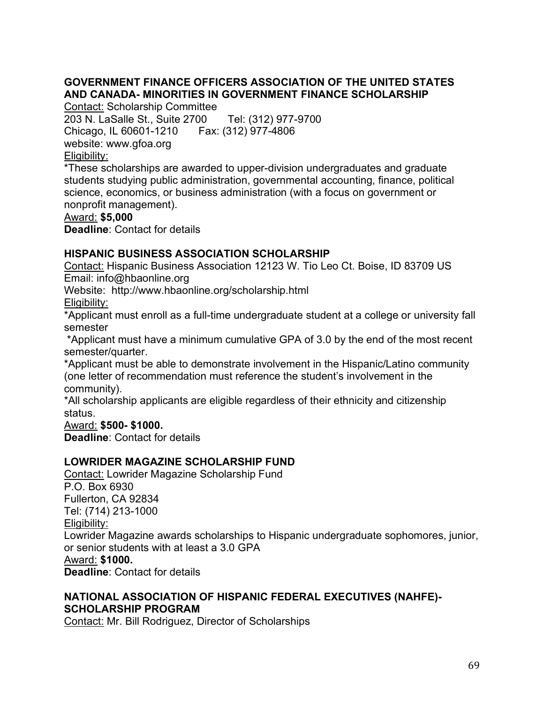# **GOVERNMENT FINANCE OFFICERS ASSOCIATION OF THE UNITED STATES AND CANADA- MINORITIES IN GOVERNMENT FINANCE SCHOLARSHIP**

Contact: Scholarship Committee

203 N. LaSalle St., Suite 2700 Tel: (312) 977-9700 Chicago, IL 60601-1210 Fax: (312) 977-4806 website: www.gfoa.org Eligibility:

\*These scholarships are awarded to upper-division undergraduates and graduate students studying public administration, governmental accounting, finance, political science, economics, or business administration (with a focus on government or nonprofit management).

#### Award: **\$5,000**

**Deadline**: Contact for details

#### **HISPANIC BUSINESS ASSOCIATION SCHOLARSHIP**

Contact: Hispanic Business Association 12123 W. Tio Leo Ct. Boise, ID 83709 US Email: info@hbaonline.org

Website: http://www.hbaonline.org/scholarship.html

Eligibility:

\*Applicant must enroll as a full-time undergraduate student at a college or university fall semester

\*Applicant must have a minimum cumulative GPA of 3.0 by the end of the most recent semester/quarter.

\*Applicant must be able to demonstrate involvement in the Hispanic/Latino community (one letter of recommendation must reference the student's involvement in the community).

\*All scholarship applicants are eligible regardless of their ethnicity and citizenship status.

Award: **\$500- \$1000.**

**Deadline**: Contact for details

#### **LOWRIDER MAGAZINE SCHOLARSHIP FUND**

Contact: Lowrider Magazine Scholarship Fund P.O. Box 6930 Fullerton, CA 92834 Tel: (714) 213-1000 Eligibility: Lowrider Magazine awards scholarships to Hispanic undergraduate sophomores, junior, or senior students with at least a 3.0 GPA Award: **\$1000. Deadline**: Contact for details

#### **NATIONAL ASSOCIATION OF HISPANIC FEDERAL EXECUTIVES (NAHFE)- SCHOLARSHIP PROGRAM**

Contact: Mr. Bill Rodriguez, Director of Scholarships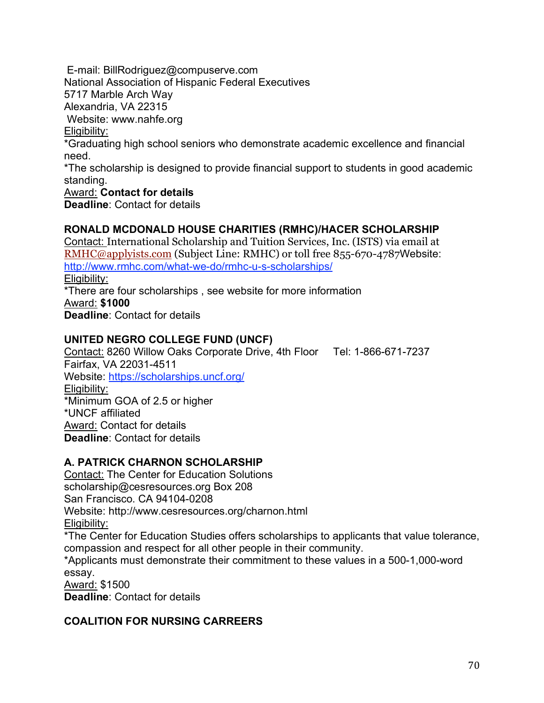E-mail: BillRodriguez@compuserve.com

National Association of Hispanic Federal Executives

5717 Marble Arch Way

Alexandria, VA 22315

Website: www.nahfe.org

#### Eligibility:

\*Graduating high school seniors who demonstrate academic excellence and financial need.

\*The scholarship is designed to provide financial support to students in good academic standing.

#### Award: **Contact for details**

**Deadline**: Contact for details

### **RONALD MCDONALD HOUSE CHARITIES (RMHC)/HACER SCHOLARSHIP**

Contact: International Scholarship and Tuition Services, Inc. (ISTS) via email at RMHC@applyists.com (Subject Line: RMHC) or toll free 855-670-4787Website: http://www.rmhc.com/what-we-do/rmhc-u-s-scholarships/ Eligibility: \*There are four scholarships , see website for more information

Award: **\$1000 Deadline**: Contact for details

### **UNITED NEGRO COLLEGE FUND (UNCF)**

Contact: 8260 Willow Oaks Corporate Drive, 4th Floor Tel: 1-866-671-7237 Fairfax, VA 22031-4511 Website: https://scholarships.uncf.org/ Eligibility: \*Minimum GOA of 2.5 or higher \*UNCF affiliated Award: Contact for details

**Deadline**: Contact for details

# **A. PATRICK CHARNON SCHOLARSHIP**

Contact: The Center for Education Solutions scholarship@cesresources.org Box 208 San Francisco. CA 94104-0208 Website: http://www.cesresources.org/charnon.html Eligibility:

\*The Center for Education Studies offers scholarships to applicants that value tolerance, compassion and respect for all other people in their community.

\*Applicants must demonstrate their commitment to these values in a 500-1,000-word essay.

Award: \$1500

**Deadline**: Contact for details

# **COALITION FOR NURSING CARREERS**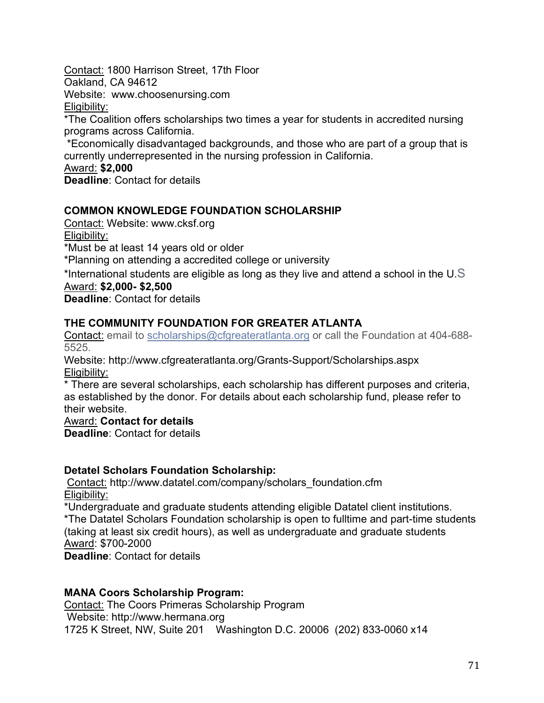Contact: 1800 Harrison Street, 17th Floor

Oakland, CA 94612

Website: www.choosenursing.com

Eligibility:

\*The Coalition offers scholarships two times a year for students in accredited nursing programs across California.

\*Economically disadvantaged backgrounds, and those who are part of a group that is currently underrepresented in the nursing profession in California.

#### Award: **\$2,000**

**Deadline**: Contact for details

# **COMMON KNOWLEDGE FOUNDATION SCHOLARSHIP**

Contact: Website: www.cksf.org Eligibility:

\*Must be at least 14 years old or older

\*Planning on attending a accredited college or university

\*International students are eligible as long as they live and attend a school in the U.S

#### Award: **\$2,000- \$2,500**

**Deadline**: Contact for details

### **THE COMMUNITY FOUNDATION FOR GREATER ATLANTA**

Contact: email to scholarships@cfgreateratlanta.org or call the Foundation at 404-688- 5525.

Website: http://www.cfgreateratlanta.org/Grants-Support/Scholarships.aspx Eligibility:

\* There are several scholarships, each scholarship has different purposes and criteria, as established by the donor. For details about each scholarship fund, please refer to their website.

#### Award: **Contact for details**

**Deadline**: Contact for details

#### **Detatel Scholars Foundation Scholarship:**

Contact: http://www.datatel.com/company/scholars\_foundation.cfm Eligibility:

\*Undergraduate and graduate students attending eligible Datatel client institutions.

\*The Datatel Scholars Foundation scholarship is open to fulltime and part-time students (taking at least six credit hours), as well as undergraduate and graduate students Award: \$700-2000

**Deadline**: Contact for details

#### **MANA Coors Scholarship Program:**

Contact: The Coors Primeras Scholarship Program Website: http://www.hermana.org 1725 K Street, NW, Suite 201 Washington D.C. 20006 (202) 833-0060 x14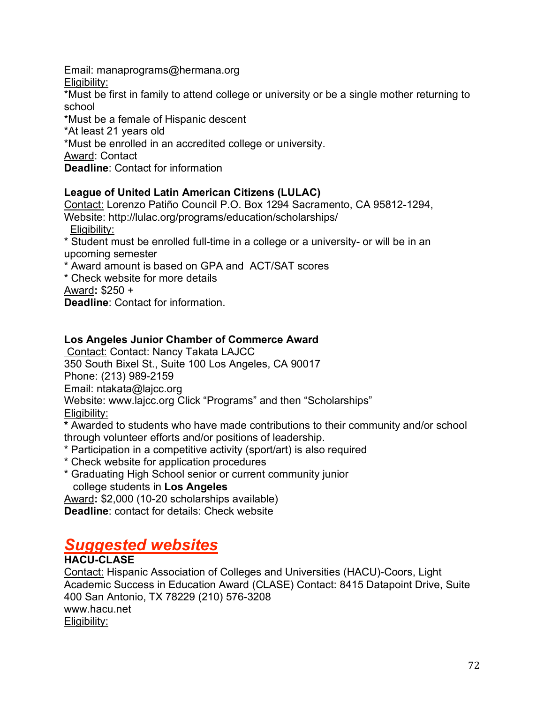Email: manaprograms@hermana.org Eligibility:

\*Must be first in family to attend college or university or be a single mother returning to school

\*Must be a female of Hispanic descent

\*At least 21 years old

\*Must be enrolled in an accredited college or university.

Award: Contact

**Deadline**: Contact for information

### **League of United Latin American Citizens (LULAC)**

Contact: Lorenzo Patiño Council P.O. Box 1294 Sacramento, CA 95812-1294,

Website: http://lulac.org/programs/education/scholarships/ Eligibility:

\* Student must be enrolled full-time in a college or a university- or will be in an upcoming semester

- \* Award amount is based on GPA and ACT/SAT scores
- \* Check website for more details

Award**:** \$250 +

**Deadline**: Contact for information.

### **Los Angeles Junior Chamber of Commerce Award**

Contact: Contact: Nancy Takata LAJCC 350 South Bixel St., Suite 100 Los Angeles, CA 90017 Phone: (213) 989-2159

Email: ntakata@lajcc.org

Website: www.lajcc.org Click "Programs" and then "Scholarships"

Eligibility:

**\*** Awarded to students who have made contributions to their community and/or school through volunteer efforts and/or positions of leadership.

- \* Participation in a competitive activity (sport/art) is also required
- \* Check website for application procedures
- \* Graduating High School senior or current community junior college students in **Los Angeles**

Award**:** \$2,000 (10-20 scholarships available)

**Deadline**: contact for details: Check website

# *Suggested websites*

# **HACU-CLASE**

Contact: Hispanic Association of Colleges and Universities (HACU)-Coors, Light Academic Success in Education Award (CLASE) Contact: 8415 Datapoint Drive, Suite 400 San Antonio, TX 78229 (210) 576-3208 www.hacu.net Eligibility: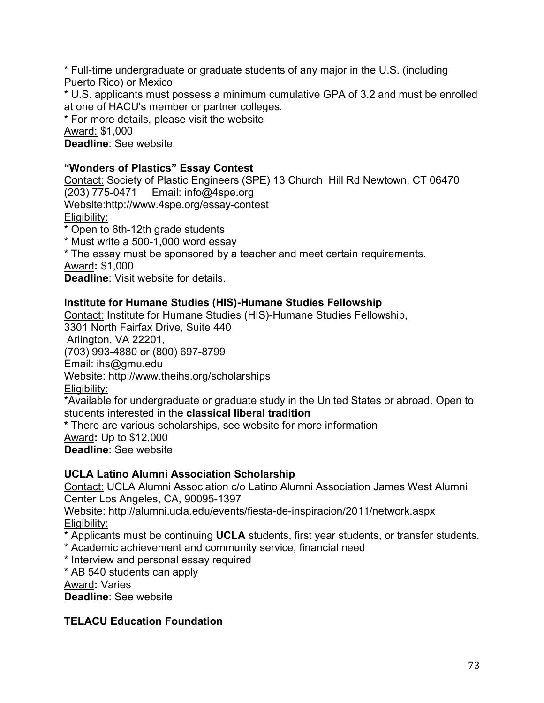\* Full-time undergraduate or graduate students of any major in the U.S. (including Puerto Rico) or Mexico

\* U.S. applicants must possess a minimum cumulative GPA of 3.2 and must be enrolled at one of HACU's member or partner colleges.

\* For more details, please visit the website

Award: \$1,000

**Deadline**: See website.

#### **"Wonders of Plastics" Essay Contest**

Contact: Society of Plastic Engineers (SPE) 13 Church Hill Rd Newtown, CT 06470 (203) 775-0471 Email: info@4spe.org Website:http://www.4spe.org/essay-contest Eligibility: \* Open to 6th-12th grade students

\* Must write a 500-1,000 word essay

\* The essay must be sponsored by a teacher and meet certain requirements.

Award**:** \$1,000

**Deadline**: Visit website for details.

## **Institute for Humane Studies (HIS)-Humane Studies Fellowship**

Contact: Institute for Humane Studies (HIS)-Humane Studies Fellowship, 3301 North Fairfax Drive, Suite 440 Arlington, VA 22201, (703) 993-4880 or (800) 697-8799 Email: ihs@gmu.edu Website: http://www.theihs.org/scholarships Eligibility: \*Available for undergraduate or graduate study in the United States or abroad. Open to students interested in the **classical liberal tradition \*** There are various scholarships, see website for more information Award**:** Up to \$12,000

**Deadline**: See website

## **UCLA Latino Alumni Association Scholarship**

Contact: UCLA Alumni Association c/o Latino Alumni Association James West Alumni Center Los Angeles, CA, 90095-1397

Website: http://alumni.ucla.edu/events/fiesta-de-inspiracion/2011/network.aspx Eligibility:

\* Applicants must be continuing **UCLA** students, first year students, or transfer students.

- \* Academic achievement and community service, financial need
- \* Interview and personal essay required
- \* AB 540 students can apply

Award**:** Varies

**Deadline**: See website

## **TELACU Education Foundation**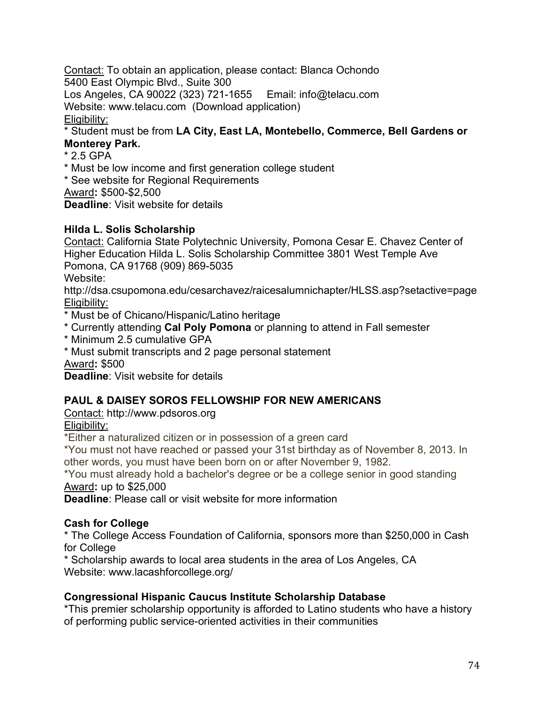Contact: To obtain an application, please contact: Blanca Ochondo 5400 East Olympic Blvd., Suite 300

Los Angeles, CA 90022 (323) 721-1655 Email: info@telacu.com

Website: www.telacu.com (Download application)

Eligibility:

\* Student must be from **LA City, East LA, Montebello, Commerce, Bell Gardens or Monterey Park.**

\* 2.5 GPA

\* Must be low income and first generation college student

\* See website for Regional Requirements

Award**:** \$500-\$2,500

**Deadline**: Visit website for details

## **Hilda L. Solis Scholarship**

Contact: California State Polytechnic University, Pomona Cesar E. Chavez Center of Higher Education Hilda L. Solis Scholarship Committee 3801 West Temple Ave Pomona, CA 91768 (909) 869-5035 Website:

http://dsa.csupomona.edu/cesarchavez/raicesalumnichapter/HLSS.asp?setactive=page Eligibility:

\* Must be of Chicano/Hispanic/Latino heritage

- \* Currently attending **Cal Poly Pomona** or planning to attend in Fall semester
- \* Minimum 2.5 cumulative GPA
- \* Must submit transcripts and 2 page personal statement

Award**:** \$500

**Deadline**: Visit website for details

## **PAUL & DAISEY SOROS FELLOWSHIP FOR NEW AMERICANS**

Contact: http://www.pdsoros.org

Eligibility:

\*Either a naturalized citizen or in possession of a green card

\*You must not have reached or passed your 31st birthday as of November 8, 2013. In other words, you must have been born on or after November 9, 1982.

\*You must already hold a bachelor's degree or be a college senior in good standing Award**:** up to \$25,000

**Deadline**: Please call or visit website for more information

## **Cash for College**

\* The College Access Foundation of California, sponsors more than \$250,000 in Cash for College

\* Scholarship awards to local area students in the area of Los Angeles, CA Website: www.lacashforcollege.org/

## **Congressional Hispanic Caucus Institute Scholarship Database**

\*This premier scholarship opportunity is afforded to Latino students who have a history of performing public service-oriented activities in their communities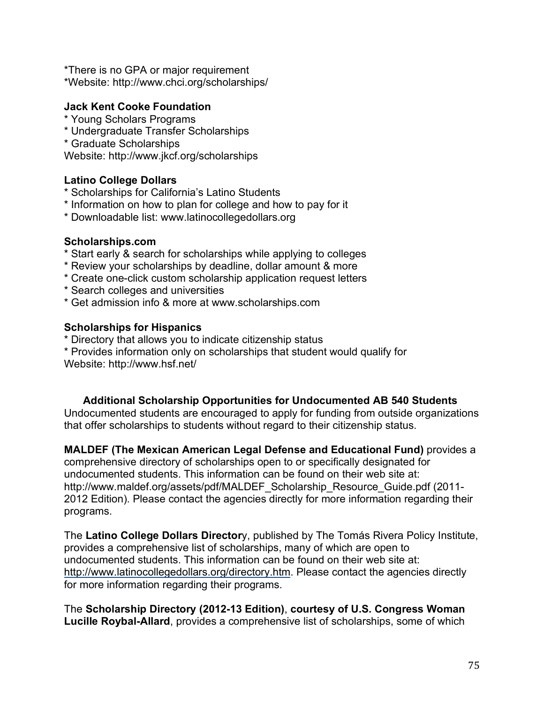\*There is no GPA or major requirement \*Website: http://www.chci.org/scholarships/

#### **Jack Kent Cooke Foundation**

- \* Young Scholars Programs
- \* Undergraduate Transfer Scholarships
- \* Graduate Scholarships

Website: http://www.jkcf.org/scholarships

#### **Latino College Dollars**

- \* Scholarships for California's Latino Students
- \* Information on how to plan for college and how to pay for it
- \* Downloadable list: www.latinocollegedollars.org

#### **Scholarships.com**

- \* Start early & search for scholarships while applying to colleges
- \* Review your scholarships by deadline, dollar amount & more
- \* Create one-click custom scholarship application request letters
- \* Search colleges and universities
- \* Get admission info & more at www.scholarships.com

#### **Scholarships for Hispanics**

- \* Directory that allows you to indicate citizenship status
- \* Provides information only on scholarships that student would qualify for

Website: http://www.hsf.net/

#### **Additional Scholarship Opportunities for Undocumented AB 540 Students**

Undocumented students are encouraged to apply for funding from outside organizations that offer scholarships to students without regard to their citizenship status.

**MALDEF (The Mexican American Legal Defense and Educational Fund)** provides a comprehensive directory of scholarships open to or specifically designated for undocumented students. This information can be found on their web site at: http://www.maldef.org/assets/pdf/MALDEF\_Scholarship\_Resource\_Guide.pdf (2011- 2012 Edition). Please contact the agencies directly for more information regarding their programs.

The **Latino College Dollars Director**y, published by The Tomás Rivera Policy Institute, provides a comprehensive list of scholarships, many of which are open to undocumented students. This information can be found on their web site at: http://www.latinocollegedollars.org/directory.htm. Please contact the agencies directly for more information regarding their programs.

The **Scholarship Directory (2012-13 Edition)**, **courtesy of U.S. Congress Woman Lucille Roybal-Allard**, provides a comprehensive list of scholarships, some of which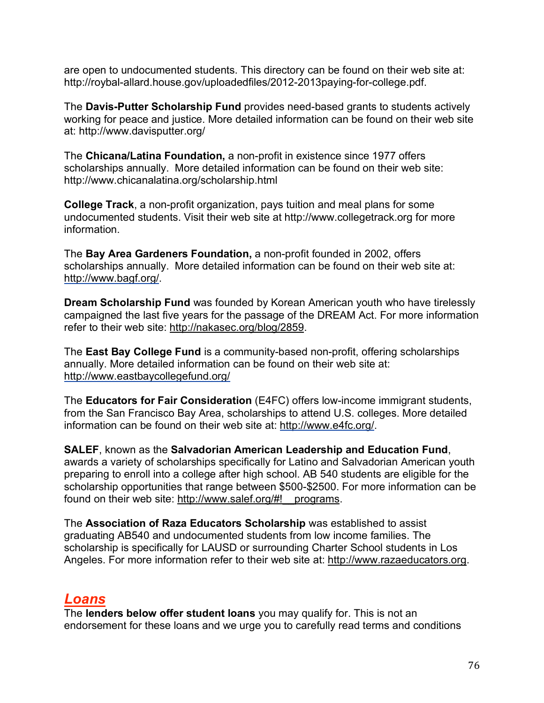are open to undocumented students. This directory can be found on their web site at: http://roybal-allard.house.gov/uploadedfiles/2012-2013paying-for-college.pdf.

The **Davis-Putter Scholarship Fund** provides need-based grants to students actively working for peace and justice. More detailed information can be found on their web site at: http://www.davisputter.org/

The **Chicana/Latina Foundation,** a non-profit in existence since 1977 offers scholarships annually. More detailed information can be found on their web site: http://www.chicanalatina.org/scholarship.html

**College Track**, a non-profit organization, pays tuition and meal plans for some undocumented students. Visit their web site at http://www.collegetrack.org for more information.

The **Bay Area Gardeners Foundation,** a non-profit founded in 2002, offers scholarships annually. More detailed information can be found on their web site at: http://www.bagf.org/.

**Dream Scholarship Fund** was founded by Korean American youth who have tirelessly campaigned the last five years for the passage of the DREAM Act. For more information refer to their web site: http://nakasec.org/blog/2859.

The **East Bay College Fund** is a community-based non-profit, offering scholarships annually. More detailed information can be found on their web site at: http://www.eastbaycollegefund.org/

The **Educators for Fair Consideration** (E4FC) offers low-income immigrant students, from the San Francisco Bay Area, scholarships to attend U.S. colleges. More detailed information can be found on their web site at: http://www.e4fc.org/.

**SALEF**, known as the **Salvadorian American Leadership and Education Fund**, awards a variety of scholarships specifically for Latino and Salvadorian American youth preparing to enroll into a college after high school. AB 540 students are eligible for the scholarship opportunities that range between \$500-\$2500. For more information can be found on their web site: http://www.salef.org/#!\_\_programs.

The **Association of Raza Educators Scholarship** was established to assist graduating AB540 and undocumented students from low income families. The scholarship is specifically for LAUSD or surrounding Charter School students in Los Angeles. For more information refer to their web site at: http://www.razaeducators.org.

# *Loans*

The **lenders below offer student loans** you may qualify for. This is not an endorsement for these loans and we urge you to carefully read terms and conditions